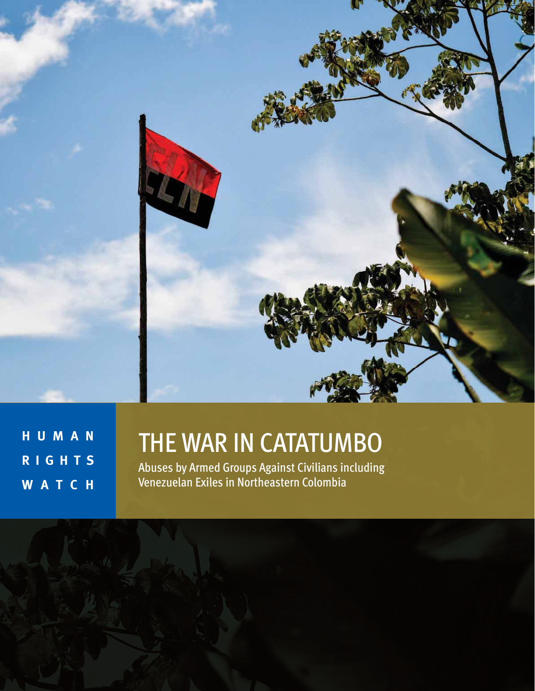

**H U M A N R I G H T S W A T C H** 

# THE WAR IN CATATUMBO

Abuses by Armed Groups Against Civilians including Venezuelan Exiles in Northeastern Colombia

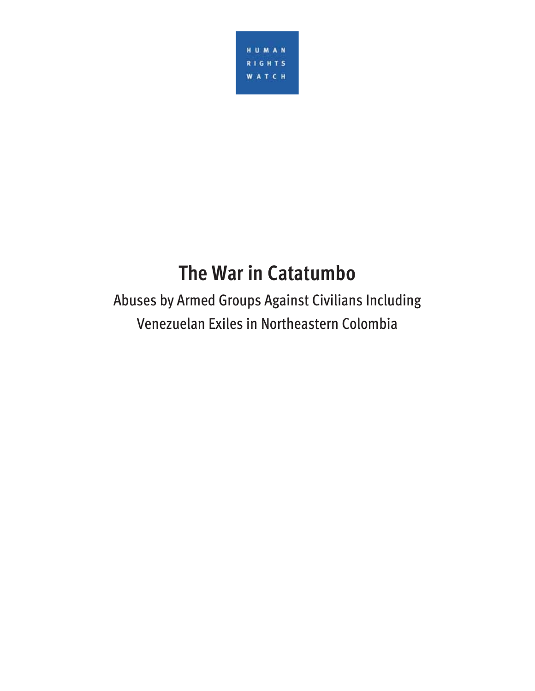

# **The War in Catatumbo**

Abuses by Armed Groups Against Civilians Including Venezuelan Exiles in Northeastern Colombia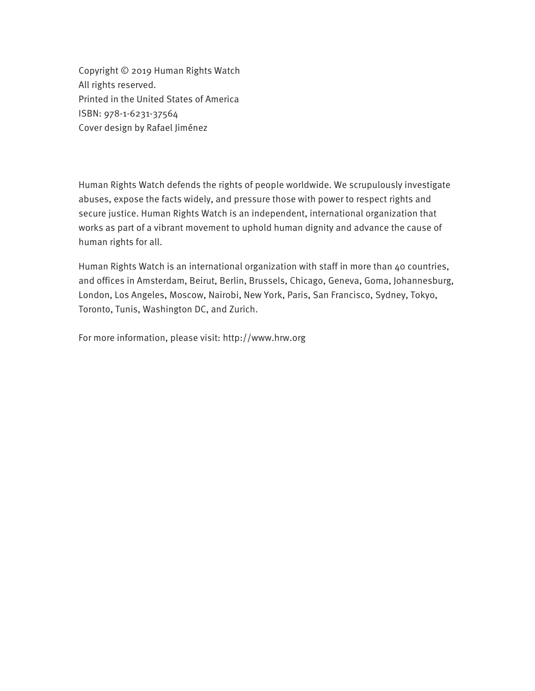Copyright © 2019 Human Rights Watch All rights reserved. Printed in the United States of America ISBN: 978-1-6231-37564 Cover design by Rafael Jiménez

Human Rights Watch defends the rights of people worldwide. We scrupulously investigate abuses, expose the facts widely, and pressure those with power to respect rights and secure justice. Human Rights Watch is an independent, international organization that works as part of a vibrant movement to uphold human dignity and advance the cause of human rights for all.

Human Rights Watch is an international organization with staff in more than 40 countries, and offices in Amsterdam, Beirut, Berlin, Brussels, Chicago, Geneva, Goma, Johannesburg, London, Los Angeles, Moscow, Nairobi, New York, Paris, San Francisco, Sydney, Tokyo, Toronto, Tunis, Washington DC, and Zurich.

For more information, please visit: http://www.hrw.org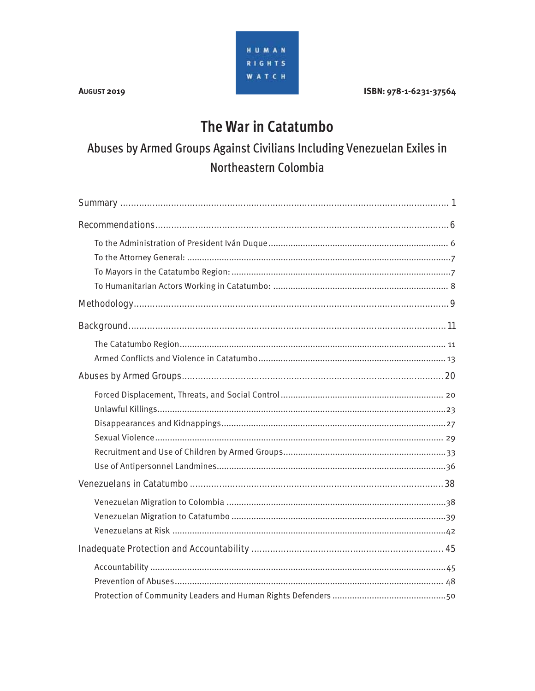#### ISBN: 978-1-6231-37564

### The War in Catatumbo

### Abuses by Armed Groups Against Civilians Including Venezuelan Exiles in Northeastern Colombia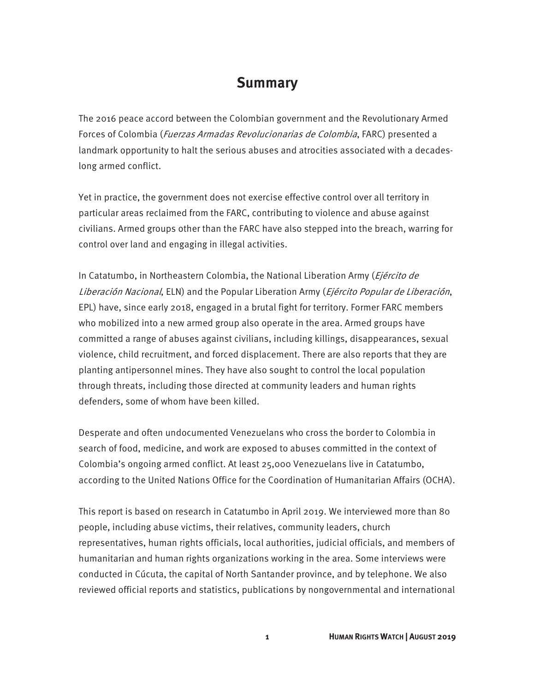### **Summary**

The 2016 peace accord between the Colombian government and the Revolutionary Armed Forces of Colombia (Fuerzas Armadas Revolucionarias de Colombia, FARC) presented a landmark opportunity to halt the serious abuses and atrocities associated with a decadeslong armed conflict.

Yet in practice, the government does not exercise effective control over all territory in particular areas reclaimed from the FARC, contributing to violence and abuse against civilians. Armed groups other than the FARC have also stepped into the breach, warring for control over land and engaging in illegal activities.

In Catatumbo, in Northeastern Colombia, the National Liberation Army (Ejército de Liberación Nacional, ELN) and the Popular Liberation Army (Ejército Popular de Liberación, EPL) have, since early 2018, engaged in a brutal fight for territory. Former FARC members who mobilized into a new armed group also operate in the area. Armed groups have committed a range of abuses against civilians, including killings, disappearances, sexual violence, child recruitment, and forced displacement. There are also reports that they are planting antipersonnel mines. They have also sought to control the local population through threats, including those directed at community leaders and human rights defenders, some of whom have been killed.

Desperate and often undocumented Venezuelans who cross the border to Colombia in search of food, medicine, and work are exposed to abuses committed in the context of Colombia's ongoing armed conflict. At least 25,000 Venezuelans live in Catatumbo, according to the United Nations Office for the Coordination of Humanitarian Affairs (OCHA).

This report is based on research in Catatumbo in April 2019. We interviewed more than 80 people, including abuse victims, their relatives, community leaders, church representatives, human rights officials, local authorities, judicial officials, and members of humanitarian and human rights organizations working in the area. Some interviews were conducted in Cúcuta, the capital of North Santander province, and by telephone. We also reviewed official reports and statistics, publications by nongovernmental and international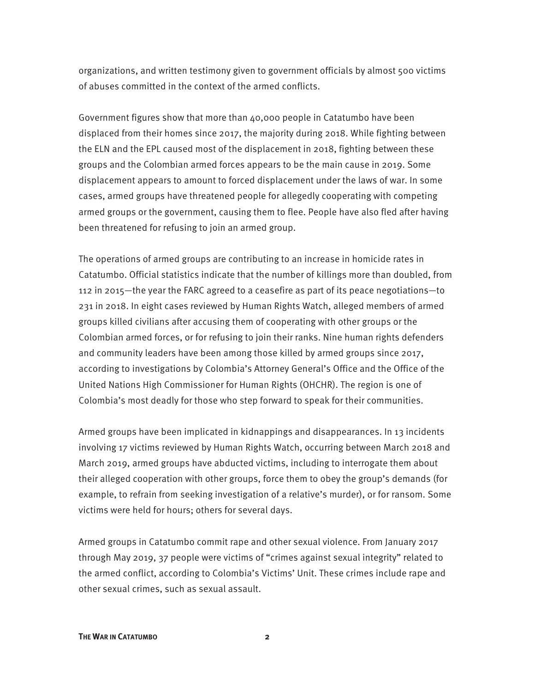organizations, and written testimony given to government officials by almost 500 victims of abuses committed in the context of the armed conflicts.

Government figures show that more than 40,000 people in Catatumbo have been displaced from their homes since 2017, the majority during 2018. While fighting between the ELN and the EPL caused most of the displacement in 2018, fighting between these groups and the Colombian armed forces appears to be the main cause in 2019. Some displacement appears to amount to forced displacement under the laws of war. In some cases, armed groups have threatened people for allegedly cooperating with competing armed groups or the government, causing them to flee. People have also fled after having been threatened for refusing to join an armed group.

The operations of armed groups are contributing to an increase in homicide rates in Catatumbo. Official statistics indicate that the number of killings more than doubled, from 112 in 2015—the year the FARC agreed to a ceasefire as part of its peace negotiations—to 231 in 2018. In eight cases reviewed by Human Rights Watch, alleged members of armed groups killed civilians after accusing them of cooperating with other groups or the Colombian armed forces, or for refusing to join their ranks. Nine human rights defenders and community leaders have been among those killed by armed groups since 2017, according to investigations by Colombia's Attorney General's Office and the Office of the United Nations High Commissioner for Human Rights (OHCHR). The region is one of Colombia's most deadly for those who step forward to speak for their communities.

Armed groups have been implicated in kidnappings and disappearances. In 13 incidents involving 17 victims reviewed by Human Rights Watch, occurring between March 2018 and March 2019, armed groups have abducted victims, including to interrogate them about their alleged cooperation with other groups, force them to obey the group's demands (for example, to refrain from seeking investigation of a relative's murder), or for ransom. Some victims were held for hours; others for several days.

Armed groups in Catatumbo commit rape and other sexual violence. From January 2017 through May 2019, 37 people were victims of "crimes against sexual integrity" related to the armed conflict, according to Colombia's Victims' Unit. These crimes include rape and other sexual crimes, such as sexual assault.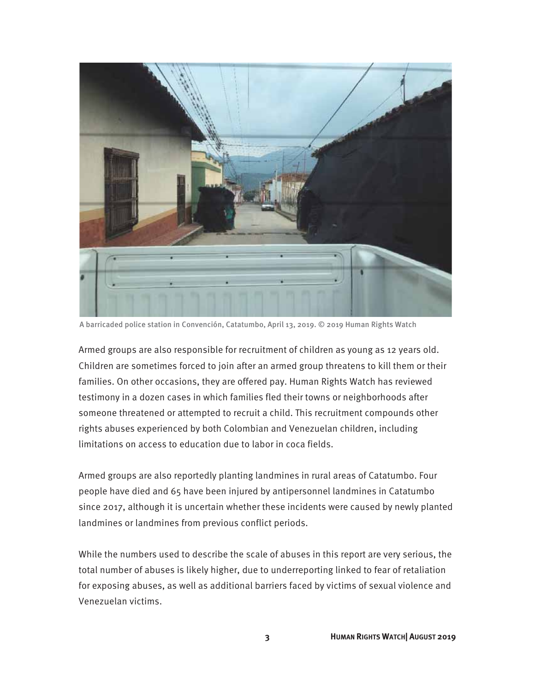

A barricaded police station in Convención, Catatumbo, April 13, 2019. © 2019 Human Rights Watch

Armed groups are also responsible for recruitment of children as young as 12 years old. Children are sometimes forced to join after an armed group threatens to kill them or their families. On other occasions, they are offered pay. Human Rights Watch has reviewed testimony in a dozen cases in which families fled their towns or neighborhoods after someone threatened or attempted to recruit a child. This recruitment compounds other rights abuses experienced by both Colombian and Venezuelan children, including limitations on access to education due to labor in coca fields.

Armed groups are also reportedly planting landmines in rural areas of Catatumbo. Four people have died and 65 have been injured by antipersonnel landmines in Catatumbo since 2017, although it is uncertain whether these incidents were caused by newly planted landmines or landmines from previous conflict periods.

While the numbers used to describe the scale of abuses in this report are very serious, the total number of abuses is likely higher, due to underreporting linked to fear of retaliation for exposing abuses, as well as additional barriers faced by victims of sexual violence and Venezuelan victims.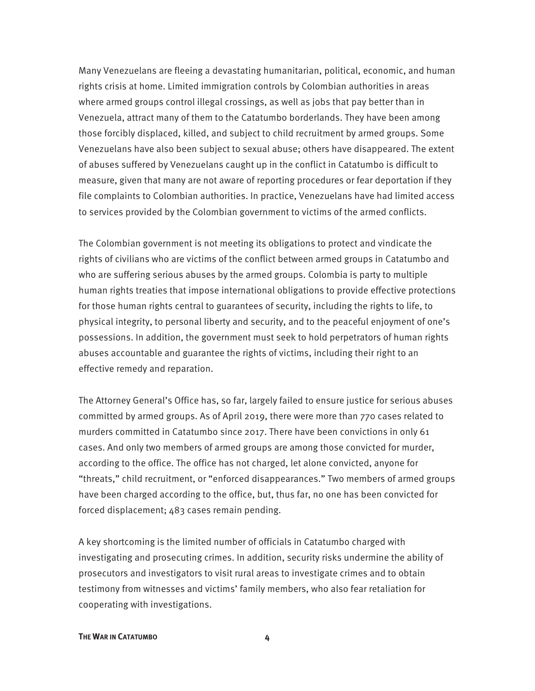Many Venezuelans are fleeing a devastating humanitarian, political, economic, and human rights crisis at home. Limited immigration controls by Colombian authorities in areas where armed groups control illegal crossings, as well as jobs that pay better than in Venezuela, attract many of them to the Catatumbo borderlands. They have been among those forcibly displaced, killed, and subject to child recruitment by armed groups. Some Venezuelans have also been subject to sexual abuse; others have disappeared. The extent of abuses suffered by Venezuelans caught up in the conflict in Catatumbo is difficult to measure, given that many are not aware of reporting procedures or fear deportation if they file complaints to Colombian authorities. In practice, Venezuelans have had limited access to services provided by the Colombian government to victims of the armed conflicts.

The Colombian government is not meeting its obligations to protect and vindicate the rights of civilians who are victims of the conflict between armed groups in Catatumbo and who are suffering serious abuses by the armed groups. Colombia is party to multiple human rights treaties that impose international obligations to provide effective protections for those human rights central to guarantees of security, including the rights to life, to physical integrity, to personal liberty and security, and to the peaceful enjoyment of one's possessions. In addition, the government must seek to hold perpetrators of human rights abuses accountable and guarantee the rights of victims, including their right to an effective remedy and reparation.

The Attorney General's Office has, so far, largely failed to ensure justice for serious abuses committed by armed groups. As of April 2019, there were more than 770 cases related to murders committed in Catatumbo since 2017. There have been convictions in only 61 cases. And only two members of armed groups are among those convicted for murder, according to the office. The office has not charged, let alone convicted, anyone for "threats," child recruitment, or "enforced disappearances." Two members of armed groups have been charged according to the office, but, thus far, no one has been convicted for forced displacement; 483 cases remain pending.

A key shortcoming is the limited number of officials in Catatumbo charged with investigating and prosecuting crimes. In addition, security risks undermine the ability of prosecutors and investigators to visit rural areas to investigate crimes and to obtain testimony from witnesses and victims' family members, who also fear retaliation for cooperating with investigations.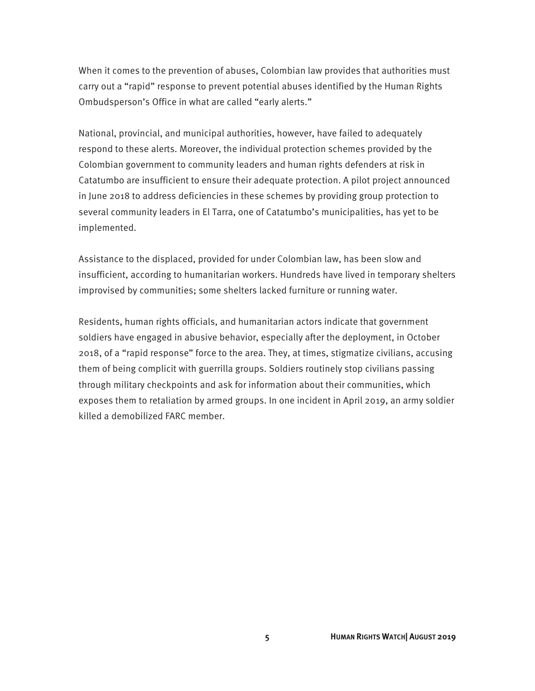When it comes to the prevention of abuses, Colombian law provides that authorities must carry out a "rapid" response to prevent potential abuses identified by the Human Rights Ombudsperson's Office in what are called "early alerts."

National, provincial, and municipal authorities, however, have failed to adequately respond to these alerts. Moreover, the individual protection schemes provided by the Colombian government to community leaders and human rights defenders at risk in Catatumbo are insufficient to ensure their adequate protection. A pilot project announced in June 2018 to address deficiencies in these schemes by providing group protection to several community leaders in El Tarra, one of Catatumbo's municipalities, has yet to be implemented.

Assistance to the displaced, provided for under Colombian law, has been slow and insufficient, according to humanitarian workers. Hundreds have lived in temporary shelters improvised by communities; some shelters lacked furniture or running water.

Residents, human rights officials, and humanitarian actors indicate that government soldiers have engaged in abusive behavior, especially after the deployment, in October 2018, of a "rapid response" force to the area. They, at times, stigmatize civilians, accusing them of being complicit with guerrilla groups. Soldiers routinely stop civilians passing through military checkpoints and ask for information about their communities, which exposes them to retaliation by armed groups. In one incident in April 2019, an army soldier killed a demobilized FARC member.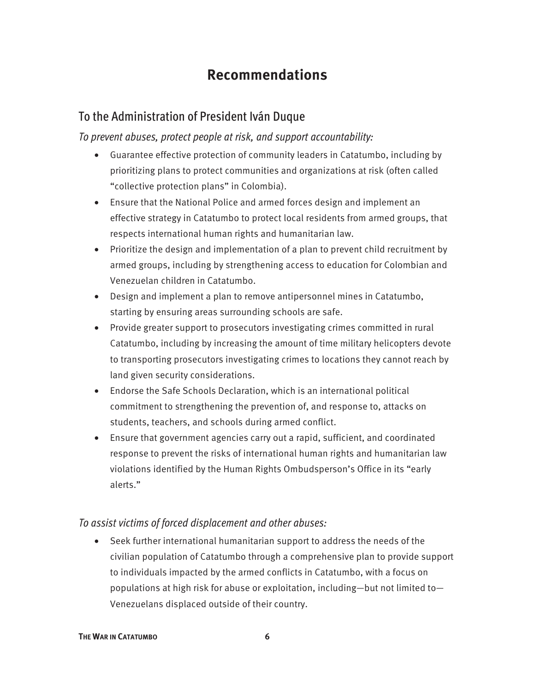### **Recommendations**

#### To the Administration of President Iván Duque

*To prevent abuses, protect people at risk, and support accountability:* 

- Guarantee effective protection of community leaders in Catatumbo, including by prioritizing plans to protect communities and organizations at risk (often called "collective protection plans" in Colombia).
- Ensure that the National Police and armed forces design and implement an effective strategy in Catatumbo to protect local residents from armed groups, that respects international human rights and humanitarian law.
- Prioritize the design and implementation of a plan to prevent child recruitment by armed groups, including by strengthening access to education for Colombian and Venezuelan children in Catatumbo.
- Design and implement a plan to remove antipersonnel mines in Catatumbo, starting by ensuring areas surrounding schools are safe.
- Provide greater support to prosecutors investigating crimes committed in rural Catatumbo, including by increasing the amount of time military helicopters devote to transporting prosecutors investigating crimes to locations they cannot reach by land given security considerations.
- Endorse the Safe Schools Declaration, which is an international political commitment to strengthening the prevention of, and response to, attacks on students, teachers, and schools during armed conflict.
- Ensure that government agencies carry out a rapid, sufficient, and coordinated response to prevent the risks of international human rights and humanitarian law violations identified by the Human Rights Ombudsperson's Office in its "early alerts."

#### *To assist victims of forced displacement and other abuses:*

• Seek further international humanitarian support to address the needs of the civilian population of Catatumbo through a comprehensive plan to provide support to individuals impacted by the armed conflicts in Catatumbo, with a focus on populations at high risk for abuse or exploitation, including—but not limited to— Venezuelans displaced outside of their country.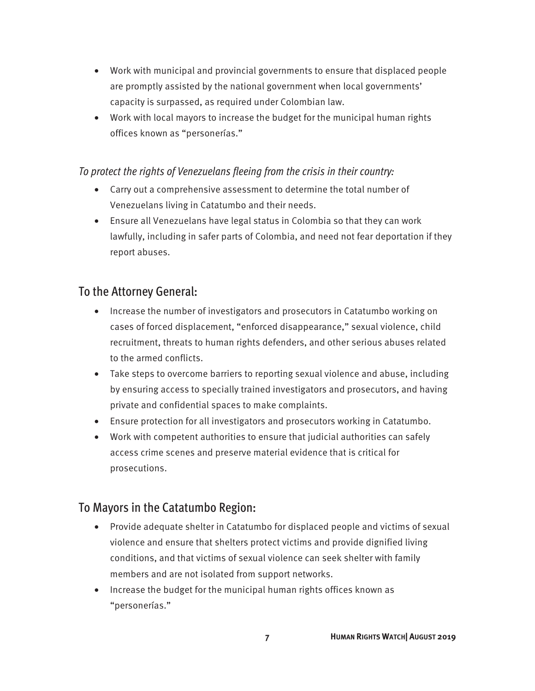- Work with municipal and provincial governments to ensure that displaced people are promptly assisted by the national government when local governments' capacity is surpassed, as required under Colombian law.
- Work with local mayors to increase the budget for the municipal human rights offices known as "personerías."

#### *To protect the rights of Venezuelans fleeing from the crisis in their country:*

- Carry out a comprehensive assessment to determine the total number of Venezuelans living in Catatumbo and their needs.
- Ensure all Venezuelans have legal status in Colombia so that they can work lawfully, including in safer parts of Colombia, and need not fear deportation if they report abuses.

#### To the Attorney General:

- Increase the number of investigators and prosecutors in Catatumbo working on cases of forced displacement, "enforced disappearance," sexual violence, child recruitment, threats to human rights defenders, and other serious abuses related to the armed conflicts.
- Take steps to overcome barriers to reporting sexual violence and abuse, including by ensuring access to specially trained investigators and prosecutors, and having private and confidential spaces to make complaints.
- Ensure protection for all investigators and prosecutors working in Catatumbo.
- Work with competent authorities to ensure that judicial authorities can safely access crime scenes and preserve material evidence that is critical for prosecutions.

#### To Mayors in the Catatumbo Region:

- Provide adequate shelter in Catatumbo for displaced people and victims of sexual violence and ensure that shelters protect victims and provide dignified living conditions, and that victims of sexual violence can seek shelter with family members and are not isolated from support networks.
- Increase the budget for the municipal human rights offices known as "personerías."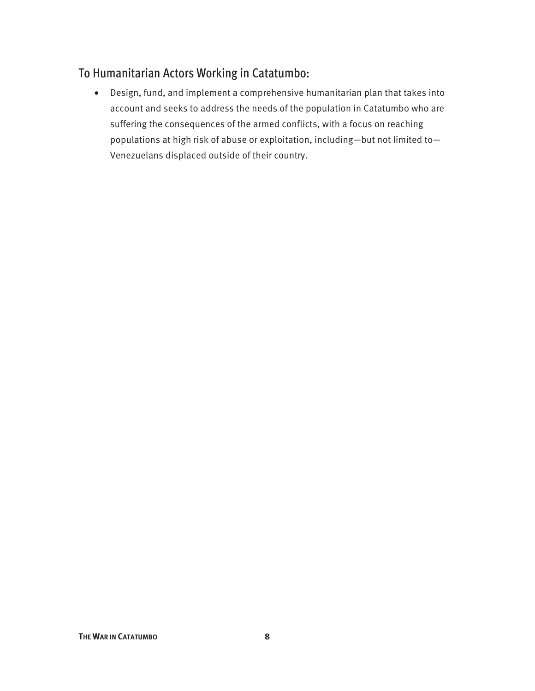### To Humanitarian Actors Working in Catatumbo:

• Design, fund, and implement a comprehensive humanitarian plan that takes into account and seeks to address the needs of the population in Catatumbo who are suffering the consequences of the armed conflicts, with a focus on reaching populations at high risk of abuse or exploitation, including—but not limited to— Venezuelans displaced outside of their country.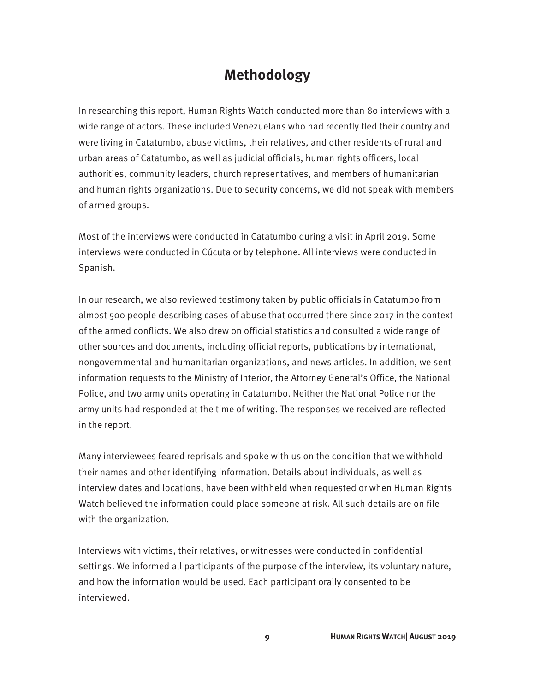### **Methodology**

In researching this report, Human Rights Watch conducted more than 80 interviews with a wide range of actors. These included Venezuelans who had recently fled their country and were living in Catatumbo, abuse victims, their relatives, and other residents of rural and urban areas of Catatumbo, as well as judicial officials, human rights officers, local authorities, community leaders, church representatives, and members of humanitarian and human rights organizations. Due to security concerns, we did not speak with members of armed groups.

Most of the interviews were conducted in Catatumbo during a visit in April 2019. Some interviews were conducted in Cúcuta or by telephone. All interviews were conducted in Spanish.

In our research, we also reviewed testimony taken by public officials in Catatumbo from almost 500 people describing cases of abuse that occurred there since 2017 in the context of the armed conflicts. We also drew on official statistics and consulted a wide range of other sources and documents, including official reports, publications by international, nongovernmental and humanitarian organizations, and news articles. In addition, we sent information requests to the Ministry of Interior, the Attorney General's Office, the National Police, and two army units operating in Catatumbo. Neither the National Police nor the army units had responded at the time of writing. The responses we received are reflected in the report.

Many interviewees feared reprisals and spoke with us on the condition that we withhold their names and other identifying information. Details about individuals, as well as interview dates and locations, have been withheld when requested or when Human Rights Watch believed the information could place someone at risk. All such details are on file with the organization.

Interviews with victims, their relatives, or witnesses were conducted in confidential settings. We informed all participants of the purpose of the interview, its voluntary nature, and how the information would be used. Each participant orally consented to be interviewed.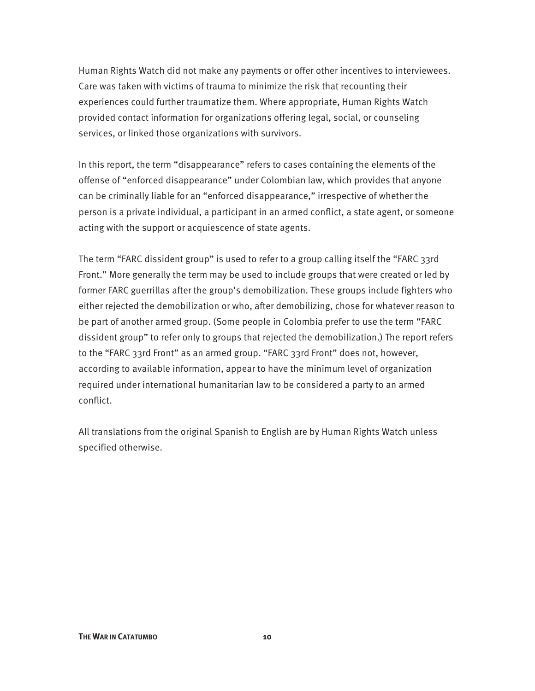Human Rights Watch did not make any payments or offer other incentives to interviewees. Care was taken with victims of trauma to minimize the risk that recounting their experiences could further traumatize them. Where appropriate, Human Rights Watch provided contact information for organizations offering legal, social, or counseling services, or linked those organizations with survivors.

In this report, the term "disappearance" refers to cases containing the elements of the offense of "enforced disappearance" under Colombian law, which provides that anyone can be criminally liable for an "enforced disappearance," irrespective of whether the person is a private individual, a participant in an armed conflict, a state agent, or someone acting with the support or acquiescence of state agents.

The term "FARC dissident group" is used to refer to a group calling itself the "FARC 33rd Front." More generally the term may be used to include groups that were created or led by former FARC guerrillas after the group's demobilization. These groups include fighters who either rejected the demobilization or who, after demobilizing, chose for whatever reason to be part of another armed group. (Some people in Colombia prefer to use the term "FARC dissident group" to refer only to groups that rejected the demobilization.) The report refers to the "FARC 33rd Front" as an armed group. "FARC 33rd Front" does not, however, according to available information, appear to have the minimum level of organization required under international humanitarian law to be considered a party to an armed conflict.

All translations from the original Spanish to English are by Human Rights Watch unless specified otherwise.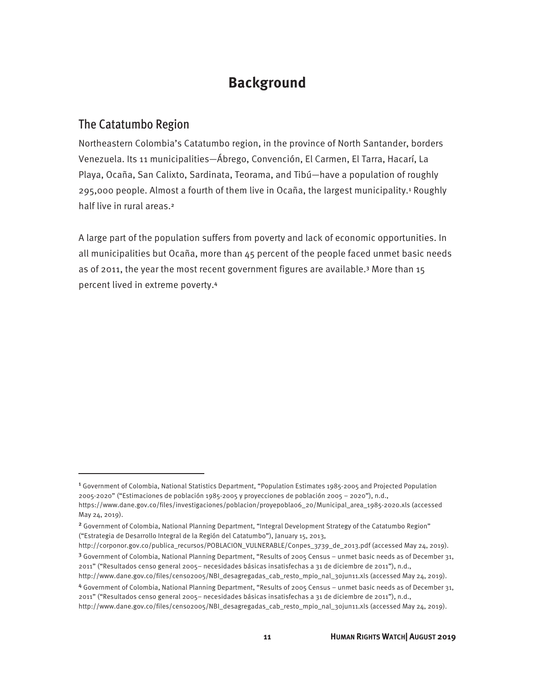### **Background**

#### The Catatumbo Region

 $\overline{a}$ 

Northeastern Colombia's Catatumbo region, in the province of North Santander, borders Venezuela. Its 11 municipalities—Ábrego, Convención, El Carmen, El Tarra, Hacarí, La Playa, Ocaña, San Calixto, Sardinata, Teorama, and Tibú—have a population of roughly 295,000 people. Almost a fourth of them live in Ocaña, the largest municipality.<sup>1</sup> Roughly half live in rural areas.<sup>2</sup>

A large part of the population suffers from poverty and lack of economic opportunities. In all municipalities but Ocaña, more than 45 percent of the people faced unmet basic needs as of 2011, the year the most recent government figures are available.3 More than 15 percent lived in extreme poverty.<sup>4</sup>

- http://corponor.gov.co/publica\_recursos/POBLACION\_VULNERABLE/Conpes\_3739\_de\_2013.pdf (accessed May 24, 2019). <sup>3</sup> Government of Colombia, National Planning Department, "Results of 2005 Census – unmet basic needs as of December 31, 2011" ("Resultados censo general 2005– necesidades básicas insatisfechas a 31 de diciembre de 2011"), n.d.,
- http://www.dane.gov.co/files/censo2005/NBI\_desagregadas\_cab\_resto\_mpio\_nal\_30jun11.xls (accessed May 24, 2019). <sup>4</sup> Government of Colombia, National Planning Department, "Results of 2005 Census – unmet basic needs as of December 31, 2011" ("Resultados censo general 2005– necesidades básicas insatisfechas a 31 de diciembre de 2011"), n.d.,

<sup>1</sup> Government of Colombia, National Statistics Department, "Population Estimates 1985-2005 and Projected Population 2005-2020" ("Estimaciones de población 1985-2005 y proyecciones de población 2005 – 2020"), n.d., https://www.dane.gov.co/files/investigaciones/poblacion/proyepobla06\_20/Municipal\_area\_1985-2020.xls (accessed May 24, 2019).

<sup>2</sup> Government of Colombia, National Planning Department, "Integral Development Strategy of the Catatumbo Region" ("Estrategia de Desarrollo Integral de la Región del Catatumbo"), January 15, 2013,

http://www.dane.gov.co/files/censo2005/NBI\_desagregadas\_cab\_resto\_mpio\_nal\_30jun11.xls (accessed May 24, 2019).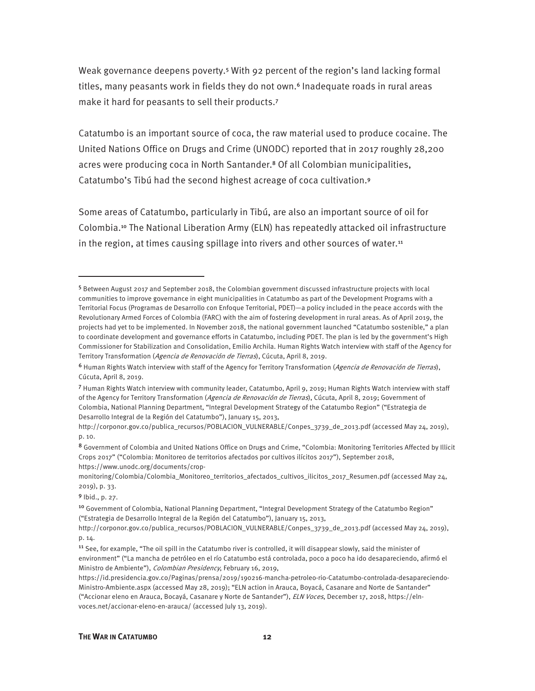Weak governance deepens poverty.5 With 92 percent of the region's land lacking formal titles, many peasants work in fields they do not own.<sup>6</sup> Inadequate roads in rural areas make it hard for peasants to sell their products.<sup>7</sup>

Catatumbo is an important source of coca, the raw material used to produce cocaine. The United Nations Office on Drugs and Crime (UNODC) reported that in 2017 roughly 28,200 acres were producing coca in North Santander.<sup>8</sup> Of all Colombian municipalities, Catatumbo's Tibú had the second highest acreage of coca cultivation.<sup>9</sup>

Some areas of Catatumbo, particularly in Tibú, are also an important source of oil for Colombia.10 The National Liberation Army (ELN) has repeatedly attacked oil infrastructure in the region, at times causing spillage into rivers and other sources of water. $11$ 

<sup>9</sup> Ibid., p. 27.

<sup>5</sup> Between August 2017 and September 2018, the Colombian government discussed infrastructure projects with local communities to improve governance in eight municipalities in Catatumbo as part of the Development Programs with a Territorial Focus (Programas de Desarrollo con Enfoque Territorial, PDET)—a policy included in the peace accords with the Revolutionary Armed Forces of Colombia (FARC) with the aim of fostering development in rural areas. As of April 2019, the projects had yet to be implemented. In November 2018, the national government launched "Catatumbo sostenible," a plan to coordinate development and governance efforts in Catatumbo, including PDET. The plan is led by the government's High Commissioner for Stabilization and Consolidation, Emilio Archila. Human Rights Watch interview with staff of the Agency for Territory Transformation (Agencia de Renovación de Tierras), Cúcuta, April 8, 2019.

<sup>&</sup>lt;sup>6</sup> Human Rights Watch interview with staff of the Agency for Territory Transformation (Agencia de Renovación de Tierras), Cúcuta, April 8, 2019.

<sup>7</sup> Human Rights Watch interview with community leader, Catatumbo, April 9, 2019; Human Rights Watch interview with staff of the Agency for Territory Transformation (Agencia de Renovación de Tierras), Cúcuta, April 8, 2019; Government of Colombia, National Planning Department, "Integral Development Strategy of the Catatumbo Region" ("Estrategia de Desarrollo Integral de la Región del Catatumbo"), January 15, 2013,

http://corponor.gov.co/publica\_recursos/POBLACION\_VULNERABLE/Conpes\_3739\_de\_2013.pdf (accessed May 24, 2019), p. 10.

<sup>8</sup> Government of Colombia and United Nations Office on Drugs and Crime, "Colombia: Monitoring Territories Affected by Illicit Crops 2017" ("Colombia: Monitoreo de territorios afectados por cultivos ilícitos 2017"), September 2018, https://www.unodc.org/documents/crop-

monitoring/Colombia/Colombia\_Monitoreo\_territorios\_afectados\_cultivos\_ilicitos\_2017\_Resumen.pdf (accessed May 24, 2019), p. 33.

<sup>10</sup> Government of Colombia, National Planning Department, "Integral Development Strategy of the Catatumbo Region" ("Estrategia de Desarrollo Integral de la Región del Catatumbo"), January 15, 2013,

http://corponor.gov.co/publica\_recursos/POBLACION\_VULNERABLE/Conpes\_3739\_de\_2013.pdf (accessed May 24, 2019), p. 14.

<sup>&</sup>lt;sup>11</sup> See, for example, "The oil spill in the Catatumbo river is controlled, it will disappear slowly, said the minister of environment" ("La mancha de petróleo en el río Catatumbo está controlada, poco a poco ha ido desapareciendo, afirmó el Ministro de Ambiente"), Colombian Presidency, February 16, 2019,

https://id.presidencia.gov.co/Paginas/prensa/2019/190216-mancha-petroleo-rio-Catatumbo-controlada-desapareciendo-Ministro-Ambiente.aspx (accessed May 28, 2019); "ELN action in Arauca, Boyacá, Casanare and Norte de Santander" ("Accionar eleno en Arauca, Bocayá, Casanare y Norte de Santander"), ELN Voces, December 17, 2018, https://elnvoces.net/accionar-eleno-en-arauca/ (accessed July 13, 2019).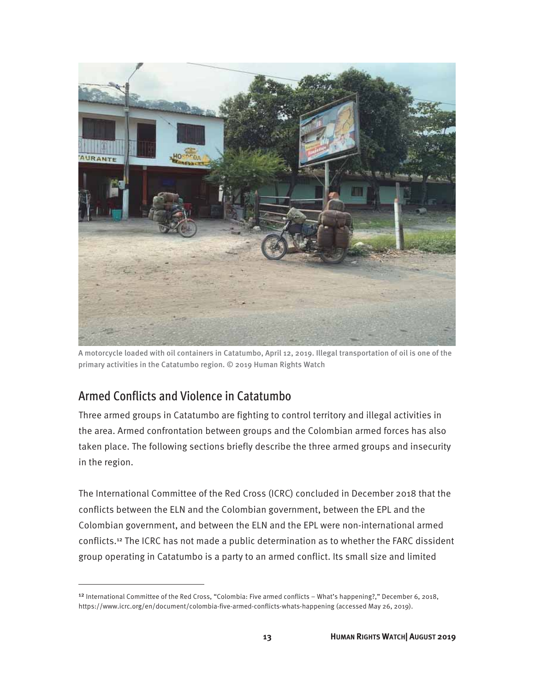

A motorcycle loaded with oil containers in Catatumbo, April 12, 2019. Illegal transportation of oil is one of the primary activities in the Catatumbo region. © 2019 Human Rights Watch

#### Armed Conflicts and Violence in Catatumbo

<u>.</u>

Three armed groups in Catatumbo are fighting to control territory and illegal activities in the area. Armed confrontation between groups and the Colombian armed forces has also taken place. The following sections briefly describe the three armed groups and insecurity in the region.

The International Committee of the Red Cross (ICRC) concluded in December 2018 that the conflicts between the ELN and the Colombian government, between the EPL and the Colombian government, and between the ELN and the EPL were non-international armed conflicts.12 The ICRC has not made a public determination as to whether the FARC dissident group operating in Catatumbo is a party to an armed conflict. Its small size and limited

<sup>&</sup>lt;sup>12</sup> International Committee of the Red Cross, "Colombia: Five armed conflicts – What's happening?," December 6, 2018, https://www.icrc.org/en/document/colombia-five-armed-conflicts-whats-happening (accessed May 26, 2019).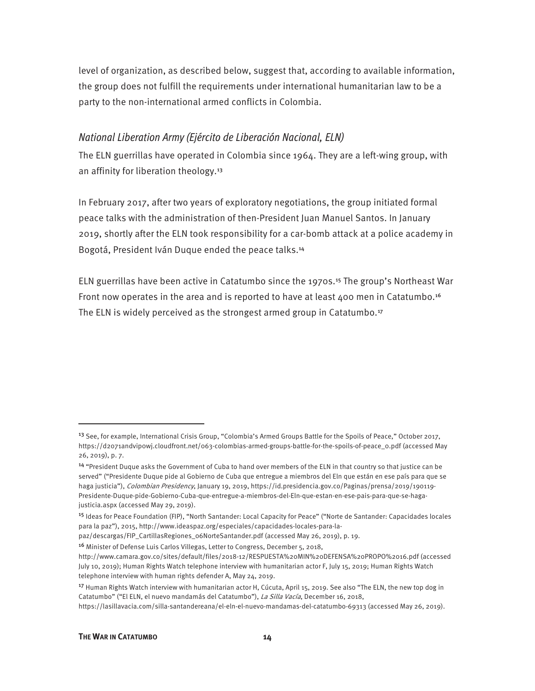level of organization, as described below, suggest that, according to available information, the group does not fulfill the requirements under international humanitarian law to be a party to the non-international armed conflicts in Colombia.

#### *National Liberation Army (Ejército de Liberación Nacional, ELN)*

The ELN guerrillas have operated in Colombia since 1964. They are a left-wing group, with an affinity for liberation theology.<sup>13</sup>

In February 2017, after two years of exploratory negotiations, the group initiated formal peace talks with the administration of then-President Juan Manuel Santos. In January 2019, shortly after the ELN took responsibility for a car-bomb attack at a police academy in Bogotá, President Iván Duque ended the peace talks.<sup>14</sup>

ELN guerrillas have been active in Catatumbo since the 1970s.15 The group's Northeast War Front now operates in the area and is reported to have at least 400 men in Catatumbo.<sup>16</sup> The ELN is widely perceived as the strongest armed group in Catatumbo.<sup>17</sup>

<sup>&</sup>lt;sup>13</sup> See, for example, International Crisis Group, "Colombia's Armed Groups Battle for the Spoils of Peace," October 2017, https://d2071andvip0wj.cloudfront.net/063-colombias-armed-groups-battle-for-the-spoils-of-peace\_0.pdf (accessed May 26, 2019), p. 7.

<sup>14</sup> "President Duque asks the Government of Cuba to hand over members of the ELN in that country so that justice can be served" ("Presidente Duque pide al Gobierno de Cuba que entregue a miembros del Eln que están en ese país para que se haga justicia"), Colombian Presidency, January 19, 2019, https://id.presidencia.gov.co/Paginas/prensa/2019/190119-Presidente-Duque-pide-Gobierno-Cuba-que-entregue-a-miembros-del-Eln-que-estan-en-ese-pais-para-que-se-hagajusticia.aspx (accessed May 29, 2019).

<sup>15</sup> Ideas for Peace Foundation (FIP), "North Santander: Local Capacity for Peace" ("Norte de Santander: Capacidades locales para la paz"), 2015, http://www.ideaspaz.org/especiales/capacidades-locales-para-la-

paz/descargas/FIP\_CartillasRegiones\_06NorteSantander.pdf (accessed May 26, 2019), p. 19.

<sup>16</sup> Minister of Defense Luis Carlos Villegas, Letter to Congress, December 5, 2018, http://www.camara.gov.co/sites/default/files/2018-12/RESPUESTA%20MIN%20DEFENSA%20PROPO%2016.pdf (accessed July 10, 2019); Human Rights Watch telephone interview with humanitarian actor F, July 15, 2019; Human Rights Watch telephone interview with human rights defender A, May 24, 2019.

<sup>&</sup>lt;sup>17</sup> Human Rights Watch interview with humanitarian actor H, Cúcuta, April 15, 2019. See also "The ELN, the new top dog in Catatumbo" ("El ELN, el nuevo mandamás del Catatumbo"), La Silla Vacía, December 16, 2018,

https://lasillavacia.com/silla-santandereana/el-eln-el-nuevo-mandamas-del-catatumbo-69313 (accessed May 26, 2019).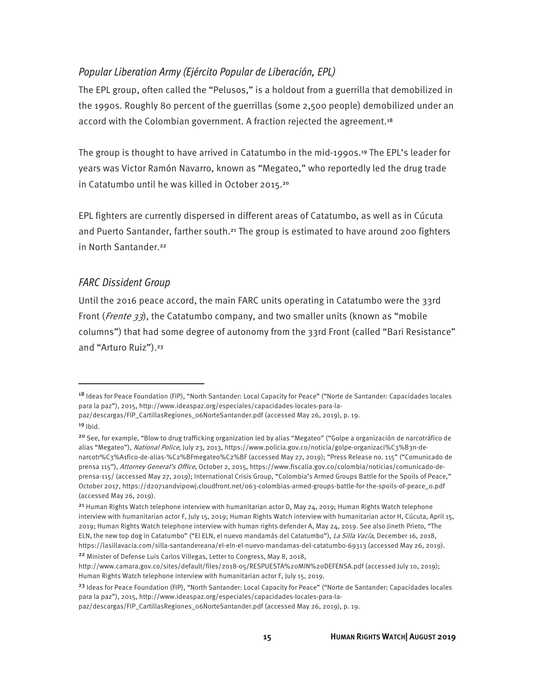#### *Popular Liberation Army (Ejército Popular de Liberación, EPL)*

The EPL group, often called the "Pelusos," is a holdout from a guerrilla that demobilized in the 1990s. Roughly 80 percent of the guerrillas (some 2,500 people) demobilized under an accord with the Colombian government. A fraction rejected the agreement.<sup>18</sup>

The group is thought to have arrived in Catatumbo in the mid-1990s.<sup>19</sup> The EPL's leader for years was Victor Ramón Navarro, known as "Megateo," who reportedly led the drug trade in Catatumbo until he was killed in October 2015.<sup>20</sup>

EPL fighters are currently dispersed in different areas of Catatumbo, as well as in Cúcuta and Puerto Santander, farther south.<sup>21</sup> The group is estimated to have around 200 fighters in North Santander.<sup>22</sup>

#### *FARC Dissident Group*

Until the 2016 peace accord, the main FARC units operating in Catatumbo were the 33rd Front (*Frente* 33), the Catatumbo company, and two smaller units (known as "mobile columns") that had some degree of autonomy from the 33rd Front (called "Bari Resistance" and "Arturo Ruiz").<sup>23</sup>

<sup>&</sup>lt;sup>18</sup> Ideas for Peace Foundation (FIP), "North Santander: Local Capacity for Peace" ("Norte de Santander: Capacidades locales para la paz"), 2015, http://www.ideaspaz.org/especiales/capacidades-locales-para-la-

paz/descargas/FIP\_CartillasRegiones\_06NorteSantander.pdf (accessed May 26, 2019), p. 19.

 $19$  Ibid.

<sup>20</sup> See, for example, "Blow to drug trafficking organization led by alias "Megateo" ("Golpe a organización de narcotráfico de alias "Megateo"), National Police, July 23, 2013, https://www.policia.gov.co/noticia/golpe-organizaci%C3%B3n-denarcotr%C3%A1fico-de-alias-%C2%BFmegateo%C2%BF (accessed May 27, 2019); "Press Release no. 115" ("Comunicado de prensa 115"), Attorney General's Office, October 2, 2015, https://www.fiscalia.gov.co/colombia/noticias/comunicado-deprensa-115/ (accessed May 27, 2019); International Crisis Group, "Colombia's Armed Groups Battle for the Spoils of Peace," October 2017, https://d2071andvip0wj.cloudfront.net/063-colombias-armed-groups-battle-for-the-spoils-of-peace\_0.pdf (accessed May 26, 2019).

<sup>&</sup>lt;sup>21</sup> Human Rights Watch telephone interview with humanitarian actor D, May 24, 2019; Human Rights Watch telephone interview with humanitarian actor F, July 15, 2019; Human Rights Watch interview with humanitarian actor H, Cúcuta, April 15, 2019; Human Rights Watch telephone interview with human rights defender A, May 24, 2019. See also Jineth Prieto, "The ELN, the new top dog in Catatumbo" ("El ELN, el nuevo mandamás del Catatumbo"), La Silla Vacía, December 16, 2018, https://lasillavacia.com/silla-santandereana/el-eln-el-nuevo-mandamas-del-catatumbo-69313 (accessed May 26, 2019). <sup>22</sup> Minister of Defense Luis Carlos Villegas, Letter to Congress, May 8, 2018,

http://www.camara.gov.co/sites/default/files/2018-05/RESPUESTA%20MIN%20DEFENSA.pdf (accessed July 10, 2019); Human Rights Watch telephone interview with humanitarian actor F, July 15, 2019.

<sup>&</sup>lt;sup>23</sup> Ideas for Peace Foundation (FIP), "North Santander: Local Capacity for Peace" ("Norte de Santander: Capacidades locales para la paz"), 2015, http://www.ideaspaz.org/especiales/capacidades-locales-para-la-

paz/descargas/FIP\_CartillasRegiones\_06NorteSantander.pdf (accessed May 26, 2019), p. 19.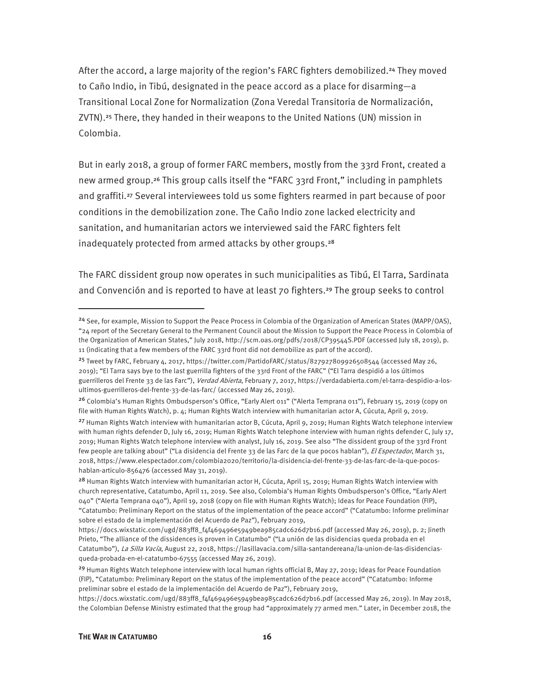After the accord, a large majority of the region's FARC fighters demobilized.<sup>24</sup> They moved to Caño Indio, in Tibú, designated in the peace accord as a place for disarming—a Transitional Local Zone for Normalization (Zona Veredal Transitoria de Normalización, ZVTN).25 There, they handed in their weapons to the United Nations (UN) mission in Colombia.

But in early 2018, a group of former FARC members, mostly from the 33rd Front, created a new armed group.<sup>26</sup> This group calls itself the "FARC 33rd Front," including in pamphlets and graffiti.<sup>27</sup> Several interviewees told us some fighters rearmed in part because of poor conditions in the demobilization zone. The Caño Indio zone lacked electricity and sanitation, and humanitarian actors we interviewed said the FARC fighters felt inadequately protected from armed attacks by other groups.<sup>28</sup>

The FARC dissident group now operates in such municipalities as Tibú, El Tarra, Sardinata and Convención and is reported to have at least 70 fighters.29 The group seeks to control

<sup>&</sup>lt;sup>24</sup> See, for example, Mission to Support the Peace Process in Colombia of the Organization of American States (MAPP/OAS), "24 report of the Secretary General to the Permanent Council about the Mission to Support the Peace Process in Colombia of the Organization of American States," July 2018, http://scm.oas.org/pdfs/2018/CP39544S.PDF (accessed July 18, 2019), p. 11 (indicating that a few members of the FARC 33rd front did not demobilize as part of the accord).

<sup>25</sup> Tweet by FARC, February 4, 2017, https://twitter.com/PartidoFARC/status/827927809926508544 (accessed May 26, 2019); "El Tarra says bye to the last guerrilla fighters of the 33rd Front of the FARC" ("El Tarra despidió a los últimos guerrilleros del Frente 33 de las Farc"), Verdad Abierta, February 7, 2017, https://verdadabierta.com/el-tarra-despidio-a-losultimos-guerrilleros-del-frente-33-de-las-farc/ (accessed May 26, 2019).

<sup>&</sup>lt;sup>26</sup> Colombia's Human Rights Ombudsperson's Office, "Early Alert 011" ("Alerta Temprana 011"), February 15, 2019 (copy on file with Human Rights Watch), p. 4; Human Rights Watch interview with humanitarian actor A, Cúcuta, April 9, 2019.

<sup>&</sup>lt;sup>27</sup> Human Rights Watch interview with humanitarian actor B, Cúcuta, April 9, 2019; Human Rights Watch telephone interview with human rights defender D, July 16, 2019; Human Rights Watch telephone interview with human rights defender C, July 17, 2019; Human Rights Watch telephone interview with analyst, July 16, 2019. See also "The dissident group of the 33rd Front few people are talking about" ("La disidencia del Frente 33 de las Farc de la que pocos hablan"), El Espectador, March 31, 2018, https://www.elespectador.com/colombia2020/territorio/la-disidencia-del-frente-33-de-las-farc-de-la-que-pocoshablan-articulo-856476 (accessed May 31, 2019).

<sup>&</sup>lt;sup>28</sup> Human Rights Watch interview with humanitarian actor H, Cúcuta, April 15, 2019; Human Rights Watch interview with church representative, Catatumbo, April 11, 2019. See also, Colombia's Human Rights Ombudsperson's Office, "Early Alert 040" ("Alerta Temprana 040"), April 19, 2018 (copy on file with Human Rights Watch); Ideas for Peace Foundation (FIP), "Catatumbo: Preliminary Report on the status of the implementation of the peace accord" ("Catatumbo: Informe preliminar sobre el estado de la implementación del Acuerdo de Paz"), February 2019,

https://docs.wixstatic.com/ugd/883ff8\_f4f469496e5949bea985cadc626d7b16.pdf (accessed May 26, 2019), p. 2; Jineth Prieto, "The alliance of the dissidences is proven in Catatumbo" ("La unión de las disidencias queda probada en el Catatumbo"), La Silla Vacía, August 22, 2018, https://lasillavacia.com/silla-santandereana/la-union-de-las-disidenciasqueda-probada-en-el-catatumbo-67555 (accessed May 26, 2019).

<sup>&</sup>lt;sup>29</sup> Human Rights Watch telephone interview with local human rights official B, May 27, 2019; Ideas for Peace Foundation (FIP), "Catatumbo: Preliminary Report on the status of the implementation of the peace accord" ("Catatumbo: Informe preliminar sobre el estado de la implementación del Acuerdo de Paz"), February 2019,

https://docs.wixstatic.com/ugd/883ff8\_f4f469496e5949bea985cadc626d7b16.pdf (accessed May 26, 2019). In May 2018, the Colombian Defense Ministry estimated that the group had "approximately 77 armed men." Later, in December 2018, the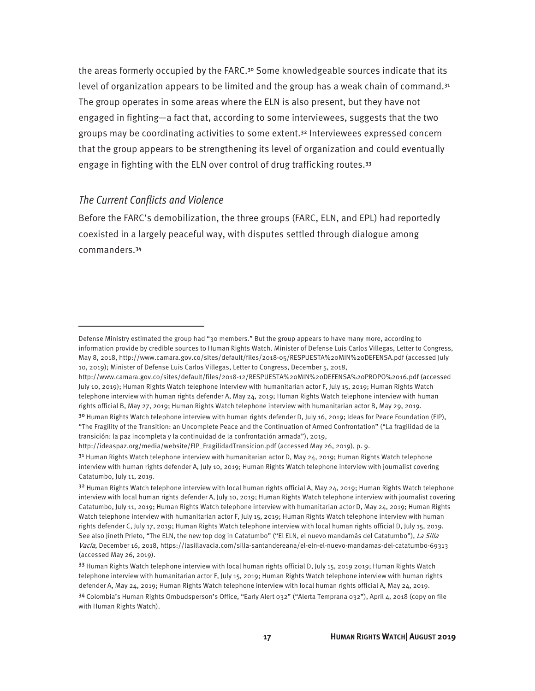the areas formerly occupied by the FARC.30 Some knowledgeable sources indicate that its level of organization appears to be limited and the group has a weak chain of command.<sup>31</sup> The group operates in some areas where the ELN is also present, but they have not engaged in fighting—a fact that, according to some interviewees, suggests that the two groups may be coordinating activities to some extent.32 Interviewees expressed concern that the group appears to be strengthening its level of organization and could eventually engage in fighting with the ELN over control of drug trafficking routes.<sup>33</sup>

#### *The Current Conflicts and Violence*

 $\overline{a}$ 

Before the FARC's demobilization, the three groups (FARC, ELN, and EPL) had reportedly coexisted in a largely peaceful way, with disputes settled through dialogue among commanders.<sup>34</sup>

Defense Ministry estimated the group had "30 members." But the group appears to have many more, according to information provide by credible sources to Human Rights Watch. Minister of Defense Luis Carlos Villegas, Letter to Congress, May 8, 2018, http://www.camara.gov.co/sites/default/files/2018-05/RESPUESTA%20MIN%20DEFENSA.pdf (accessed July 10, 2019); Minister of Defense Luis Carlos Villegas, Letter to Congress, December 5, 2018,

http://www.camara.gov.co/sites/default/files/2018-12/RESPUESTA%20MIN%20DEFENSA%20PROPO%2016.pdf (accessed July 10, 2019); Human Rights Watch telephone interview with humanitarian actor F, July 15, 2019; Human Rights Watch telephone interview with human rights defender A, May 24, 2019; Human Rights Watch telephone interview with human rights official B, May 27, 2019; Human Rights Watch telephone interview with humanitarian actor B, May 29, 2019.

<sup>&</sup>lt;sup>30</sup> Human Rights Watch telephone interview with human rights defender D, July 16, 2019; Ideas for Peace Foundation (FIP), "The Fragility of the Transition: an Uncomplete Peace and the Continuation of Armed Confrontation" ("La fragilidad de la transición: la paz incompleta y la continuidad de la confrontación armada"), 2019,

http://ideaspaz.org/media/website/FIP\_FragilidadTransicion.pdf (accessed May 26, 2019), p. 9.

<sup>&</sup>lt;sup>31</sup> Human Rights Watch telephone interview with humanitarian actor D, May 24, 2019; Human Rights Watch telephone interview with human rights defender A, July 10, 2019; Human Rights Watch telephone interview with journalist covering Catatumbo, July 11, 2019.

<sup>32</sup> Human Rights Watch telephone interview with local human rights official A, May 24, 2019; Human Rights Watch telephone interview with local human rights defender A, July 10, 2019; Human Rights Watch telephone interview with journalist covering Catatumbo, July 11, 2019; Human Rights Watch telephone interview with humanitarian actor D, May 24, 2019; Human Rights Watch telephone interview with humanitarian actor F, July 15, 2019; Human Rights Watch telephone interview with human rights defender C, July 17, 2019; Human Rights Watch telephone interview with local human rights official D, July 15, 2019. See also Jineth Prieto, "The ELN, the new top dog in Catatumbo" ("El ELN, el nuevo mandamás del Catatumbo"), La Silla Vacía, December 16, 2018, https://lasillavacia.com/silla-santandereana/el-eln-el-nuevo-mandamas-del-catatumbo-69313 (accessed May 26, 2019).

<sup>33</sup> Human Rights Watch telephone interview with local human rights official D, July 15, 2019 2019; Human Rights Watch telephone interview with humanitarian actor F, July 15, 2019; Human Rights Watch telephone interview with human rights defender A, May 24, 2019; Human Rights Watch telephone interview with local human rights official A, May 24, 2019.

<sup>34</sup> Colombia's Human Rights Ombudsperson's Office, "Early Alert 032" ("Alerta Temprana 032"), April 4, 2018 (copy on file with Human Rights Watch).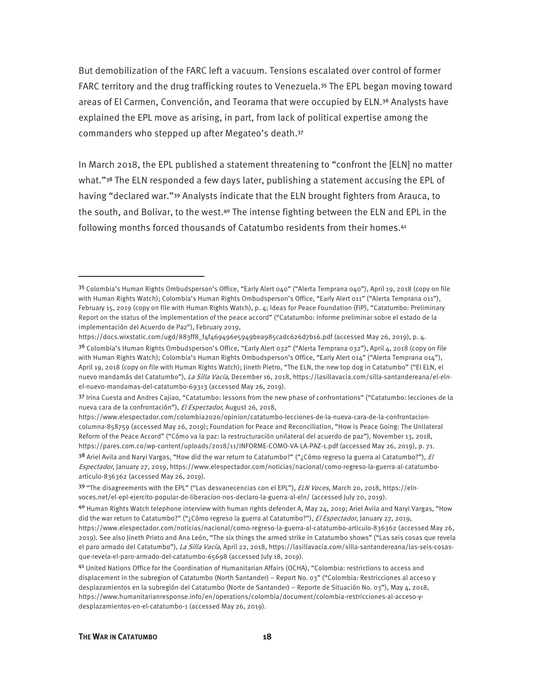But demobilization of the FARC left a vacuum. Tensions escalated over control of former FARC territory and the drug trafficking routes to Venezuela.35 The EPL began moving toward areas of El Carmen, Convención, and Teorama that were occupied by ELN.36 Analysts have explained the EPL move as arising, in part, from lack of political expertise among the commanders who stepped up after Megateo's death.<sup>37</sup>

In March 2018, the EPL published a statement threatening to "confront the [ELN] no matter what."<sup>38</sup> The ELN responded a few days later, publishing a statement accusing the EPL of having "declared war."<sup>39</sup> Analysts indicate that the ELN brought fighters from Arauca, to the south, and Bolivar, to the west.<sup>40</sup> The intense fighting between the ELN and EPL in the following months forced thousands of Catatumbo residents from their homes.<sup>41</sup>

<sup>35</sup> Colombia's Human Rights Ombudsperson's Office, "Early Alert 040" ("Alerta Temprana 040"), April 19, 2018 (copy on file with Human Rights Watch); Colombia's Human Rights Ombudsperson's Office, "Early Alert 011" ("Alerta Temprana 011"), February 15, 2019 (copy on file with Human Rights Watch), p. 4; Ideas for Peace Foundation (FIP), "Catatumbo: Preliminary Report on the status of the implementation of the peace accord" ("Catatumbo: Informe preliminar sobre el estado de la implementación del Acuerdo de Paz"), February 2019,

https://docs.wixstatic.com/ugd/883ff8\_f4f469496e5949bea985cadc626d7b16.pdf (accessed May 26, 2019), p. 4.

<sup>3&</sup>lt;sup>6</sup> Colombia's Human Rights Ombudsperson's Office, "Early Alert 032" ("Alerta Temprana 032"), April 4, 2018 (copy on file with Human Rights Watch); Colombia's Human Rights Ombudsperson's Office, "Early Alert 014" ("Alerta Temprana 014"), April 19, 2018 (copy on file with Human Rights Watch); Jineth Pietro, "The ELN, the new top dog in Catatumbo" ("El ELN, el nuevo mandamás del Catatumbo"), La Silla Vacía, December 16, 2018, https://lasillavacia.com/silla-santandereana/el-elnel-nuevo-mandamas-del-catatumbo-69313 (accessed May 26, 2019).

<sup>37</sup> Irina Cuesta and Andres Cajiao, "Catatumbo: lessons from the new phase of confrontations" ("Catatumbo: lecciones de la nueva cara de la confrontación"), El Espectador, August 26, 2018,

https://www.elespectador.com/colombia2020/opinion/catatumbo-lecciones-de-la-nueva-cara-de-la-confrontacioncolumna-858759 (accessed May 26, 2019); Foundation for Peace and Reconciliation, "How is Peace Going: The Unilateral Reform of the Peace Accord" ("Cómo va la paz: la restructuración unilateral del acuerdo de paz"), November 13, 2018, https://pares.com.co/wp-content/uploads/2018/11/INFORME-COMO-VA-LA-PAZ-1.pdf (accessed May 26, 2019), p. 71.

<sup>38</sup> Ariel Avila and Naryi Vargas, "How did the war return to Catatumbo?" ("¿Cómo regreso la guerra al Catatumbo?"), El Espectador, January 27, 2019, https://www.elespectador.com/noticias/nacional/como-regreso-la-guerra-al-catatumboarticulo-836362 (accessed May 26, 2019).

<sup>39 &</sup>quot;The disagreements with the EPL" ("Las desvanecencias con el EPL"), *ELN Voces*, March 20, 2018, https://elnvoces.net/el-epl-ejercito-popular-de-liberacion-nos-declaro-la-guerra-al-eln/ (accessed July 20, 2019).

<sup>40</sup> Human Rights Watch telephone interview with human rights defender A, May 24, 2019; Ariel Avila and Naryi Vargas, "How did the war return to Catatumbo?" ("¿Cómo regreso la guerra al Catatumbo?"), El Espectador, January 27, 2019, https://www.elespectador.com/noticias/nacional/como-regreso-la-guerra-al-catatumbo-articulo-836362 (accessed May 26, 2019). See also Jineth Prieto and Ana León, "The six things the armed strike in Catatumbo shows" ("Las seis cosas que revela el paro armado del Catatumbo"), La Silla Vacía, April 22, 2018, https://lasillavacia.com/silla-santandereana/las-seis-cosasque-revela-el-paro-armado-del-catatumbo-65698 (accessed July 18, 2019).

<sup>41</sup> United Nations Office for the Coordination of Humanitarian Affairs (OCHA), "Colombia: restrictions to access and displacement in the subregion of Catatumbo (North Santander) – Report No. 03" ("Colombia: Restricciones al acceso y desplazamientos en la subregión del Catatumbo (Norte de Santander) – Reporte de Situación No. 03"), May 4, 2018, https://www.humanitarianresponse.info/en/operations/colombia/document/colombia-restricciones-al-acceso-ydesplazamientos-en-el-catatumbo-1 (accessed May 26, 2019).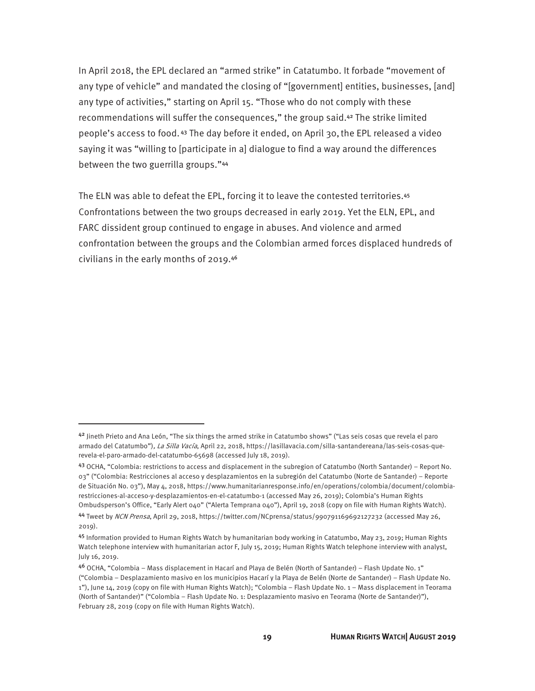In April 2018, the EPL declared an "armed strike" in Catatumbo. It forbade "movement of any type of vehicle" and mandated the closing of "[government] entities, businesses, [and] any type of activities," starting on April 15. "Those who do not comply with these recommendations will suffer the consequences," the group said.42 The strike limited people's access to food. 43 The day before it ended, on April 30,the EPL released a video saying it was "willing to [participate in a] dialogue to find a way around the differences between the two guerrilla groups."<sup>44</sup>

The ELN was able to defeat the EPL, forcing it to leave the contested territories.<sup>45</sup> Confrontations between the two groups decreased in early 2019. Yet the ELN, EPL, and FARC dissident group continued to engage in abuses. And violence and armed confrontation between the groups and the Colombian armed forces displaced hundreds of civilians in the early months of 2019.<sup>46</sup>

<sup>42</sup> Jineth Prieto and Ana León, "The six things the armed strike in Catatumbo shows" ("Las seis cosas que revela el paro armado del Catatumbo"), La Silla Vacía, April 22, 2018, https://lasillavacia.com/silla-santandereana/las-seis-cosas-querevela-el-paro-armado-del-catatumbo-65698 (accessed July 18, 2019).

<sup>43</sup> OCHA, "Colombia: restrictions to access and displacement in the subregion of Catatumbo (North Santander) – Report No. 03" ("Colombia: Restricciones al acceso y desplazamientos en la subregión del Catatumbo (Norte de Santander) – Reporte de Situación No. 03"), May 4, 2018, https://www.humanitarianresponse.info/en/operations/colombia/document/colombiarestricciones-al-acceso-y-desplazamientos-en-el-catatumbo-1 (accessed May 26, 2019); Colombia's Human Rights Ombudsperson's Office, "Early Alert 040" ("Alerta Temprana 040"), April 19, 2018 (copy on file with Human Rights Watch).

<sup>44</sup> Tweet by NCN Prensa, April 29, 2018, https://twitter.com/NCprensa/status/990791169692127232 (accessed May 26, 2019).

<sup>45</sup> Information provided to Human Rights Watch by humanitarian body working in Catatumbo, May 23, 2019; Human Rights Watch telephone interview with humanitarian actor F, July 15, 2019; Human Rights Watch telephone interview with analyst, July 16, 2019.

<sup>46</sup> OCHA, "Colombia – Mass displacement in Hacarí and Playa de Belén (North of Santander) – Flash Update N0. 1" ("Colombia – Desplazamiento masivo en los municipios Hacarí y la Playa de Belén (Norte de Santander) – Flash Update No. 1"), June 14, 2019 (copy on file with Human Rights Watch); "Colombia – Flash Update No. 1 – Mass displacement in Teorama (North of Santander)" ("Colombia – Flash Update No. 1: Desplazamiento masivo en Teorama (Norte de Santander)"), February 28, 2019 (copy on file with Human Rights Watch).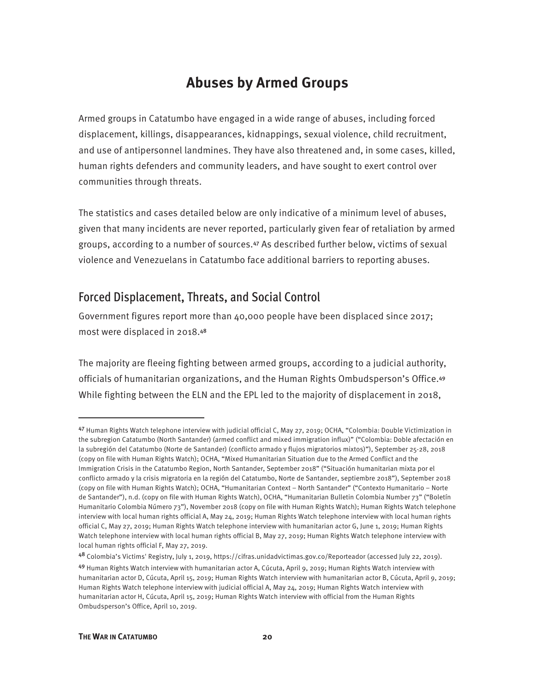### **Abuses by Armed Groups**

Armed groups in Catatumbo have engaged in a wide range of abuses, including forced displacement, killings, disappearances, kidnappings, sexual violence, child recruitment, and use of antipersonnel landmines. They have also threatened and, in some cases, killed, human rights defenders and community leaders, and have sought to exert control over communities through threats.

The statistics and cases detailed below are only indicative of a minimum level of abuses, given that many incidents are never reported, particularly given fear of retaliation by armed groups, according to a number of sources.47 As described further below, victims of sexual violence and Venezuelans in Catatumbo face additional barriers to reporting abuses.

#### Forced Displacement, Threats, and Social Control

Government figures report more than 40,000 people have been displaced since 2017; most were displaced in 2018.<sup>48</sup>

The majority are fleeing fighting between armed groups, according to a judicial authority, officials of humanitarian organizations, and the Human Rights Ombudsperson's Office.<sup>49</sup> While fighting between the ELN and the EPL led to the majority of displacement in 2018,

<sup>47</sup> Human Rights Watch telephone interview with judicial official C, May 27, 2019; OCHA, "Colombia: Double Victimization in the subregion Catatumbo (North Santander) (armed conflict and mixed immigration influx)" ("Colombia: Doble afectación en la subregión del Catatumbo (Norte de Santander) (conflicto armado y flujos migratorios mixtos)"), September 25-28, 2018 (copy on file with Human Rights Watch); OCHA, "Mixed Humanitarian Situation due to the Armed Conflict and the Immigration Crisis in the Catatumbo Region, North Santander, September 2018" ("Situación humanitarian mixta por el conflicto armado y la crisis migratoria en la región del Catatumbo, Norte de Santander, septiembre 2018"), September 2018 (copy on file with Human Rights Watch); OCHA, "Humanitarian Context – North Santander" ("Contexto Humanitario – Norte de Santander"), n.d. (copy on file with Human Rights Watch), OCHA, "Humanitarian Bulletin Colombia Number 73" ("Boletín Humanitario Colombia Número 73"), November 2018 (copy on file with Human Rights Watch); Human Rights Watch telephone interview with local human rights official A, May 24, 2019; Human Rights Watch telephone interview with local human rights official C, May 27, 2019; Human Rights Watch telephone interview with humanitarian actor G, June 1, 2019; Human Rights Watch telephone interview with local human rights official B, May 27, 2019; Human Rights Watch telephone interview with local human rights official F, May 27, 2019.

<sup>48</sup> Colombia's Victims' Registry, July 1, 2019, https://cifras.unidadvictimas.gov.co/Reporteador (accessed July 22, 2019).

<sup>49</sup> Human Rights Watch interview with humanitarian actor A, Cúcuta, April 9, 2019; Human Rights Watch interview with humanitarian actor D, Cúcuta, April 15, 2019; Human Rights Watch interview with humanitarian actor B, Cúcuta, April 9, 2019; Human Rights Watch telephone interview with judicial official A, May 24, 2019; Human Rights Watch interview with humanitarian actor H, Cúcuta, April 15, 2019; Human Rights Watch interview with official from the Human Rights Ombudsperson's Office, April 10, 2019.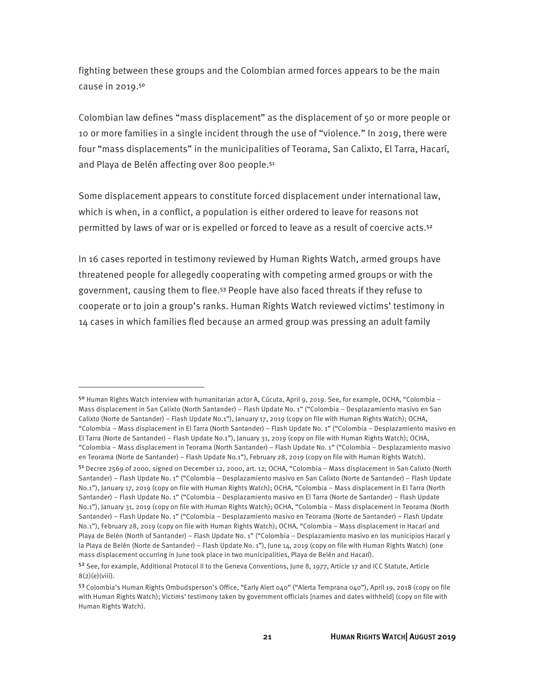fighting between these groups and the Colombian armed forces appears to be the main cause in 2019.<sup>50</sup>

Colombian law defines "mass displacement" as the displacement of 50 or more people or 10 or more families in a single incident through the use of "violence." In 2019, there were four "mass displacements" in the municipalities of Teorama, San Calixto, El Tarra, Hacarí, and Playa de Belén affecting over 800 people.51

Some displacement appears to constitute forced displacement under international law, which is when, in a conflict, a population is either ordered to leave for reasons not permitted by laws of war or is expelled or forced to leave as a result of coercive acts.<sup>52</sup>

In 16 cases reported in testimony reviewed by Human Rights Watch, armed groups have threatened people for allegedly cooperating with competing armed groups or with the government, causing them to flee.53 People have also faced threats if they refuse to cooperate or to join a group's ranks. Human Rights Watch reviewed victims' testimony in 14 cases in which families fled because an armed group was pressing an adult family

<sup>50</sup> Human Rights Watch interview with humanitarian actor A, Cúcuta, April 9, 2019. See, for example, OCHA, "Colombia – Mass displacement in San Calixto (North Santander) – Flash Update No. 1" ("Colombia – Desplazamiento masivo en San Calixto (Norte de Santander) – Flash Update No.1"), January 17, 2019 (copy on file with Human Rights Watch); OCHA, "Colombia – Mass displacement in El Tarra (North Santander) – Flash Update No. 1" ("Colombia – Desplazamiento masivo en El Tarra (Norte de Santander) – Flash Update No.1"), January 31, 2019 (copy on file with Human Rights Watch); OCHA, "Colombia – Mass displacement in Teorama (North Santander) – Flash Update No. 1" ("Colombia – Desplazamiento masivo en Teorama (Norte de Santander) – Flash Update No.1"), February 28, 2019 (copy on file with Human Rights Watch).

<sup>51</sup> Decree 2569 of 2000, signed on December 12, 2000, art. 12; OCHA, "Colombia – Mass displacement in San Calixto (North Santander) – Flash Update No. 1" ("Colombia – Desplazamiento masivo en San Calixto (Norte de Santander) – Flash Update No.1"), January 17, 2019 (copy on file with Human Rights Watch); OCHA, "Colombia – Mass displacement in El Tarra (North Santander) – Flash Update No. 1" ("Colombia – Desplazamiento masivo en El Tarra (Norte de Santander) – Flash Update No.1"), January 31, 2019 (copy on file with Human Rights Watch); OCHA, "Colombia – Mass displacement in Teorama (North Santander) – Flash Update No. 1" ("Colombia – Desplazamiento masivo en Teorama (Norte de Santander) – Flash Update No.1"), February 28, 2019 (copy on file with Human Rights Watch); OCHA, "Colombia – Mass displacement in Hacarí and Playa de Belén (North of Santander) – Flash Update N0. 1" ("Colombia – Desplazamiento masivo en los municipios Hacarí y la Playa de Belén (Norte de Santander) – Flash Update No. 1"), June 14, 2019 (copy on file with Human Rights Watch) (one mass displacement occurring in June took place in two municipalities, Playa de Belén and Hacarí).

<sup>52</sup> See, for example, Additional Protocol II to the Geneva Conventions, June 8, 1977, Article 17 and ICC Statute, Article  $8(2)(e)$ (viii).

<sup>53</sup> Colombia's Human Rights Ombudsperson's Office, "Early Alert 040" ("Alerta Temprana 040"), April 19, 2018 (copy on file with Human Rights Watch); Victims' testimony taken by government officials [names and dates withheld] (copy on file with Human Rights Watch).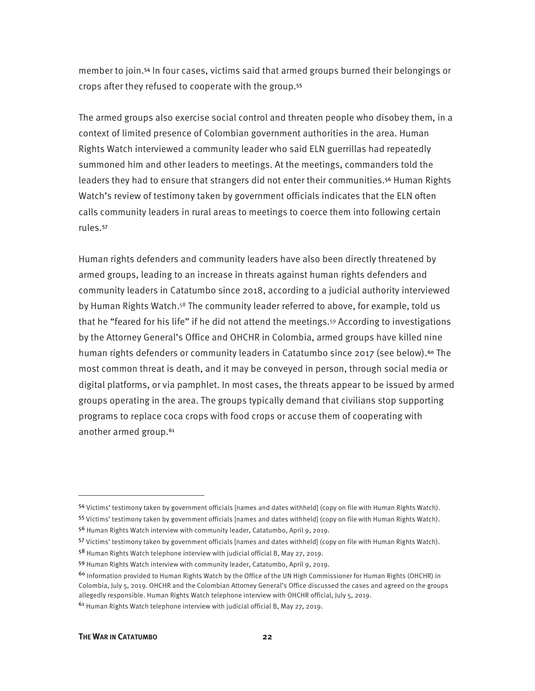member to join.54 In four cases, victims said that armed groups burned their belongings or crops after they refused to cooperate with the group.<sup>55</sup>

The armed groups also exercise social control and threaten people who disobey them, in a context of limited presence of Colombian government authorities in the area. Human Rights Watch interviewed a community leader who said ELN guerrillas had repeatedly summoned him and other leaders to meetings. At the meetings, commanders told the leaders they had to ensure that strangers did not enter their communities.56 Human Rights Watch's review of testimony taken by government officials indicates that the ELN often calls community leaders in rural areas to meetings to coerce them into following certain rules.<sup>57</sup>

Human rights defenders and community leaders have also been directly threatened by armed groups, leading to an increase in threats against human rights defenders and community leaders in Catatumbo since 2018, according to a judicial authority interviewed by Human Rights Watch.<sup>58</sup> The community leader referred to above, for example, told us that he "feared for his life" if he did not attend the meetings.59 According to investigations by the Attorney General's Office and OHCHR in Colombia, armed groups have killed nine human rights defenders or community leaders in Catatumbo since 2017 (see below).<sup>60</sup> The most common threat is death, and it may be conveyed in person, through social media or digital platforms, or via pamphlet. In most cases, the threats appear to be issued by armed groups operating in the area. The groups typically demand that civilians stop supporting programs to replace coca crops with food crops or accuse them of cooperating with another armed group.<sup>61</sup>

<sup>54</sup> Victims' testimony taken by government officials [names and dates withheld] (copy on file with Human Rights Watch).

<sup>55</sup> Victims' testimony taken by government officials [names and dates withheld] (copy on file with Human Rights Watch).

<sup>56</sup> Human Rights Watch interview with community leader, Catatumbo, April 9, 2019.

<sup>57</sup> Victims' testimony taken by government officials [names and dates withheld] (copy on file with Human Rights Watch).

<sup>58</sup> Human Rights Watch telephone interview with judicial official B, May 27, 2019.

<sup>59</sup> Human Rights Watch interview with community leader, Catatumbo, April 9, 2019.

<sup>60</sup> Information provided to Human Rights Watch by the Office of the UN High Commissioner for Human Rights (OHCHR) in Colombia, July 5, 2019. OHCHR and the Colombian Attorney General's Office discussed the cases and agreed on the groups allegedly responsible. Human Rights Watch telephone interview with OHCHR official, July 5, 2019.

<sup>61</sup> Human Rights Watch telephone interview with judicial official B, May 27, 2019.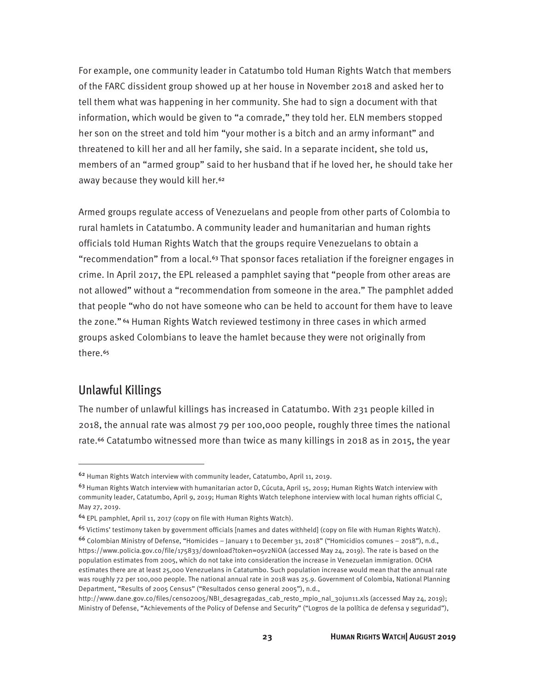For example, one community leader in Catatumbo told Human Rights Watch that members of the FARC dissident group showed up at her house in November 2018 and asked her to tell them what was happening in her community. She had to sign a document with that information, which would be given to "a comrade," they told her. ELN members stopped her son on the street and told him "your mother is a bitch and an army informant" and threatened to kill her and all her family, she said. In a separate incident, she told us, members of an "armed group" said to her husband that if he loved her, he should take her away because they would kill her.<sup>62</sup>

Armed groups regulate access of Venezuelans and people from other parts of Colombia to rural hamlets in Catatumbo. A community leader and humanitarian and human rights officials told Human Rights Watch that the groups require Venezuelans to obtain a "recommendation" from a local.<sup>63</sup> That sponsor faces retaliation if the foreigner engages in crime. In April 2017, the EPL released a pamphlet saying that "people from other areas are not allowed" without a "recommendation from someone in the area." The pamphlet added that people "who do not have someone who can be held to account for them have to leave the zone." 64 Human Rights Watch reviewed testimony in three cases in which armed groups asked Colombians to leave the hamlet because they were not originally from there.<sup>65</sup>

#### Unlawful Killings

 $\overline{a}$ 

The number of unlawful killings has increased in Catatumbo. With 231 people killed in 2018, the annual rate was almost 79 per 100,000 people, roughly three times the national rate.<sup>66</sup> Catatumbo witnessed more than twice as many killings in 2018 as in 2015, the year

<sup>62</sup> Human Rights Watch interview with community leader, Catatumbo, April 11, 2019.

 $63$  Human Rights Watch interview with humanitarian actor D, Cúcuta, April 15, 2019; Human Rights Watch interview with community leader, Catatumbo, April 9, 2019; Human Rights Watch telephone interview with local human rights official C, May 27, 2019.

<sup>64</sup> EPL pamphlet, April 11, 2017 (copy on file with Human Rights Watch).

<sup>&</sup>lt;sup>65</sup> Victims' testimony taken by government officials [names and dates withheld] (copy on file with Human Rights Watch).

<sup>66</sup> Colombian Ministry of Defense, "Homicides – January 1 to December 31, 2018" ("Homicidios comunes – 2018"), n.d., https://www.policia.gov.co/file/175833/download?token=o5v2NiOA (accessed May 24, 2019). The rate is based on the population estimates from 2005, which do not take into consideration the increase in Venezuelan immigration. OCHA estimates there are at least 25,000 Venezuelans in Catatumbo. Such population increase would mean that the annual rate was roughly 72 per 100,000 people. The national annual rate in 2018 was 25.9. Government of Colombia, National Planning Department, "Results of 2005 Census" ("Resultados censo general 2005"), n.d.,

http://www.dane.gov.co/files/censo2005/NBI\_desagregadas\_cab\_resto\_mpio\_nal\_30jun11.xls (accessed May 24, 2019); Ministry of Defense, "Achievements of the Policy of Defense and Security" ("Logros de la política de defensa y seguridad"),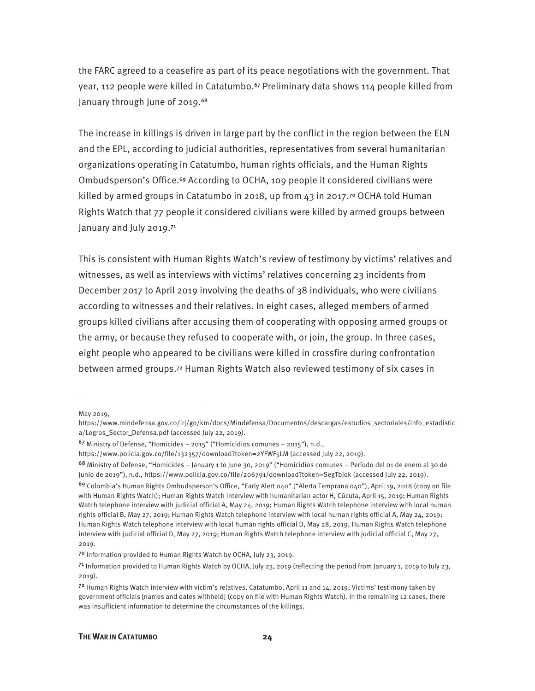the FARC agreed to a ceasefire as part of its peace negotiations with the government. That year, 112 people were killed in Catatumbo.<sup>67</sup> Preliminary data shows 114 people killed from January through June of 2019.<sup>68</sup>

The increase in killings is driven in large part by the conflict in the region between the ELN and the EPL, according to judicial authorities, representatives from several humanitarian organizations operating in Catatumbo, human rights officials, and the Human Rights Ombudsperson's Office.69 According to OCHA, 109 people it considered civilians were killed by armed groups in Catatumbo in 2018, up from 43 in 2017.<sup>70</sup> OCHA told Human Rights Watch that 77 people it considered civilians were killed by armed groups between January and July 2019.<sup>71</sup>

This is consistent with Human Rights Watch's review of testimony by victims' relatives and witnesses, as well as interviews with victims' relatives concerning 23 incidents from December 2017 to April 2019 involving the deaths of 38 individuals, who were civilians according to witnesses and their relatives. In eight cases, alleged members of armed groups killed civilians after accusing them of cooperating with opposing armed groups or the army, or because they refused to cooperate with, or join, the group. In three cases, eight people who appeared to be civilians were killed in crossfire during confrontation between armed groups.72 Human Rights Watch also reviewed testimony of six cases in

<u>.</u>

May 2019,

https://www.mindefensa.gov.co/irj/go/km/docs/Mindefensa/Documentos/descargas/estudios\_sectoriales/info\_estadistic a/Logros\_Sector\_Defensa.pdf (accessed July 22, 2019).

<sup>67</sup> Ministry of Defense, "Homicides – 2015" ("Homicidios comunes – 2015"), n.d.,

https://www.policia.gov.co/file/132357/download?token=2YFWF5LM (accessed July 22, 2019).

<sup>68</sup> Ministry of Defense, "Homicides – January 1 to June 30, 2019" ("Homicidios comunes – Período del 01 de enero al 30 de junio de 2019"), n.d., https://www.policia.gov.co/file/206791/download?token=SegTbjok (accessed July 22, 2019).

<sup>69</sup> Colombia's Human Rights Ombudsperson's Office, "Early Alert 040" ("Alerta Temprana 040"), April 19, 2018 (copy on file with Human Rights Watch); Human Rights Watch interview with humanitarian actor H, Cúcuta, April 15, 2019; Human Rights Watch telephone interview with judicial official A, May 24, 2019; Human Rights Watch telephone interview with local human rights official B, May 27, 2019; Human Rights Watch telephone interview with local human rights official A, May 24, 2019; Human Rights Watch telephone interview with local human rights official D, May 28, 2019; Human Rights Watch telephone interview with judicial official D, May 27, 2019; Human Rights Watch telephone interview with judicial official C, May 27, 2019.

<sup>70</sup> Information provided to Human Rights Watch by OCHA, July 23, 2019.

 $71$  Information provided to Human Rights Watch by OCHA, July 23, 2019 (reflecting the period from January 1, 2019 to July 23, 2019).

 $72$  Human Rights Watch interview with victim's relatives, Catatumbo, April 11 and 14, 2019; Victims' testimony taken by government officials [names and dates withheld] (copy on file with Human Rights Watch). In the remaining 12 cases, there was insufficient information to determine the circumstances of the killings.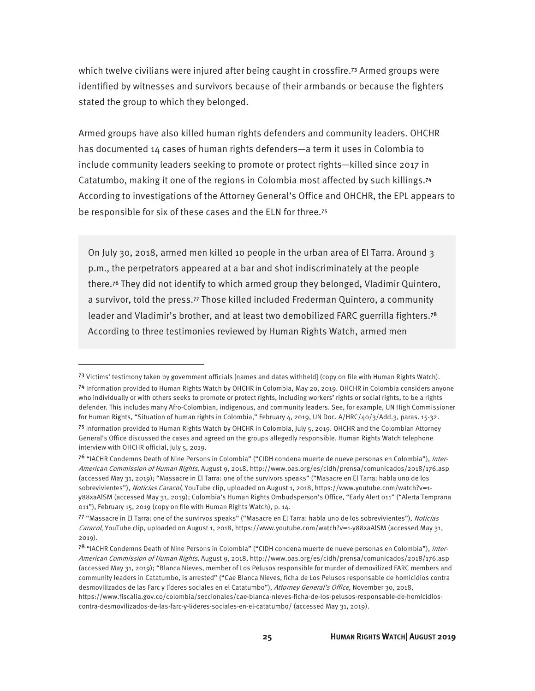which twelve civilians were injured after being caught in crossfire.<sup>73</sup> Armed groups were identified by witnesses and survivors because of their armbands or because the fighters stated the group to which they belonged.

Armed groups have also killed human rights defenders and community leaders. OHCHR has documented 14 cases of human rights defenders—a term it uses in Colombia to include community leaders seeking to promote or protect rights—killed since 2017 in Catatumbo, making it one of the regions in Colombia most affected by such killings.<sup>74</sup> According to investigations of the Attorney General's Office and OHCHR, the EPL appears to be responsible for six of these cases and the ELN for three.<sup>75</sup>

On July 30, 2018, armed men killed 10 people in the urban area of El Tarra. Around 3 p.m., the perpetrators appeared at a bar and shot indiscriminately at the people there.76 They did not identify to which armed group they belonged, Vladimir Quintero, a survivor, told the press.77 Those killed included Frederman Quintero, a community leader and Vladimir's brother, and at least two demobilized FARC guerrilla fighters.<sup>78</sup> According to three testimonies reviewed by Human Rights Watch, armed men

<sup>73</sup> Victims' testimony taken by government officials [names and dates withheld] (copy on file with Human Rights Watch). <sup>74</sup> Information provided to Human Rights Watch by OHCHR in Colombia, May 20, 2019. OHCHR in Colombia considers anyone who individually or with others seeks to promote or protect rights, including workers' rights or social rights, to be a rights defender. This includes many Afro-Colombian, indigenous, and community leaders. See, for example, UN High Commissioner for Human Rights, "Situation of human rights in Colombia," February 4, 2019, UN Doc. A/HRC/40/3/Add.3, paras. 15-32. <sup>75</sup> Information provided to Human Rights Watch by OHCHR in Colombia, July 5, 2019. OHCHR and the Colombian Attorney General's Office discussed the cases and agreed on the groups allegedly responsible. Human Rights Watch telephone interview with OHCHR official, July 5, 2019.

<sup>76 &</sup>quot;IACHR Condemns Death of Nine Persons in Colombia" ("CIDH condena muerte de nueve personas en Colombia"), Inter-American Commission of Human Rights, August 9, 2018, http://www.oas.org/es/cidh/prensa/comunicados/2018/176.asp (accessed May 31, 2019); "Massacre in El Tarra: one of the survivors speaks" ("Masacre en El Tarra: habla uno de los sobrevivientes"), Noticias Caracol, YouTube clip, uploaded on August 1, 2018, https://www.youtube.com/watch?v=1y88xaAlSM (accessed May 31, 2019); Colombia's Human Rights Ombudsperson's Office, "Early Alert 011" ("Alerta Temprana 011"), February 15, 2019 (copy on file with Human Rights Watch), p. 14.

<sup>77 &</sup>quot;Massacre in El Tarra: one of the survirvos speaks" ("Masacre en El Tarra: habla uno de los sobrevivientes"), Noticias Caracol, YouTube clip, uploaded on August 1, 2018, https://www.youtube.com/watch?v=1-y88xaAlSM (accessed May 31, 2019).

<sup>78 &</sup>quot;IACHR Condemns Death of Nine Persons in Colombia" ("CIDH condena muerte de nueve personas en Colombia"), Inter-American Commission of Human Rights, August 9, 2018, http://www.oas.org/es/cidh/prensa/comunicados/2018/176.asp (accessed May 31, 2019); "Blanca Nieves, member of Los Pelusos responsible for murder of demovilized FARC members and community leaders in Catatumbo, is arrested" ("Cae Blanca Nieves, ficha de Los Pelusos responsable de homicidios contra desmovilizados de las Farc y líderes sociales en el Catatumbo"), Attorney General's Office, November 30, 2018, https://www.fiscalia.gov.co/colombia/seccionales/cae-blanca-nieves-ficha-de-los-pelusos-responsable-de-homicidioscontra-desmovilizados-de-las-farc-y-lideres-sociales-en-el-catatumbo/ (accessed May 31, 2019).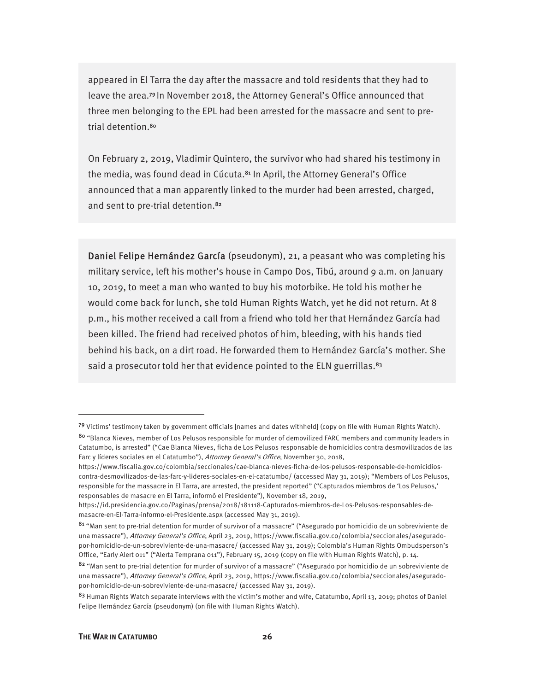appeared in El Tarra the day after the massacre and told residents that they had to leave the area.79 In November 2018, the Attorney General's Office announced that three men belonging to the EPL had been arrested for the massacre and sent to pretrial detention.<sup>80</sup>

On February 2, 2019, Vladimir Quintero, the survivor who had shared his testimony in the media, was found dead in Cúcuta.<sup>81</sup> In April, the Attorney General's Office announced that a man apparently linked to the murder had been arrested, charged, and sent to pre-trial detention.<sup>82</sup>

Daniel Felipe Hernández García (pseudonym), 21, a peasant who was completing his military service, left his mother's house in Campo Dos, Tibú, around 9 a.m. on January 10, 2019, to meet a man who wanted to buy his motorbike. He told his mother he would come back for lunch, she told Human Rights Watch, yet he did not return. At 8 p.m., his mother received a call from a friend who told her that Hernández García had been killed. The friend had received photos of him, bleeding, with his hands tied behind his back, on a dirt road. He forwarded them to Hernández García's mother. She said a prosecutor told her that evidence pointed to the ELN guerrillas.<sup>83</sup>

<sup>79</sup> Victims' testimony taken by government officials [names and dates withheld] (copy on file with Human Rights Watch).

<sup>80</sup> "Blanca Nieves, member of Los Pelusos responsible for murder of demovilized FARC members and community leaders in Catatumbo, is arrested" ("Cae Blanca Nieves, ficha de Los Pelusos responsable de homicidios contra desmovilizados de las Farc y líderes sociales en el Catatumbo"), Attorney General's Office, November 30, 2018,

https://www.fiscalia.gov.co/colombia/seccionales/cae-blanca-nieves-ficha-de-los-pelusos-responsable-de-homicidioscontra-desmovilizados-de-las-farc-y-lideres-sociales-en-el-catatumbo/ (accessed May 31, 2019); "Members of Los Pelusos, responsible for the massacre in El Tarra, are arrested, the president reported" ("Capturados miembros de 'Los Pelusos,' responsables de masacre en El Tarra, informó el Presidente"), November 18, 2019,

https://id.presidencia.gov.co/Paginas/prensa/2018/181118-Capturados-miembros-de-Los-Pelusos-responsables-demasacre-en-El-Tarra-informo-el-Presidente.aspx (accessed May 31, 2019).

<sup>81</sup> "Man sent to pre-trial detention for murder of survivor of a massacre" ("Asegurado por homicidio de un sobreviviente de una massacre"), Attorney General's Office, April 23, 2019, https://www.fiscalia.gov.co/colombia/seccionales/aseguradopor-homicidio-de-un-sobreviviente-de-una-masacre/ (accessed May 31, 2019); Colombia's Human Rights Ombudsperson's Office, "Early Alert 011" ("Alerta Temprana 011"), February 15, 2019 (copy on file with Human Rights Watch), p. 14.

<sup>82 &</sup>quot;Man sent to pre-trial detention for murder of survivor of a massacre" ("Asegurado por homicidio de un sobreviviente de una massacre"), Attorney General's Office, April 23, 2019, https://www.fiscalia.gov.co/colombia/seccionales/aseguradopor-homicidio-de-un-sobreviviente-de-una-masacre/ (accessed May 31, 2019).

<sup>83</sup> Human Rights Watch separate interviews with the victim's mother and wife, Catatumbo, April 13, 2019; photos of Daniel Felipe Hernández García (pseudonym) (on file with Human Rights Watch).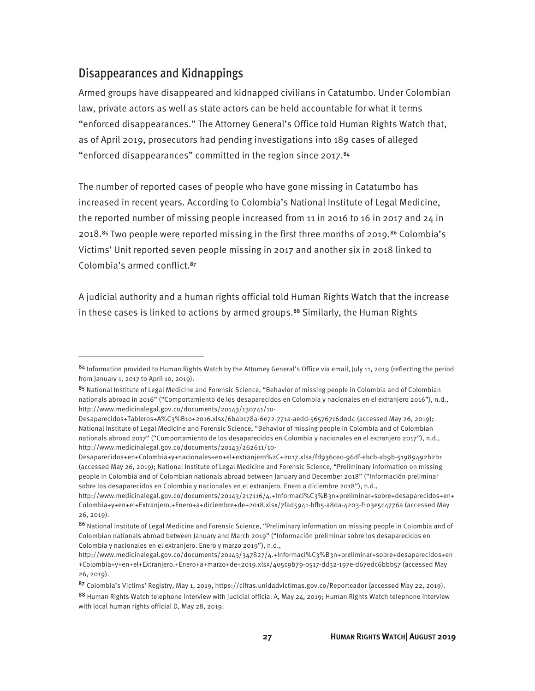#### Disappearances and Kidnappings

 $\overline{a}$ 

Armed groups have disappeared and kidnapped civilians in Catatumbo. Under Colombian law, private actors as well as state actors can be held accountable for what it terms "enforced disappearances." The Attorney General's Office told Human Rights Watch that, as of April 2019, prosecutors had pending investigations into 189 cases of alleged "enforced disappearances" committed in the region since 2017.<sup>84</sup>

The number of reported cases of people who have gone missing in Catatumbo has increased in recent years. According to Colombia's National Institute of Legal Medicine, the reported number of missing people increased from 11 in 2016 to 16 in 2017 and 24 in 2018.85 Two people were reported missing in the first three months of 2019.86 Colombia's Victims' Unit reported seven people missing in 2017 and another six in 2018 linked to Colombia's armed conflict.<sup>87</sup>

A judicial authority and a human rights official told Human Rights Watch that the increase in these cases is linked to actions by armed groups.<sup>88</sup> Similarly, the Human Rights

<sup>84</sup> Information provided to Human Rights Watch by the Attorney General's Office via email, July 11, 2019 (reflecting the period from January 1, 2017 to April 10, 2019).

<sup>85</sup> National Institute of Legal Medicine and Forensic Science, "Behavior of missing people in Colombia and of Colombian nationals abroad in 2016" ("Comportamiento de los desaparecidos en Colombia y nacionales en el extranjero 2016"), n.d., http://www.medicinalegal.gov.co/documents/20143/130741/10-

Desaparecidos+Tableros+A%C3%B1o+2016.xlsx/6bab178a-6e72-771a-aedd-56576716d0d4 (accessed May 26, 2019); National Institute of Legal Medicine and Forensic Science, "Behavior of missing people in Colombia and of Colombian nationals abroad 2017" ("Comportamiento de los desaparecidos en Colombia y nacionales en el extranjero 2017"), n.d., http://www.medicinalegal.gov.co/documents/20143/262611/10-

Desaparecidos+en+Colombia+y+nacionales+en+el+extranjero%2C+2017.xlsx/fd936ce0-96df-ebcb-ab9b-51989492b2b1 (accessed May 26, 2019); National Institute of Legal Medicine and Forensic Science, "Preliminary information on missing people in Colombia and of Colombian nationals abroad between January and December 2018" ("Información preliminar sobre los desaparecidos en Colombia y nacionales en el extranjero. Enero a diciembre 2018"), n.d.,

http://www.medicinalegal.gov.co/documents/20143/217116/4.+Informaci%C3%B3n+preliminar+sobre+desaparecidos+en+ Colombia+y+en+el+Extranjero.+Enero+a+diciembre+de+2018.xlsx/7fad5941-bfb5-a8da-4203-f103e5c4776a (accessed May 26, 2019).

<sup>86</sup> National Institute of Legal Medicine and Forensic Science, "Preliminary information on missing people in Colombia and of Colombian nationals abroad between January and March 2019" ("Información preliminar sobre los desaparecidos en Colombia y nacionales en el extranjero. Enero y marzo 2019"), n.d.,

http://www.medicinalegal.gov.co/documents/20143/347827/4.+Informaci%C3%B3n+preliminar+sobre+desaparecidos+en +Colombia+y+en+el+Extranjero.+Enero+a+marzo+de+2019.xlsx/405c9b79-0517-dd32-197e-d67edc6bbb57 (accessed May 26, 2019).

<sup>87</sup> Colombia's Victims' Registry, May 1, 2019, https://cifras.unidadvictimas.gov.co/Reporteador (accessed May 22, 2019).

<sup>88</sup> Human Rights Watch telephone interview with judicial official A, May 24, 2019; Human Rights Watch telephone interview with local human rights official D, May 28, 2019.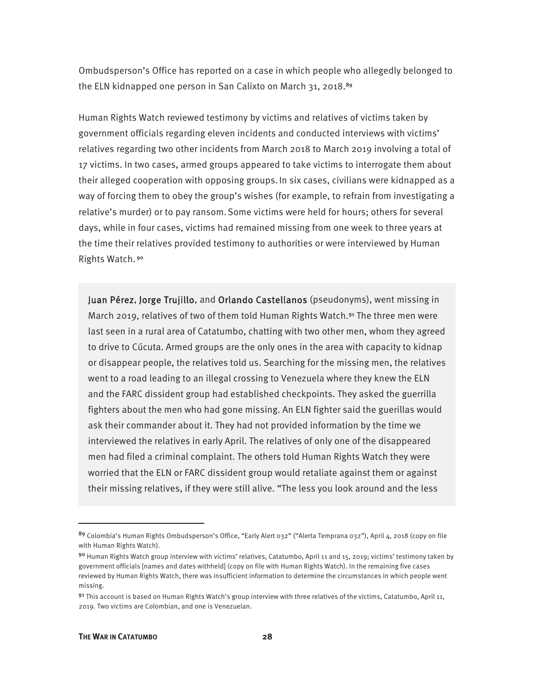Ombudsperson's Office has reported on a case in which people who allegedly belonged to the ELN kidnapped one person in San Calixto on March 31, 2018.89

Human Rights Watch reviewed testimony by victims and relatives of victims taken by government officials regarding eleven incidents and conducted interviews with victims' relatives regarding two other incidents from March 2018 to March 2019 involving a total of 17 victims. In two cases, armed groups appeared to take victims to interrogate them about their alleged cooperation with opposing groups.In six cases, civilians were kidnapped as a way of forcing them to obey the group's wishes (for example, to refrain from investigating a relative's murder) or to pay ransom.Some victims were held for hours; others for several days, while in four cases, victims had remained missing from one week to three years at the time their relatives provided testimony to authorities or were interviewed by Human Rights Watch.<sup>90</sup>

Juan Pérez, Jorge Trujillo, and Orlando Castellanos (pseudonyms), went missing in March 2019, relatives of two of them told Human Rights Watch.91 The three men were last seen in a rural area of Catatumbo, chatting with two other men, whom they agreed to drive to Cúcuta. Armed groups are the only ones in the area with capacity to kidnap or disappear people, the relatives told us. Searching for the missing men, the relatives went to a road leading to an illegal crossing to Venezuela where they knew the ELN and the FARC dissident group had established checkpoints. They asked the guerrilla fighters about the men who had gone missing. An ELN fighter said the guerillas would ask their commander about it. They had not provided information by the time we interviewed the relatives in early April. The relatives of only one of the disappeared men had filed a criminal complaint. The others told Human Rights Watch they were worried that the ELN or FARC dissident group would retaliate against them or against their missing relatives, if they were still alive. "The less you look around and the less

<sup>89</sup> Colombia's Human Rights Ombudsperson's Office, "Early Alert 032" ("Alerta Temprana 032"), April 4, 2018 (copy on file with Human Rights Watch).

<sup>90</sup> Human Rights Watch group interview with victims' relatives, Catatumbo, April 11 and 15, 2019; victims' testimony taken by government officials [names and dates withheld] (copy on file with Human Rights Watch). In the remaining five cases reviewed by Human Rights Watch, there was insufficient information to determine the circumstances in which people went missing.

<sup>91</sup> This account is based on Human Rights Watch's group interview with three relatives of the victims, Catatumbo, April 11, 2019. Two victims are Colombian, and one is Venezuelan.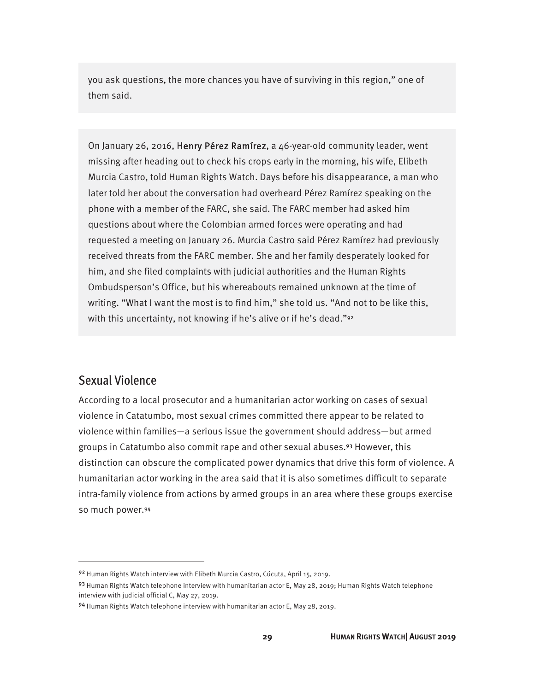you ask questions, the more chances you have of surviving in this region," one of them said.

On January 26, 2016, Henry Pérez Ramírez, a 46-year-old community leader, went missing after heading out to check his crops early in the morning, his wife, Elibeth Murcia Castro, told Human Rights Watch. Days before his disappearance, a man who later told her about the conversation had overheard Pérez Ramírez speaking on the phone with a member of the FARC, she said. The FARC member had asked him questions about where the Colombian armed forces were operating and had requested a meeting on January 26. Murcia Castro said Pérez Ramírez had previously received threats from the FARC member. She and her family desperately looked for him, and she filed complaints with judicial authorities and the Human Rights Ombudsperson's Office, but his whereabouts remained unknown at the time of writing. "What I want the most is to find him," she told us. "And not to be like this, with this uncertainty, not knowing if he's alive or if he's dead."92

#### Sexual Violence

 $\overline{a}$ 

According to a local prosecutor and a humanitarian actor working on cases of sexual violence in Catatumbo, most sexual crimes committed there appear to be related to violence within families—a serious issue the government should address—but armed groups in Catatumbo also commit rape and other sexual abuses.93 However, this distinction can obscure the complicated power dynamics that drive this form of violence. A humanitarian actor working in the area said that it is also sometimes difficult to separate intra-family violence from actions by armed groups in an area where these groups exercise so much power.<sup>94</sup>

<sup>92</sup> Human Rights Watch interview with Elibeth Murcia Castro, Cúcuta, April 15, 2019.

<sup>93</sup> Human Rights Watch telephone interview with humanitarian actor E, May 28, 2019; Human Rights Watch telephone interview with judicial official C, May 27, 2019.

<sup>94</sup> Human Rights Watch telephone interview with humanitarian actor E, May 28, 2019.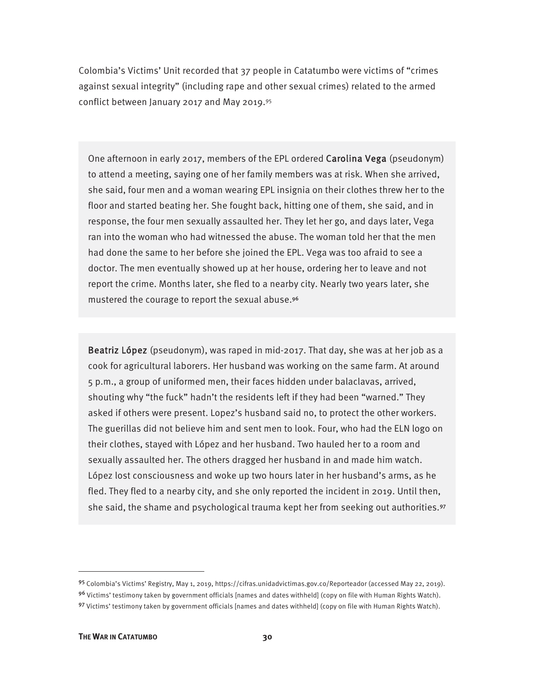Colombia's Victims' Unit recorded that 37 people in Catatumbo were victims of "crimes against sexual integrity" (including rape and other sexual crimes) related to the armed conflict between January 2017 and May 2019.95

One afternoon in early 2017, members of the EPL ordered Carolina Vega (pseudonym) to attend a meeting, saying one of her family members was at risk. When she arrived, she said, four men and a woman wearing EPL insignia on their clothes threw her to the floor and started beating her. She fought back, hitting one of them, she said, and in response, the four men sexually assaulted her. They let her go, and days later, Vega ran into the woman who had witnessed the abuse. The woman told her that the men had done the same to her before she joined the EPL. Vega was too afraid to see a doctor. The men eventually showed up at her house, ordering her to leave and not report the crime. Months later, she fled to a nearby city. Nearly two years later, she mustered the courage to report the sexual abuse.<sup>96</sup>

Beatriz López (pseudonym), was raped in mid-2017. That day, she was at her job as a cook for agricultural laborers. Her husband was working on the same farm. At around 5 p.m., a group of uniformed men, their faces hidden under balaclavas, arrived, shouting why "the fuck" hadn't the residents left if they had been "warned." They asked if others were present. Lopez's husband said no, to protect the other workers. The guerillas did not believe him and sent men to look. Four, who had the ELN logo on their clothes, stayed with López and her husband. Two hauled her to a room and sexually assaulted her. The others dragged her husband in and made him watch. López lost consciousness and woke up two hours later in her husband's arms, as he fled. They fled to a nearby city, and she only reported the incident in 2019. Until then, she said, the shame and psychological trauma kept her from seeking out authorities.<sup>97</sup>

<sup>95</sup> Colombia's Victims' Registry, May 1, 2019, https://cifras.unidadvictimas.gov.co/Reporteador (accessed May 22, 2019).

<sup>96</sup> Victims' testimony taken by government officials [names and dates withheld] (copy on file with Human Rights Watch). 97 Victims' testimony taken by government officials [names and dates withheld] (copy on file with Human Rights Watch).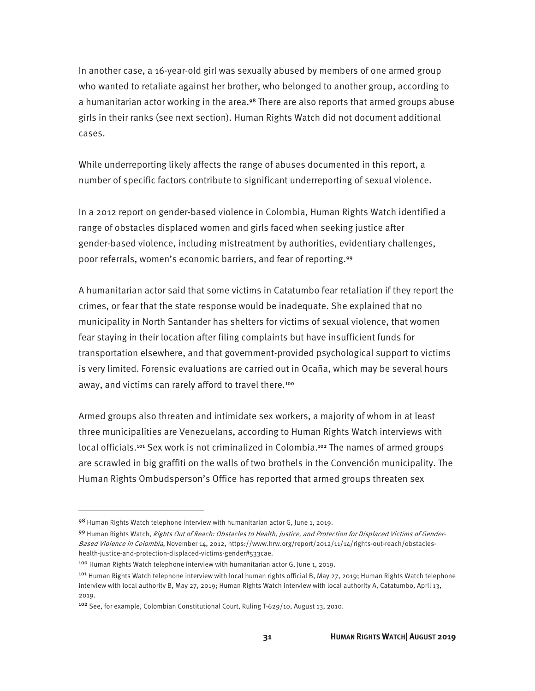In another case, a 16-year-old girl was sexually abused by members of one armed group who wanted to retaliate against her brother, who belonged to another group, according to a humanitarian actor working in the area.<sup>98</sup> There are also reports that armed groups abuse girls in their ranks (see next section). Human Rights Watch did not document additional cases.

While underreporting likely affects the range of abuses documented in this report, a number of specific factors contribute to significant underreporting of sexual violence.

In a 2012 report on gender-based violence in Colombia, Human Rights Watch identified a range of obstacles displaced women and girls faced when seeking justice after gender-based violence, including mistreatment by authorities, evidentiary challenges, poor referrals, women's economic barriers, and fear of reporting.<sup>99</sup>

A humanitarian actor said that some victims in Catatumbo fear retaliation if they report the crimes, or fear that the state response would be inadequate. She explained that no municipality in North Santander has shelters for victims of sexual violence, that women fear staying in their location after filing complaints but have insufficient funds for transportation elsewhere, and that government-provided psychological support to victims is very limited. Forensic evaluations are carried out in Ocaña, which may be several hours away, and victims can rarely afford to travel there.<sup>100</sup>

Armed groups also threaten and intimidate sex workers, a majority of whom in at least three municipalities are Venezuelans, according to Human Rights Watch interviews with local officials.<sup>101</sup> Sex work is not criminalized in Colombia.<sup>102</sup> The names of armed groups are scrawled in big graffiti on the walls of two brothels in the Convención municipality. The Human Rights Ombudsperson's Office has reported that armed groups threaten sex

<sup>98</sup> Human Rights Watch telephone interview with humanitarian actor G, June 1, 2019.

<sup>99</sup> Human Rights Watch, Rights Out of Reach: Obstacles to Health, Justice, and Protection for Displaced Victims of Gender-Based Violence in Colombia, November 14, 2012, https://www.hrw.org/report/2012/11/14/rights-out-reach/obstacleshealth-justice-and-protection-displaced-victims-gender#533cae.

<sup>100</sup> Human Rights Watch telephone interview with humanitarian actor G, June 1, 2019.

<sup>&</sup>lt;sup>101</sup> Human Rights Watch telephone interview with local human rights official B, May 27, 2019; Human Rights Watch telephone interview with local authority B, May 27, 2019; Human Rights Watch interview with local authority A, Catatumbo, April 13, 2019.

<sup>102</sup> See, for example, Colombian Constitutional Court, Ruling T-629/10, August 13, 2010.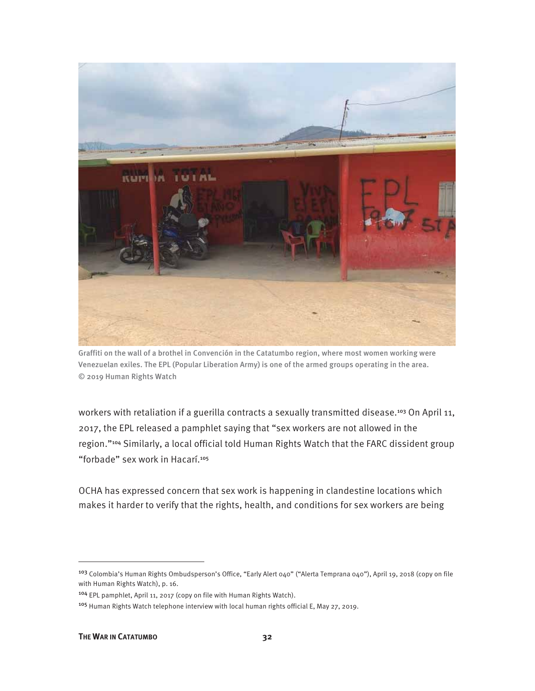

Graffiti on the wall of a brothel in Convención in the Catatumbo region, where most women working were Venezuelan exiles. The EPL (Popular Liberation Army) is one of the armed groups operating in the area. © 2019 Human Rights Watch

workers with retaliation if a guerilla contracts a sexually transmitted disease.<sup>103</sup> On April 11, 2017, the EPL released a pamphlet saying that "sex workers are not allowed in the region."104 Similarly, a local official told Human Rights Watch that the FARC dissident group "forbade" sex work in Hacarí.<sup>105</sup>

OCHA has expressed concern that sex work is happening in clandestine locations which makes it harder to verify that the rights, health, and conditions for sex workers are being

<sup>103</sup> Colombia's Human Rights Ombudsperson's Office, "Early Alert 040" ("Alerta Temprana 040"), April 19, 2018 (copy on file with Human Rights Watch), p. 16.

<sup>104</sup> EPL pamphlet, April 11, 2017 (copy on file with Human Rights Watch).

<sup>105</sup> Human Rights Watch telephone interview with local human rights official E, May 27, 2019.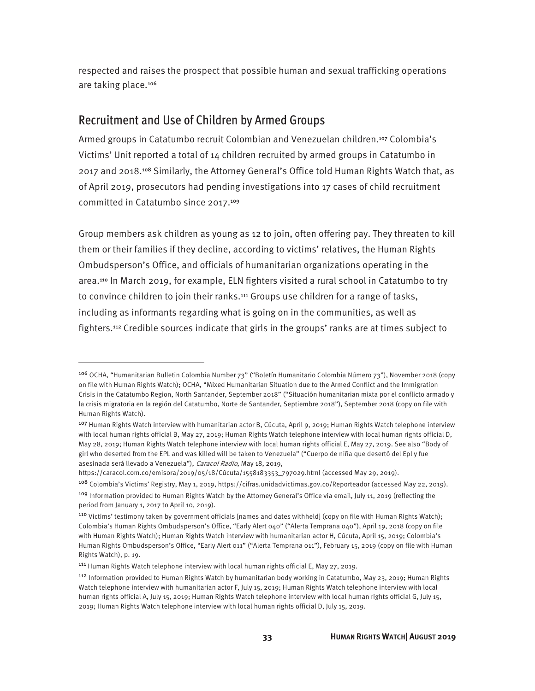respected and raises the prospect that possible human and sexual trafficking operations are taking place.<sup>106</sup>

#### Recruitment and Use of Children by Armed Groups

 $\overline{a}$ 

Armed groups in Catatumbo recruit Colombian and Venezuelan children.<sup>107</sup> Colombia's Victims' Unit reported a total of 14 children recruited by armed groups in Catatumbo in 2017 and 2018.108 Similarly, the Attorney General's Office told Human Rights Watch that, as of April 2019, prosecutors had pending investigations into 17 cases of child recruitment committed in Catatumbo since 2017.<sup>109</sup>

Group members ask children as young as 12 to join, often offering pay. They threaten to kill them or their families if they decline, according to victims' relatives, the Human Rights Ombudsperson's Office, and officials of humanitarian organizations operating in the area.110 In March 2019, for example, ELN fighters visited a rural school in Catatumbo to try to convince children to join their ranks.111 Groups use children for a range of tasks, including as informants regarding what is going on in the communities, as well as fighters.112 Credible sources indicate that girls in the groups' ranks are at times subject to

<sup>106</sup> OCHA, "Humanitarian Bulletin Colombia Number 73" ("Boletín Humanitario Colombia Número 73"), November 2018 (copy on file with Human Rights Watch); OCHA, "Mixed Humanitarian Situation due to the Armed Conflict and the Immigration Crisis in the Catatumbo Region, North Santander, September 2018" ("Situación humanitarian mixta por el conflicto armado y la crisis migratoria en la región del Catatumbo, Norte de Santander, Septiembre 2018"), September 2018 (copy on file with Human Rights Watch).

<sup>107</sup> Human Rights Watch interview with humanitarian actor B, Cúcuta, April 9, 2019; Human Rights Watch telephone interview with local human rights official B, May 27, 2019; Human Rights Watch telephone interview with local human rights official D, May 28, 2019; Human Rights Watch telephone interview with local human rights official E, May 27, 2019. See also "Body of girl who deserted from the EPL and was killed will be taken to Venezuela" ("Cuerpo de niña que desertó del Epl y fue asesinada será llevado a Venezuela"), Caracol Radio, May 18, 2019,

https://caracol.com.co/emisora/2019/05/18/Cúcuta/1558183353\_797029.html (accessed May 29, 2019).

<sup>108</sup> Colombia's Victims' Registry, May 1, 2019, https://cifras.unidadvictimas.gov.co/Reporteador (accessed May 22, 2019). <sup>109</sup> Information provided to Human Rights Watch by the Attorney General's Office via email, July 11, 2019 (reflecting the period from January 1, 2017 to April 10, 2019).

<sup>&</sup>lt;sup>110</sup> Victims' testimony taken by government officials [names and dates withheld] (copy on file with Human Rights Watch); Colombia's Human Rights Ombudsperson's Office, "Early Alert 040" ("Alerta Temprana 040"), April 19, 2018 (copy on file with Human Rights Watch); Human Rights Watch interview with humanitarian actor H, Cúcuta, April 15, 2019; Colombia's Human Rights Ombudsperson's Office, "Early Alert 011" ("Alerta Temprana 011"), February 15, 2019 (copy on file with Human Rights Watch), p. 19.

<sup>111</sup> Human Rights Watch telephone interview with local human rights official E, May 27, 2019.

<sup>112</sup> Information provided to Human Rights Watch by humanitarian body working in Catatumbo, May 23, 2019; Human Rights Watch telephone interview with humanitarian actor F, July 15, 2019; Human Rights Watch telephone interview with local human rights official A, July 15, 2019; Human Rights Watch telephone interview with local human rights official G, July 15, 2019; Human Rights Watch telephone interview with local human rights official D, July 15, 2019.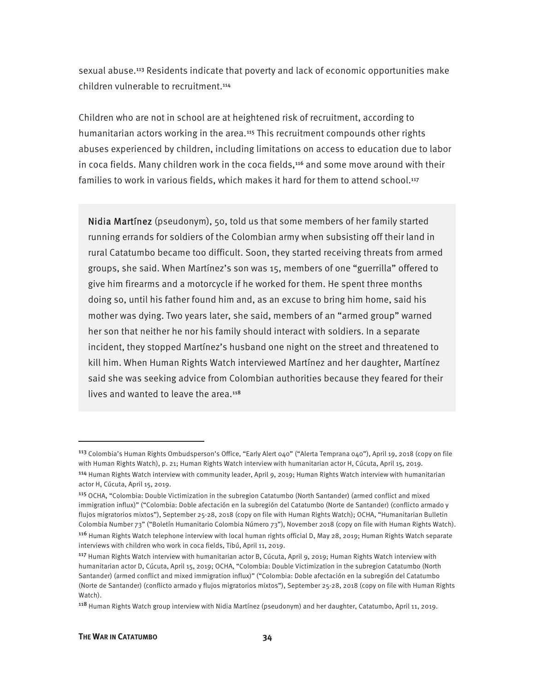sexual abuse.113 Residents indicate that poverty and lack of economic opportunities make children vulnerable to recruitment.<sup>114</sup>

Children who are not in school are at heightened risk of recruitment, according to humanitarian actors working in the area.<sup>115</sup> This recruitment compounds other rights abuses experienced by children, including limitations on access to education due to labor in coca fields. Many children work in the coca fields,<sup>116</sup> and some move around with their families to work in various fields, which makes it hard for them to attend school.<sup>117</sup>

Nidia Martínez (pseudonym), 50, told us that some members of her family started running errands for soldiers of the Colombian army when subsisting off their land in rural Catatumbo became too difficult. Soon, they started receiving threats from armed groups, she said. When Martínez's son was 15, members of one "guerrilla" offered to give him firearms and a motorcycle if he worked for them. He spent three months doing so, until his father found him and, as an excuse to bring him home, said his mother was dying. Two years later, she said, members of an "armed group" warned her son that neither he nor his family should interact with soldiers. In a separate incident, they stopped Martínez's husband one night on the street and threatened to kill him. When Human Rights Watch interviewed Martínez and her daughter, Martínez said she was seeking advice from Colombian authorities because they feared for their lives and wanted to leave the area.<sup>118</sup>

<sup>113</sup> Colombia's Human Rights Ombudsperson's Office, "Early Alert 040" ("Alerta Temprana 040"), April 19, 2018 (copy on file with Human Rights Watch), p. 21; Human Rights Watch interview with humanitarian actor H, Cúcuta, April 15, 2019. <sup>114</sup> Human Rights Watch interview with community leader, April 9, 2019; Human Rights Watch interview with humanitarian actor H, Cúcuta, April 15, 2019.

<sup>115</sup> OCHA, "Colombia: Double Victimization in the subregion Catatumbo (North Santander) (armed conflict and mixed immigration influx)" ("Colombia: Doble afectación en la subregión del Catatumbo (Norte de Santander) (conflicto armado y flujos migratorios mixtos"), September 25-28, 2018 (copy on file with Human Rights Watch); OCHA, "Humanitarian Bulletin Colombia Number 73" ("Boletín Humanitario Colombia Número 73"), November 2018 (copy on file with Human Rights Watch).

<sup>116</sup> Human Rights Watch telephone interview with local human rights official D, May 28, 2019; Human Rights Watch separate interviews with children who work in coca fields, Tibú, April 11, 2019.

<sup>117</sup> Human Rights Watch interview with humanitarian actor B, Cúcuta, April 9, 2019; Human Rights Watch interview with humanitarian actor D, Cúcuta, April 15, 2019; OCHA, "Colombia: Double Victimization in the subregion Catatumbo (North Santander) (armed conflict and mixed immigration influx)" ("Colombia: Doble afectación en la subregión del Catatumbo (Norte de Santander) (conflicto armado y flujos migratorios mixtos"), September 25-28, 2018 (copy on file with Human Rights Watch).

<sup>118</sup> Human Rights Watch group interview with Nidia Martínez (pseudonym) and her daughter, Catatumbo, April 11, 2019.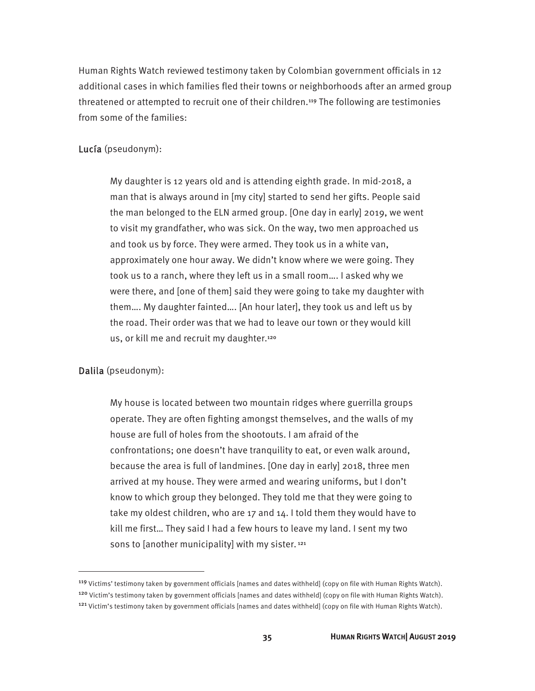Human Rights Watch reviewed testimony taken by Colombian government officials in 12 additional cases in which families fled their towns or neighborhoods after an armed group threatened or attempted to recruit one of their children.119 The following are testimonies from some of the families:

#### Lucía (pseudonym):

My daughter is 12 years old and is attending eighth grade. In mid-2018, a man that is always around in [my city] started to send her gifts. People said the man belonged to the ELN armed group. [One day in early] 2019, we went to visit my grandfather, who was sick. On the way, two men approached us and took us by force. They were armed. They took us in a white van, approximately one hour away. We didn't know where we were going. They took us to a ranch, where they left us in a small room…. I asked why we were there, and [one of them] said they were going to take my daughter with them…. My daughter fainted…. [An hour later], they took us and left us by the road. Their order was that we had to leave our town or they would kill us, or kill me and recruit my daughter.<sup>120</sup>

#### Dalila (pseudonym):

 $\overline{a}$ 

My house is located between two mountain ridges where guerrilla groups operate. They are often fighting amongst themselves, and the walls of my house are full of holes from the shootouts. I am afraid of the confrontations; one doesn't have tranquility to eat, or even walk around, because the area is full of landmines. [One day in early] 2018, three men arrived at my house. They were armed and wearing uniforms, but I don't know to which group they belonged. They told me that they were going to take my oldest children, who are 17 and 14. I told them they would have to kill me first… They said I had a few hours to leave my land. I sent my two sons to [another municipality] with my sister.<sup>121</sup>

<sup>119</sup> Victims' testimony taken by government officials [names and dates withheld] (copy on file with Human Rights Watch). 120 Victim's testimony taken by government officials [names and dates withheld] (copy on file with Human Rights Watch). <sup>121</sup> Victim's testimony taken by government officials [names and dates withheld] (copy on file with Human Rights Watch).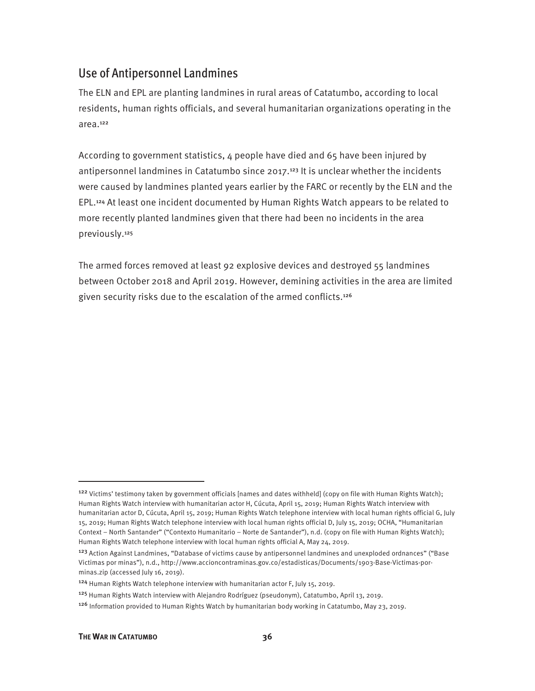#### Use of Antipersonnel Landmines

The ELN and EPL are planting landmines in rural areas of Catatumbo, according to local residents, human rights officials, and several humanitarian organizations operating in the area.<sup>122</sup>

According to government statistics,  $\mu$  people have died and 65 have been injured by antipersonnel landmines in Catatumbo since 2017.<sup>123</sup> It is unclear whether the incidents were caused by landmines planted years earlier by the FARC or recently by the ELN and the EPL.124 At least one incident documented by Human Rights Watch appears to be related to more recently planted landmines given that there had been no incidents in the area previously.<sup>125</sup>

The armed forces removed at least 92 explosive devices and destroyed 55 landmines between October 2018 and April 2019. However, demining activities in the area are limited given security risks due to the escalation of the armed conflicts.<sup>126</sup>

<sup>&</sup>lt;sup>122</sup> Victims' testimony taken by government officials [names and dates withheld] (copy on file with Human Rights Watch); Human Rights Watch interview with humanitarian actor H, Cúcuta, April 15, 2019; Human Rights Watch interview with humanitarian actor D, Cúcuta, April 15, 2019; Human Rights Watch telephone interview with local human rights official G, July 15, 2019; Human Rights Watch telephone interview with local human rights official D, July 15, 2019; OCHA, "Humanitarian Context – North Santander" ("Contexto Humanitario – Norte de Santander"), n.d. (copy on file with Human Rights Watch); Human Rights Watch telephone interview with local human rights official A, May 24, 2019.

<sup>&</sup>lt;sup>123</sup> Action Against Landmines, "Database of victims cause by antipersonnel landmines and unexploded ordnances" ("Base Victimas por minas"), n.d., http://www.accioncontraminas.gov.co/estadisticas/Documents/1903-Base-Victimas-porminas.zip (accessed July 16, 2019).

<sup>124</sup> Human Rights Watch telephone interview with humanitarian actor F, July 15, 2019.

<sup>125</sup> Human Rights Watch interview with Alejandro Rodríguez (pseudonym), Catatumbo, April 13, 2019.

<sup>126</sup> Information provided to Human Rights Watch by humanitarian body working in Catatumbo, May 23, 2019.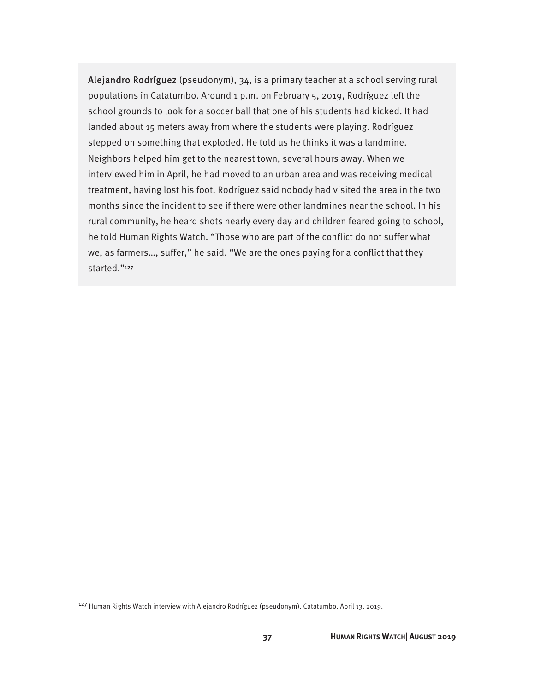Alejandro Rodríguez (pseudonym), 34, is a primary teacher at a school serving rural populations in Catatumbo. Around 1 p.m. on February 5, 2019, Rodríguez left the school grounds to look for a soccer ball that one of his students had kicked. It had landed about 15 meters away from where the students were playing. Rodríguez stepped on something that exploded. He told us he thinks it was a landmine. Neighbors helped him get to the nearest town, several hours away. When we interviewed him in April, he had moved to an urban area and was receiving medical treatment, having lost his foot. Rodríguez said nobody had visited the area in the two months since the incident to see if there were other landmines near the school. In his rural community, he heard shots nearly every day and children feared going to school, he told Human Rights Watch. "Those who are part of the conflict do not suffer what we, as farmers…, suffer," he said. "We are the ones paying for a conflict that they started."<sup>127</sup>

<sup>127</sup> Human Rights Watch interview with Alejandro Rodríguez (pseudonym), Catatumbo, April 13, 2019.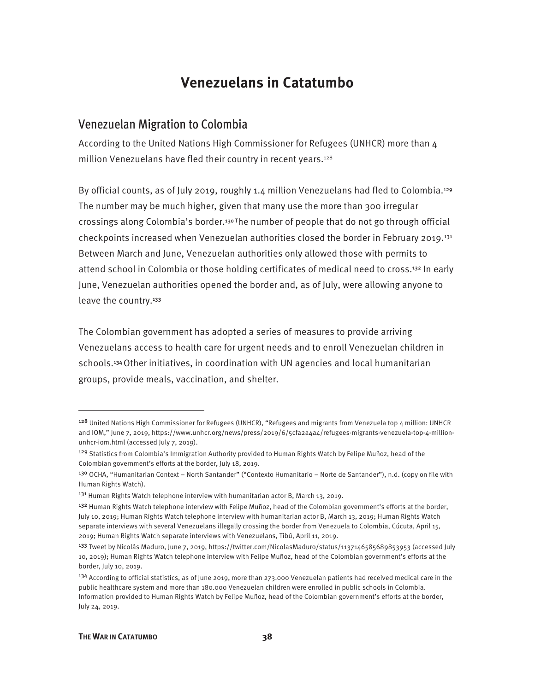### **Venezuelans in Catatumbo**

#### Venezuelan Migration to Colombia

According to the United Nations High Commissioner for Refugees (UNHCR) more than 4 million Venezuelans have fled their country in recent years.<sup>128</sup>

By official counts, as of July 2019, roughly 1.4 million Venezuelans had fled to Colombia.<sup>129</sup> The number may be much higher, given that many use the more than 300 irregular crossings along Colombia's border.<sup>130</sup> The number of people that do not go through official checkpoints increased when Venezuelan authorities closed the border in February 2019.<sup>131</sup> Between March and June, Venezuelan authorities only allowed those with permits to attend school in Colombia or those holding certificates of medical need to cross.<sup>132</sup> In early June, Venezuelan authorities opened the border and, as of July, were allowing anyone to leave the country.<sup>133</sup>

The Colombian government has adopted a series of measures to provide arriving Venezuelans access to health care for urgent needs and to enroll Venezuelan children in schools.134 Other initiatives, in coordination with UN agencies and local humanitarian groups, provide meals, vaccination, and shelter.

**.** 

<sup>128</sup> United Nations High Commissioner for Refugees (UNHCR), "Refugees and migrants from Venezuela top 4 million: UNHCR and IOM," June 7, 2019, https://www.unhcr.org/news/press/2019/6/5cfa2a4a4/refugees-migrants-venezuela-top-4-millionunhcr-iom.html (accessed July 7, 2019).

<sup>&</sup>lt;sup>129</sup> Statistics from Colombia's Immigration Authority provided to Human Rights Watch by Felipe Muñoz, head of the Colombian government's efforts at the border, July 18, 2019.

<sup>13</sup>º OCHA, "Humanitarian Context – North Santander" ("Contexto Humanitario – Norte de Santander"), n.d. (copy on file with Human Rights Watch).

<sup>&</sup>lt;sup>131</sup> Human Rights Watch telephone interview with humanitarian actor B, March 13, 2019.

<sup>&</sup>lt;sup>132</sup> Human Rights Watch telephone interview with Felipe Muñoz, head of the Colombian government's efforts at the border, July 10, 2019; Human Rights Watch telephone interview with humanitarian actor B, March 13, 2019; Human Rights Watch separate interviews with several Venezuelans illegally crossing the border from Venezuela to Colombia, Cúcuta, April 15, 2019; Human Rights Watch separate interviews with Venezuelans, Tibú, April 11, 2019.

<sup>&</sup>lt;sup>133</sup> Tweet by Nicolás Maduro, June 7, 2019, https://twitter.com/NicolasMaduro/status/1137146585689853953 (accessed July 10, 2019); Human Rights Watch telephone interview with Felipe Muñoz, head of the Colombian government's efforts at the border, July 10, 2019.

 $134$  According to official statistics, as of June 2019, more than 273.000 Venezuelan patients had received medical care in the public healthcare system and more than 180.000 Venezuelan children were enrolled in public schools in Colombia. Information provided to Human Rights Watch by Felipe Muñoz, head of the Colombian government's efforts at the border, July 24, 2019.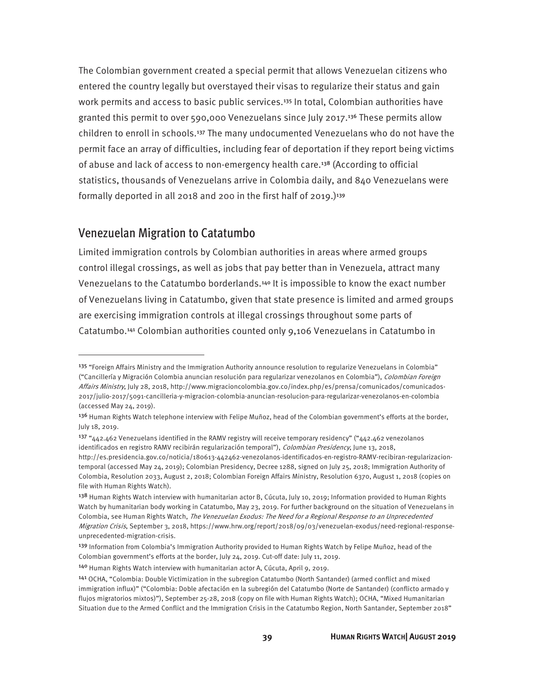The Colombian government created a special permit that allows Venezuelan citizens who entered the country legally but overstayed their visas to regularize their status and gain work permits and access to basic public services.<sup>135</sup> In total, Colombian authorities have granted this permit to over 590,000 Venezuelans since July 2017.136 These permits allow children to enroll in schools.137 The many undocumented Venezuelans who do not have the permit face an array of difficulties, including fear of deportation if they report being victims of abuse and lack of access to non-emergency health care.138 (According to official statistics, thousands of Venezuelans arrive in Colombia daily, and 840 Venezuelans were formally deported in all 2018 and 200 in the first half of 2019.)<sup>139</sup>

#### Venezuelan Migration to Catatumbo

-

Limited immigration controls by Colombian authorities in areas where armed groups control illegal crossings, as well as jobs that pay better than in Venezuela, attract many Venezuelans to the Catatumbo borderlands.140 It is impossible to know the exact number of Venezuelans living in Catatumbo, given that state presence is limited and armed groups are exercising immigration controls at illegal crossings throughout some parts of Catatumbo.141 Colombian authorities counted only 9,106 Venezuelans in Catatumbo in

<sup>&</sup>lt;sup>135</sup> "Foreign Affairs Ministry and the Immigration Authority announce resolution to regularize Venezuelans in Colombia" ("Cancillería y Migración Colombia anuncian resolución para regularizar venezolanos en Colombia"), Colombian Foreign Affairs Ministry, July 28, 2018, http://www.migracioncolombia.gov.co/index.php/es/prensa/comunicados/comunicados-2017/julio-2017/5091-cancilleria-y-migracion-colombia-anuncian-resolucion-para-regularizar-venezolanos-en-colombia (accessed May 24, 2019).

<sup>&</sup>lt;sup>136</sup> Human Rights Watch telephone interview with Felipe Muñoz, head of the Colombian government's efforts at the border, July 18, 2019.

<sup>&</sup>lt;sup>137</sup> "442.462 Venezuelans identified in the RAMV registry will receive temporary residency" ("442.462 venezolanos identificados en registro RAMV recibirán regularización temporal"), Colombian Presidency, June 13, 2018, http://es.presidencia.gov.co/noticia/180613-442462-venezolanos-identificados-en-registro-RAMV-recibiran-regularizaciontemporal (accessed May 24, 2019); Colombian Presidency, Decree 1288, signed on July 25, 2018; Immigration Authority of Colombia, Resolution 2033, August 2, 2018; Colombian Foreign Affairs Ministry, Resolution 6370, August 1, 2018 (copies on file with Human Rights Watch).

<sup>138</sup> Human Rights Watch interview with humanitarian actor B, Cúcuta, July 10, 2019; Information provided to Human Rights Watch by humanitarian body working in Catatumbo, May 23, 2019. For further background on the situation of Venezuelans in Colombia, see Human Rights Watch, The Venezuelan Exodus: The Need for a Regional Response to an Unprecedented Migration Crisis, September 3, 2018, https://www.hrw.org/report/2018/09/03/venezuelan-exodus/need-regional-responseunprecedented-migration-crisis.

<sup>139</sup> Information from Colombia's Immigration Authority provided to Human Rights Watch by Felipe Muñoz, head of the Colombian government's efforts at the border, July 24, 2019. Cut-off date: July 11, 2019.

<sup>140</sup> Human Rights Watch interview with humanitarian actor A, Cúcuta, April 9, 2019.

<sup>141</sup> OCHA, "Colombia: Double Victimization in the subregion Catatumbo (North Santander) (armed conflict and mixed immigration influx)" ("Colombia: Doble afectación en la subregión del Catatumbo (Norte de Santander) (conflicto armado y flujos migratorios mixtos)"), September 25-28, 2018 (copy on file with Human Rights Watch); OCHA, "Mixed Humanitarian Situation due to the Armed Conflict and the Immigration Crisis in the Catatumbo Region, North Santander, September 2018"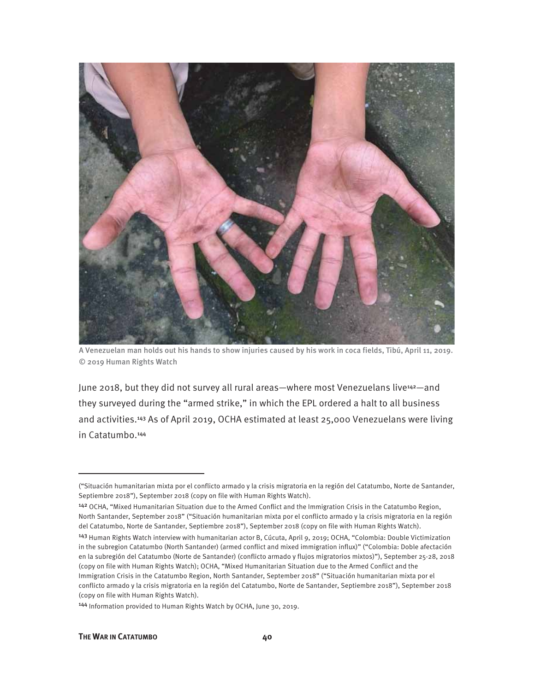

A Venezuelan man holds out his hands to show injuries caused by his work in coca fields, Tibú, April 11, 2019. © 2019 Human Rights Watch

June 2018, but they did not survey all rural areas—where most Venezuelans live<sup>142</sup>—and they surveyed during the "armed strike," in which the EPL ordered a halt to all business and activities.143 As of April 2019, OCHA estimated at least 25,000 Venezuelans were living in Catatumbo.<sup>144</sup>

<sup>143</sup> Human Rights Watch interview with humanitarian actor B, Cúcuta, April 9, 2019; OCHA, "Colombia: Double Victimization in the subregion Catatumbo (North Santander) (armed conflict and mixed immigration influx)" ("Colombia: Doble afectación en la subregión del Catatumbo (Norte de Santander) (conflicto armado y flujos migratorios mixtos)"), September 25-28, 2018 (copy on file with Human Rights Watch); OCHA, "Mixed Humanitarian Situation due to the Armed Conflict and the Immigration Crisis in the Catatumbo Region, North Santander, September 2018" ("Situación humanitarian mixta por el conflicto armado y la crisis migratoria en la región del Catatumbo, Norte de Santander, Septiembre 2018"), September 2018 (copy on file with Human Rights Watch).

<sup>144</sup> Information provided to Human Rights Watch by OCHA, June 30, 2019.

**.** 

<sup>(&</sup>quot;Situación humanitarian mixta por el conflicto armado y la crisis migratoria en la región del Catatumbo, Norte de Santander, Septiembre 2018"), September 2018 (copy on file with Human Rights Watch).

<sup>&</sup>lt;sup>142</sup> OCHA, "Mixed Humanitarian Situation due to the Armed Conflict and the Immigration Crisis in the Catatumbo Region, North Santander, September 2018" ("Situación humanitarian mixta por el conflicto armado y la crisis migratoria en la región del Catatumbo, Norte de Santander, Septiembre 2018"), September 2018 (copy on file with Human Rights Watch).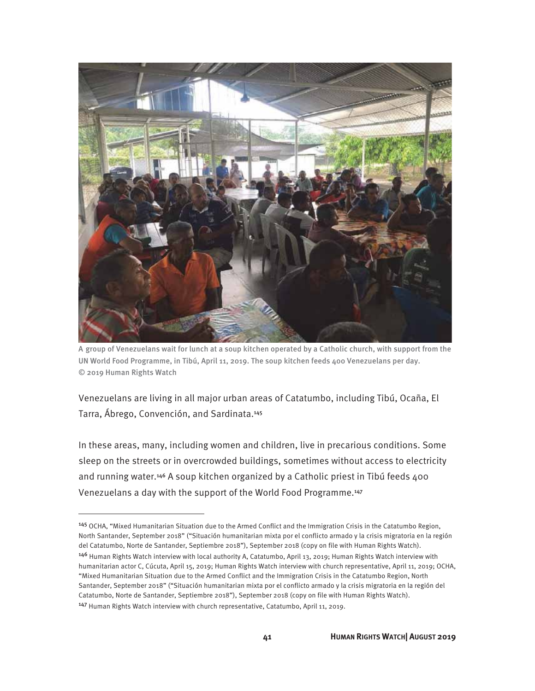

A group of Venezuelans wait for lunch at a soup kitchen operated by a Catholic church, with support from the UN World Food Programme, in Tibú, April 11, 2019. The soup kitchen feeds 400 Venezuelans per day. © 2019 Human Rights Watch

Venezuelans are living in all major urban areas of Catatumbo, including Tibú, Ocaña, El Tarra, Ábrego, Convención, and Sardinata.<sup>145</sup>

In these areas, many, including women and children, live in precarious conditions. Some sleep on the streets or in overcrowded buildings, sometimes without access to electricity and running water.<sup>146</sup> A soup kitchen organized by a Catholic priest in Tibú feeds 400 Venezuelans a day with the support of the World Food Programme.<sup>147</sup>

<sup>145</sup> OCHA, "Mixed Humanitarian Situation due to the Armed Conflict and the Immigration Crisis in the Catatumbo Region, North Santander, September 2018" ("Situación humanitarian mixta por el conflicto armado y la crisis migratoria en la región del Catatumbo, Norte de Santander, Septiembre 2018"), September 2018 (copy on file with Human Rights Watch). <sup>146</sup> Human Rights Watch interview with local authority A, Catatumbo, April 13, 2019; Human Rights Watch interview with humanitarian actor C, Cúcuta, April 15, 2019; Human Rights Watch interview with church representative, April 11, 2019; OCHA, "Mixed Humanitarian Situation due to the Armed Conflict and the Immigration Crisis in the Catatumbo Region, North Santander, September 2018" ("Situación humanitarian mixta por el conflicto armado y la crisis migratoria en la región del Catatumbo, Norte de Santander, Septiembre 2018"), September 2018 (copy on file with Human Rights Watch). <sup>147</sup> Human Rights Watch interview with church representative, Catatumbo, April 11, 2019.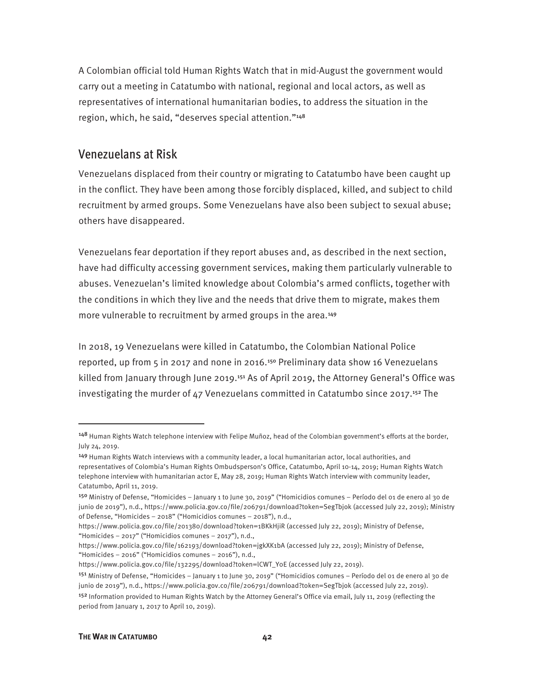A Colombian official told Human Rights Watch that in mid-August the government would carry out a meeting in Catatumbo with national, regional and local actors, as well as representatives of international humanitarian bodies, to address the situation in the region, which, he said, "deserves special attention."<sup>148</sup>

#### Venezuelans at Risk

Venezuelans displaced from their country or migrating to Catatumbo have been caught up in the conflict. They have been among those forcibly displaced, killed, and subject to child recruitment by armed groups. Some Venezuelans have also been subject to sexual abuse; others have disappeared.

Venezuelans fear deportation if they report abuses and, as described in the next section, have had difficulty accessing government services, making them particularly vulnerable to abuses. Venezuelan's limited knowledge about Colombia's armed conflicts, together with the conditions in which they live and the needs that drive them to migrate, makes them more vulnerable to recruitment by armed groups in the area.<sup>149</sup>

In 2018, 19 Venezuelans were killed in Catatumbo, the Colombian National Police reported, up from 5 in 2017 and none in 2016.150 Preliminary data show 16 Venezuelans killed from January through June 2019.<sup>151</sup> As of April 2019, the Attorney General's Office was investigating the murder of 47 Venezuelans committed in Catatumbo since 2017.152 The

<sup>148</sup> Human Rights Watch telephone interview with Felipe Muñoz, head of the Colombian government's efforts at the border, July 24, 2019.

<sup>149</sup> Human Rights Watch interviews with a community leader, a local humanitarian actor, local authorities, and representatives of Colombia's Human Rights Ombudsperson's Office, Catatumbo, April 10-14, 2019; Human Rights Watch telephone interview with humanitarian actor E, May 28, 2019; Human Rights Watch interview with community leader, Catatumbo, April 11, 2019.

<sup>150</sup> Ministry of Defense, "Homicides – January 1 to June 30, 2019" ("Homicidios comunes – Período del 01 de enero al 30 de junio de 2019"), n.d., https://www.policia.gov.co/file/206791/download?token=SegTbjok (accessed July 22, 2019); Ministry of Defense, "Homicides – 2018" ("Homicidios comunes – 2018"), n.d.,

https://www.policia.gov.co/file/201380/download?token=1BKkHjiR (accessed July 22, 2019); Ministry of Defense, "Homicides – 2017" ("Homicidios comunes – 2017"), n.d.,

https://www.policia.gov.co/file/162193/download?token=jgkXK1bA (accessed July 22, 2019); Ministry of Defense, "Homicides – 2016" ("Homicidios comunes – 2016"), n.d.,

https://www.policia.gov.co/file/132295/download?token=lCWT\_Y0E (accessed July 22, 2019).

<sup>151</sup> Ministry of Defense, "Homicides – January 1 to June 30, 2019" ("Homicidios comunes – Período del 01 de enero al 30 de junio de 2019"), n.d., https://www.policia.gov.co/file/206791/download?token=SegTbjok (accessed July 22, 2019).

<sup>&</sup>lt;sup>152</sup> Information provided to Human Rights Watch by the Attorney General's Office via email, July 11, 2019 (reflecting the period from January 1, 2017 to April 10, 2019).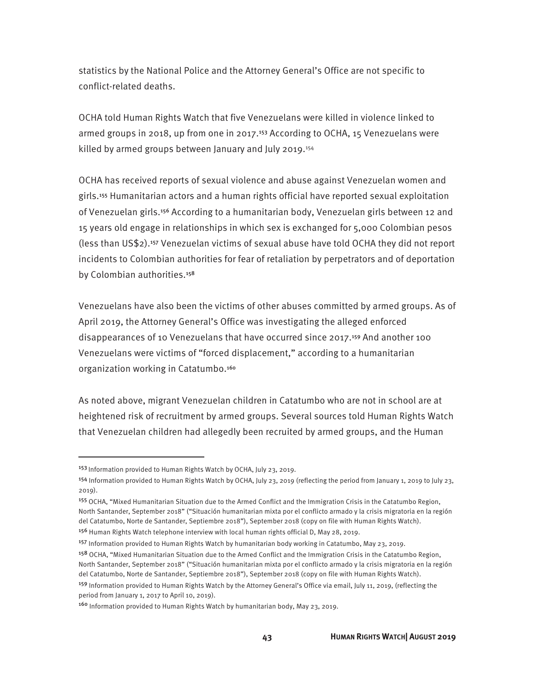statistics by the National Police and the Attorney General's Office are not specific to conflict-related deaths.

OCHA told Human Rights Watch that five Venezuelans were killed in violence linked to armed groups in 2018, up from one in 2017.153 According to OCHA, 15 Venezuelans were killed by armed groups between January and July 2019.<sup>154</sup>

OCHA has received reports of sexual violence and abuse against Venezuelan women and girls.155 Humanitarian actors and a human rights official have reported sexual exploitation of Venezuelan girls.156 According to a humanitarian body, Venezuelan girls between 12 and 15 years old engage in relationships in which sex is exchanged for 5,000 Colombian pesos (less than US\$2).157 Venezuelan victims of sexual abuse have told OCHA they did not report incidents to Colombian authorities for fear of retaliation by perpetrators and of deportation by Colombian authorities.<sup>158</sup>

Venezuelans have also been the victims of other abuses committed by armed groups. As of April 2019, the Attorney General's Office was investigating the alleged enforced disappearances of 10 Venezuelans that have occurred since 2017.159 And another 100 Venezuelans were victims of "forced displacement," according to a humanitarian organization working in Catatumbo.<sup>160</sup>

As noted above, migrant Venezuelan children in Catatumbo who are not in school are at heightened risk of recruitment by armed groups. Several sources told Human Rights Watch that Venezuelan children had allegedly been recruited by armed groups, and the Human

-

<sup>&</sup>lt;sup>153</sup> Information provided to Human Rights Watch by OCHA, July 23, 2019.

<sup>&</sup>lt;sup>154</sup> Information provided to Human Rights Watch by OCHA, July 23, 2019 (reflecting the period from January 1, 2019 to July 23, 2019).

<sup>155</sup> OCHA, "Mixed Humanitarian Situation due to the Armed Conflict and the Immigration Crisis in the Catatumbo Region, North Santander, September 2018" ("Situación humanitarian mixta por el conflicto armado y la crisis migratoria en la región del Catatumbo, Norte de Santander, Septiembre 2018"), September 2018 (copy on file with Human Rights Watch).

<sup>156</sup> Human Rights Watch telephone interview with local human rights official D, May 28, 2019.

<sup>157</sup> Information provided to Human Rights Watch by humanitarian body working in Catatumbo, May 23, 2019.

<sup>&</sup>lt;sup>158</sup> OCHA, "Mixed Humanitarian Situation due to the Armed Conflict and the Immigration Crisis in the Catatumbo Region, North Santander, September 2018" ("Situación humanitarian mixta por el conflicto armado y la crisis migratoria en la región del Catatumbo, Norte de Santander, Septiembre 2018"), September 2018 (copy on file with Human Rights Watch). <sup>159</sup> Information provided to Human Rights Watch by the Attorney General's Office via email, July 11, 2019, (reflecting the period from January 1, 2017 to April 10, 2019).

<sup>160</sup> Information provided to Human Rights Watch by humanitarian body, May 23, 2019.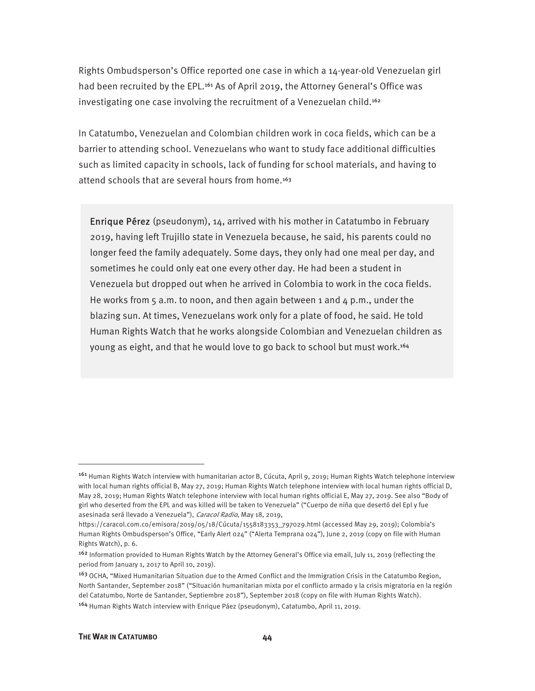Rights Ombudsperson's Office reported one case in which a 14-year-old Venezuelan girl had been recruited by the EPL.<sup>161</sup> As of April 2019, the Attorney General's Office was investigating one case involving the recruitment of a Venezuelan child.<sup>162</sup>

In Catatumbo, Venezuelan and Colombian children work in coca fields, which can be a barrier to attending school. Venezuelans who want to study face additional difficulties such as limited capacity in schools, lack of funding for school materials, and having to attend schools that are several hours from home.<sup>163</sup>

Enrique Pérez (pseudonym), 14, arrived with his mother in Catatumbo in February 2019, having left Trujillo state in Venezuela because, he said, his parents could no longer feed the family adequately. Some days, they only had one meal per day, and sometimes he could only eat one every other day. He had been a student in Venezuela but dropped out when he arrived in Colombia to work in the coca fields. He works from  $5$  a.m. to noon, and then again between 1 and  $4$  p.m., under the blazing sun. At times, Venezuelans work only for a plate of food, he said. He told Human Rights Watch that he works alongside Colombian and Venezuelan children as young as eight, and that he would love to go back to school but must work.164

<sup>161</sup> Human Rights Watch interview with humanitarian actor B, Cúcuta, April 9, 2019; Human Rights Watch telephone interview with local human rights official B, May 27, 2019; Human Rights Watch telephone interview with local human rights official D, May 28, 2019; Human Rights Watch telephone interview with local human rights official E, May 27, 2019. See also "Body of girl who deserted from the EPL and was killed will be taken to Venezuela" ("Cuerpo de niña que desertó del Epl y fue asesinada será llevado a Venezuela"), Caracol Radio, May 18, 2019,

https://caracol.com.co/emisora/2019/05/18/Cúcuta/1558183353\_797029.html (accessed May 29, 2019); Colombia's Human Rights Ombudsperson's Office, "Early Alert 024" ("Alerta Temprana 024"), June 2, 2019 (copy on file with Human Rights Watch), p. 6.

<sup>162</sup> Information provided to Human Rights Watch by the Attorney General's Office via email, July 11, 2019 (reflecting the period from January 1, 2017 to April 10, 2019).

<sup>&</sup>lt;sup>163</sup> OCHA, "Mixed Humanitarian Situation due to the Armed Conflict and the Immigration Crisis in the Catatumbo Region, North Santander, September 2018" ("Situación humanitarian mixta por el conflicto armado y la crisis migratoria en la región del Catatumbo, Norte de Santander, Septiembre 2018"), September 2018 (copy on file with Human Rights Watch). <sup>164</sup> Human Rights Watch interview with Enrique Páez (pseudonym), Catatumbo, April 11, 2019.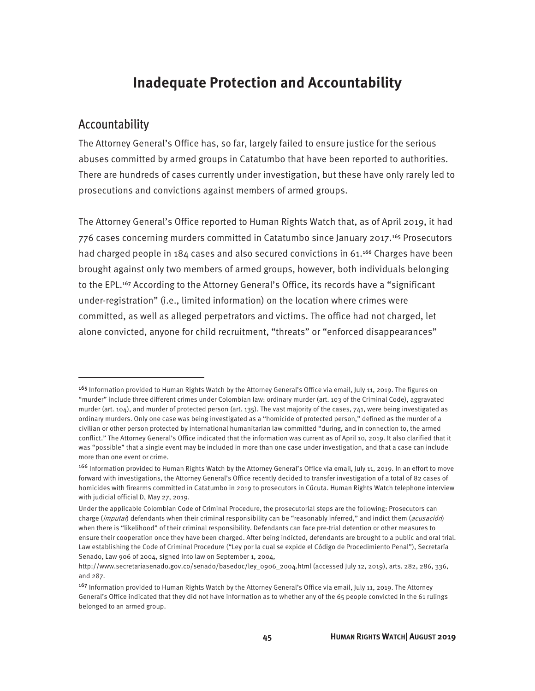### **Inadequate Protection and Accountability**

#### Accountability

 $\overline{a}$ 

The Attorney General's Office has, so far, largely failed to ensure justice for the serious abuses committed by armed groups in Catatumbo that have been reported to authorities. There are hundreds of cases currently under investigation, but these have only rarely led to prosecutions and convictions against members of armed groups.

The Attorney General's Office reported to Human Rights Watch that, as of April 2019, it had 776 cases concerning murders committed in Catatumbo since January 2017.165 Prosecutors had charged people in 184 cases and also secured convictions in 61.<sup>166</sup> Charges have been brought against only two members of armed groups, however, both individuals belonging to the EPL.167 According to the Attorney General's Office, its records have a "significant under-registration" (i.e., limited information) on the location where crimes were committed, as well as alleged perpetrators and victims. The office had not charged, let alone convicted, anyone for child recruitment, "threats" or "enforced disappearances"

<sup>&</sup>lt;sup>165</sup> Information provided to Human Rights Watch by the Attorney General's Office via email, July 11, 2019. The figures on "murder" include three different crimes under Colombian law: ordinary murder (art. 103 of the Criminal Code), aggravated murder (art. 104), and murder of protected person (art. 135). The vast majority of the cases, 741, were being investigated as ordinary murders. Only one case was being investigated as a "homicide of protected person," defined as the murder of a civilian or other person protected by international humanitarian law committed "during, and in connection to, the armed conflict." The Attorney General's Office indicated that the information was current as of April 10, 2019. It also clarified that it was "possible" that a single event may be included in more than one case under investigation, and that a case can include more than one event or crime.

<sup>166</sup> Information provided to Human Rights Watch by the Attorney General's Office via email, July 11, 2019. In an effort to move forward with investigations, the Attorney General's Office recently decided to transfer investigation of a total of 82 cases of homicides with firearms committed in Catatumbo in 2019 to prosecutors in Cúcuta. Human Rights Watch telephone interview with judicial official D, May 27, 2019.

Under the applicable Colombian Code of Criminal Procedure, the prosecutorial steps are the following: Prosecutors can charge (imputar) defendants when their criminal responsibility can be "reasonably inferred," and indict them (acusación) when there is "likelihood" of their criminal responsibility. Defendants can face pre-trial detention or other measures to ensure their cooperation once they have been charged. After being indicted, defendants are brought to a public and oral trial. Law establishing the Code of Criminal Procedure ("Ley por la cual se expide el Código de Procedimiento Penal"), Secretaría Senado, Law 906 of 2004, signed into law on September 1, 2004,

http://www.secretariasenado.gov.co/senado/basedoc/ley\_0906\_2004.html (accessed July 12, 2019), arts. 282, 286, 336, and 287.

<sup>167</sup> Information provided to Human Rights Watch by the Attorney General's Office via email, July 11, 2019. The Attorney General's Office indicated that they did not have information as to whether any of the 65 people convicted in the 61 rulings belonged to an armed group.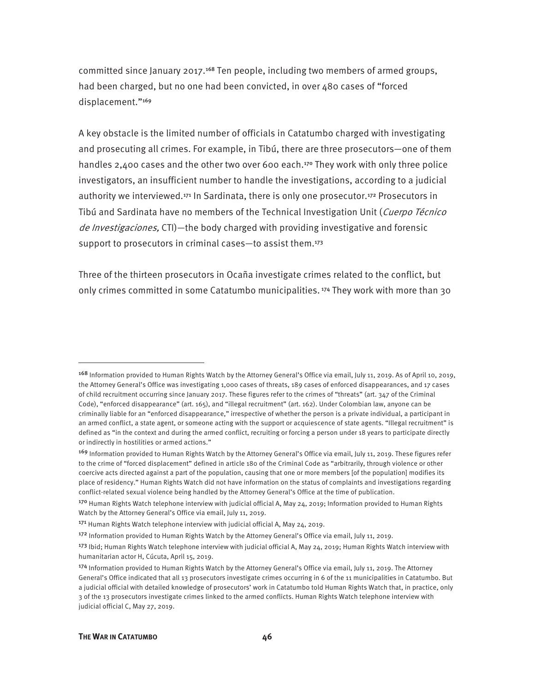committed since January 2017.168 Ten people, including two members of armed groups, had been charged, but no one had been convicted, in over 480 cases of "forced displacement."<sup>169</sup>

A key obstacle is the limited number of officials in Catatumbo charged with investigating and prosecuting all crimes. For example, in Tibú, there are three prosecutors—one of them handles 2,400 cases and the other two over 600 each.<sup>170</sup> They work with only three police investigators, an insufficient number to handle the investigations, according to a judicial authority we interviewed.<sup>171</sup> In Sardinata, there is only one prosecutor.<sup>172</sup> Prosecutors in Tibú and Sardinata have no members of the Technical Investigation Unit (Cuerpo Técnico de *Investigaciones*, CTI)—the body charged with providing investigative and forensic support to prosecutors in criminal cases—to assist them.<sup>173</sup>

Three of the thirteen prosecutors in Ocaña investigate crimes related to the conflict, but only crimes committed in some Catatumbo municipalities. 174 They work with more than 30

<sup>168</sup> Information provided to Human Rights Watch by the Attorney General's Office via email, July 11, 2019. As of April 10, 2019, the Attorney General's Office was investigating 1,000 cases of threats, 189 cases of enforced disappearances, and 17 cases of child recruitment occurring since January 2017. These figures refer to the crimes of "threats" (art. 347 of the Criminal Code), "enforced disappearance" (art. 165), and "illegal recruitment" (art. 162). Under Colombian law, anyone can be criminally liable for an "enforced disappearance," irrespective of whether the person is a private individual, a participant in an armed conflict, a state agent, or someone acting with the support or acquiescence of state agents. "Illegal recruitment" is defined as "in the context and during the armed conflict, recruiting or forcing a person under 18 years to participate directly or indirectly in hostilities or armed actions."

<sup>169</sup> Information provided to Human Rights Watch by the Attorney General's Office via email, July 11, 2019. These figures refer to the crime of "forced displacement" defined in article 180 of the Criminal Code as "arbitrarily, through violence or other coercive acts directed against a part of the population, causing that one or more members [of the population] modifies its place of residency." Human Rights Watch did not have information on the status of complaints and investigations regarding conflict-related sexual violence being handled by the Attorney General's Office at the time of publication.

<sup>170</sup> Human Rights Watch telephone interview with judicial official A, May 24, 2019; Information provided to Human Rights Watch by the Attorney General's Office via email, July 11, 2019.

<sup>&</sup>lt;sup>171</sup> Human Rights Watch telephone interview with judicial official A, May 24, 2019.

<sup>172</sup> Information provided to Human Rights Watch by the Attorney General's Office via email, July 11, 2019.

<sup>173</sup> Ibid; Human Rights Watch telephone interview with judicial official A, May 24, 2019; Human Rights Watch interview with humanitarian actor H, Cúcuta, April 15, 2019.

<sup>174</sup> Information provided to Human Rights Watch by the Attorney General's Office via email, July 11, 2019. The Attorney General's Office indicated that all 13 prosecutors investigate crimes occurring in 6 of the 11 municipalities in Catatumbo. But a judicial official with detailed knowledge of prosecutors' work in Catatumbo told Human Rights Watch that, in practice, only 3 of the 13 prosecutors investigate crimes linked to the armed conflicts. Human Rights Watch telephone interview with judicial official C, May 27, 2019.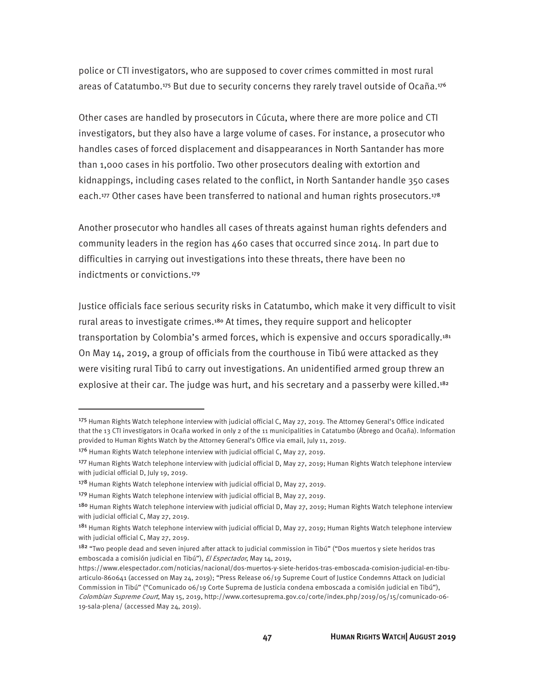police or CTI investigators, who are supposed to cover crimes committed in most rural areas of Catatumbo.<sup>175</sup> But due to security concerns they rarely travel outside of Ocaña.<sup>176</sup>

Other cases are handled by prosecutors in Cúcuta, where there are more police and CTI investigators, but they also have a large volume of cases. For instance, a prosecutor who handles cases of forced displacement and disappearances in North Santander has more than 1,000 cases in his portfolio. Two other prosecutors dealing with extortion and kidnappings, including cases related to the conflict, in North Santander handle 350 cases each.<sup>177</sup> Other cases have been transferred to national and human rights prosecutors.<sup>178</sup>

Another prosecutor who handles all cases of threats against human rights defenders and community leaders in the region has 460 cases that occurred since 2014. In part due to difficulties in carrying out investigations into these threats, there have been no indictments or convictions.<sup>179</sup>

Justice officials face serious security risks in Catatumbo, which make it very difficult to visit rural areas to investigate crimes.<sup>180</sup> At times, they require support and helicopter transportation by Colombia's armed forces, which is expensive and occurs sporadically.<sup>181</sup> On May 14, 2019, a group of officials from the courthouse in Tibú were attacked as they were visiting rural Tibú to carry out investigations. An unidentified armed group threw an explosive at their car. The judge was hurt, and his secretary and a passerby were killed.<sup>182</sup>

<sup>175</sup> Human Rights Watch telephone interview with judicial official C, May 27, 2019. The Attorney General's Office indicated that the 13 CTI investigators in Ocaña worked in only 2 of the 11 municipalities in Catatumbo (Ábrego and Ocaña). Information provided to Human Rights Watch by the Attorney General's Office via email, July 11, 2019.

<sup>176</sup> Human Rights Watch telephone interview with judicial official C, May 27, 2019.

<sup>177</sup> Human Rights Watch telephone interview with judicial official D, May 27, 2019; Human Rights Watch telephone interview with judicial official D, July 19, 2019.

<sup>178</sup> Human Rights Watch telephone interview with judicial official D, May 27, 2019.

<sup>179</sup> Human Rights Watch telephone interview with judicial official B, May 27, 2019.

<sup>180</sup> Human Rights Watch telephone interview with judicial official D, May 27, 2019; Human Rights Watch telephone interview with judicial official C, May 27, 2019.

<sup>&</sup>lt;sup>181</sup> Human Rights Watch telephone interview with judicial official D, May 27, 2019; Human Rights Watch telephone interview with judicial official C, May 27, 2019.

<sup>&</sup>lt;sup>182</sup> "Two people dead and seven injured after attack to judicial commission in Tibú" ("Dos muertos y siete heridos tras emboscada a comisión judicial en Tibú"), El Espectador, May 14, 2019,

https://www.elespectador.com/noticias/nacional/dos-muertos-y-siete-heridos-tras-emboscada-comision-judicial-en-tibuarticulo-860641 (accessed on May 24, 2019); "Press Release 06/19 Supreme Court of Justice Condemns Attack on Judicial Commission in Tibú" ("Comunicado 06/19 Corte Suprema de Justicia condena emboscada a comisión judicial en Tibú"), Colombian Supreme Court, May 15, 2019, http://www.cortesuprema.gov.co/corte/index.php/2019/05/15/comunicado-06- 19-sala-plena/ (accessed May 24, 2019).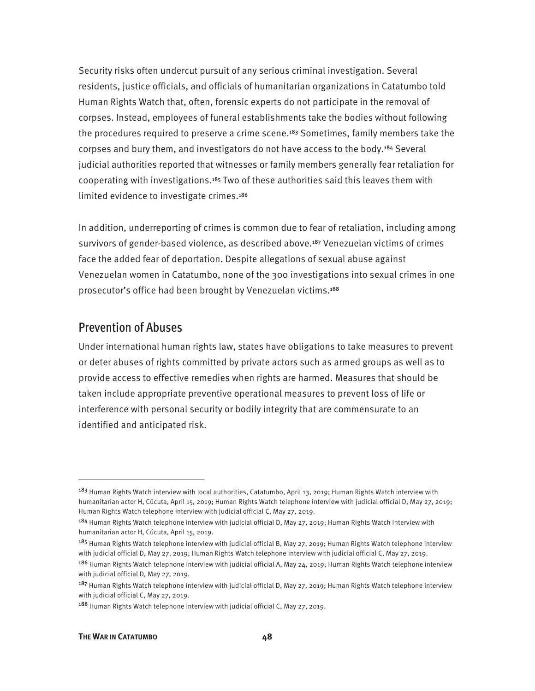Security risks often undercut pursuit of any serious criminal investigation. Several residents, justice officials, and officials of humanitarian organizations in Catatumbo told Human Rights Watch that, often, forensic experts do not participate in the removal of corpses. Instead, employees of funeral establishments take the bodies without following the procedures required to preserve a crime scene.<sup>183</sup> Sometimes, family members take the corpses and bury them, and investigators do not have access to the body.184 Several judicial authorities reported that witnesses or family members generally fear retaliation for cooperating with investigations.185 Two of these authorities said this leaves them with limited evidence to investigate crimes.<sup>186</sup>

In addition, underreporting of crimes is common due to fear of retaliation, including among survivors of gender-based violence, as described above.187 Venezuelan victims of crimes face the added fear of deportation. Despite allegations of sexual abuse against Venezuelan women in Catatumbo, none of the 300 investigations into sexual crimes in one prosecutor's office had been brought by Venezuelan victims.<sup>188</sup>

#### Prevention of Abuses

Under international human rights law, states have obligations to take measures to prevent or deter abuses of rights committed by private actors such as armed groups as well as to provide access to effective remedies when rights are harmed. Measures that should be taken include appropriate preventive operational measures to prevent loss of life or interference with personal security or bodily integrity that are commensurate to an identified and anticipated risk.

<sup>&</sup>lt;sup>183</sup> Human Rights Watch interview with local authorities, Catatumbo, April 13, 2019; Human Rights Watch interview with humanitarian actor H, Cúcuta, April 15, 2019; Human Rights Watch telephone interview with judicial official D, May 27, 2019; Human Rights Watch telephone interview with judicial official C, May 27, 2019.

<sup>184</sup> Human Rights Watch telephone interview with judicial official D, May 27, 2019; Human Rights Watch interview with humanitarian actor H, Cúcuta, April 15, 2019.

<sup>&</sup>lt;sup>185</sup> Human Rights Watch telephone interview with judicial official B, May 27, 2019; Human Rights Watch telephone interview with judicial official D, May 27, 2019; Human Rights Watch telephone interview with judicial official C, May 27, 2019.

<sup>186</sup> Human Rights Watch telephone interview with judicial official A, May 24, 2019; Human Rights Watch telephone interview with judicial official D, May 27, 2019.

<sup>187</sup> Human Rights Watch telephone interview with judicial official D, May 27, 2019; Human Rights Watch telephone interview with judicial official C, May 27, 2019.

<sup>188</sup> Human Rights Watch telephone interview with judicial official C, May 27, 2019.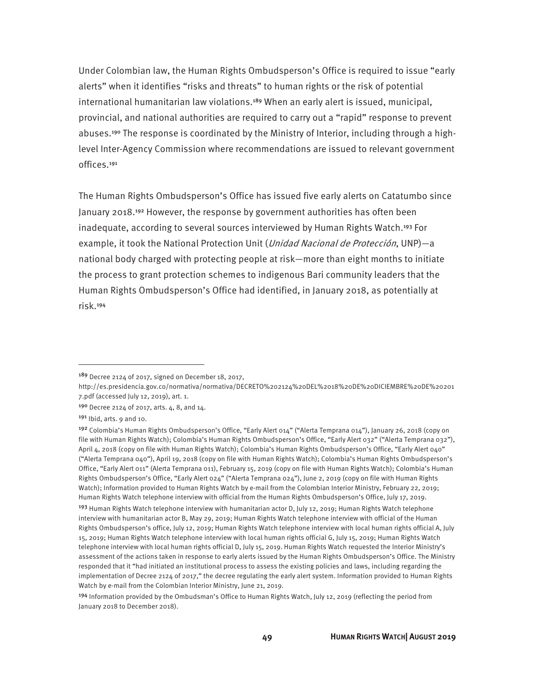Under Colombian law, the Human Rights Ombudsperson's Office is required to issue "early alerts" when it identifies "risks and threats" to human rights or the risk of potential international humanitarian law violations.189 When an early alert is issued, municipal, provincial, and national authorities are required to carry out a "rapid" response to prevent abuses.190 The response is coordinated by the Ministry of Interior, including through a highlevel Inter-Agency Commission where recommendations are issued to relevant government offices.<sup>191</sup>

The Human Rights Ombudsperson's Office has issued five early alerts on Catatumbo since January 2018.192 However, the response by government authorities has often been inadequate, according to several sources interviewed by Human Rights Watch.193 For example, it took the National Protection Unit (*Unidad Nacional de Protección*, UNP)—a national body charged with protecting people at risk—more than eight months to initiate the process to grant protection schemes to indigenous Bari community leaders that the Human Rights Ombudsperson's Office had identified, in January 2018, as potentially at risk.<sup>194</sup>

<u>.</u>

<sup>189</sup> Decree 2124 of 2017, signed on December 18, 2017,

http://es.presidencia.gov.co/normativa/normativa/DECRETO%202124%20DEL%2018%20DE%20DICIEMBRE%20DE%20201 7.pdf (accessed July 12, 2019), art. 1.

<sup>190</sup> Decree 2124 of 2017, arts. 4, 8, and 14.

 $191$  Ibid, arts. 9 and 10.

<sup>192</sup> Colombia's Human Rights Ombudsperson's Office, "Early Alert 014" ("Alerta Temprana 014"), January 26, 2018 (copy on file with Human Rights Watch); Colombia's Human Rights Ombudsperson's Office, "Early Alert 032" ("Alerta Temprana 032"), April 4, 2018 (copy on file with Human Rights Watch); Colombia's Human Rights Ombudsperson's Office, "Early Alert 040" ("Alerta Temprana 040"), April 19, 2018 (copy on file with Human Rights Watch); Colombia's Human Rights Ombudsperson's Office, "Early Alert 011" (Alerta Temprana 011), February 15, 2019 (copy on file with Human Rights Watch); Colombia's Human Rights Ombudsperson's Office, "Early Alert 024" ("Alerta Temprana 024"), June 2, 2019 (copy on file with Human Rights Watch); Information provided to Human Rights Watch by e-mail from the Colombian Interior Ministry, February 22, 2019; Human Rights Watch telephone interview with official from the Human Rights Ombudsperson's Office, July 17, 2019.

<sup>&</sup>lt;sup>193</sup> Human Rights Watch telephone interview with humanitarian actor D, July 12, 2019; Human Rights Watch telephone interview with humanitarian actor B, May 29, 2019; Human Rights Watch telephone interview with official of the Human Rights Ombudsperson's office, July 12, 2019; Human Rights Watch telephone interview with local human rights official A, July 15, 2019; Human Rights Watch telephone interview with local human rights official G, July 15, 2019; Human Rights Watch telephone interview with local human rights official D, July 15, 2019. Human Rights Watch requested the Interior Ministry's assessment of the actions taken in response to early alerts issued by the Human Rights Ombudsperson's Office. The Ministry responded that it "had initiated an institutional process to assess the existing policies and laws, including regarding the implementation of Decree 2124 of 2017," the decree regulating the early alert system. Information provided to Human Rights Watch by e-mail from the Colombian Interior Ministry, June 21, 2019.

<sup>194</sup> Information provided by the Ombudsman's Office to Human Rights Watch, July 12, 2019 (reflecting the period from January 2018 to December 2018).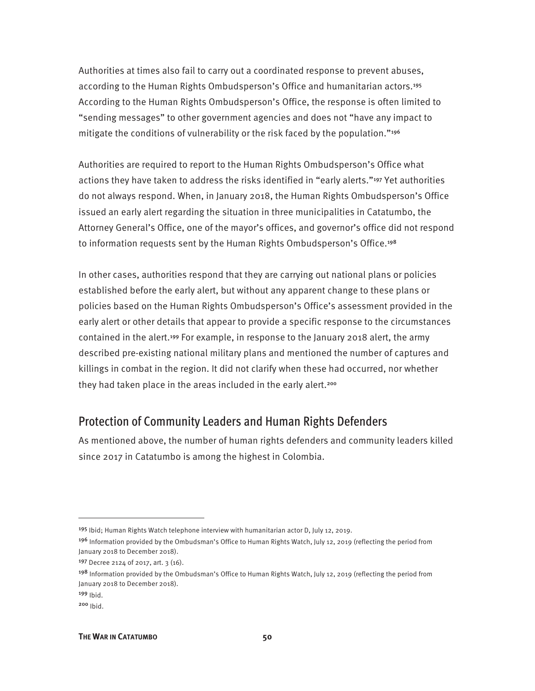Authorities at times also fail to carry out a coordinated response to prevent abuses, according to the Human Rights Ombudsperson's Office and humanitarian actors.<sup>195</sup> According to the Human Rights Ombudsperson's Office, the response is often limited to "sending messages" to other government agencies and does not "have any impact to mitigate the conditions of vulnerability or the risk faced by the population."<sup>196</sup>

Authorities are required to report to the Human Rights Ombudsperson's Office what actions they have taken to address the risks identified in "early alerts."197 Yet authorities do not always respond. When, in January 2018, the Human Rights Ombudsperson's Office issued an early alert regarding the situation in three municipalities in Catatumbo, the Attorney General's Office, one of the mayor's offices, and governor's office did not respond to information requests sent by the Human Rights Ombudsperson's Office.<sup>198</sup>

In other cases, authorities respond that they are carrying out national plans or policies established before the early alert, but without any apparent change to these plans or policies based on the Human Rights Ombudsperson's Office's assessment provided in the early alert or other details that appear to provide a specific response to the circumstances contained in the alert.199 For example, in response to the January 2018 alert, the army described pre-existing national military plans and mentioned the number of captures and killings in combat in the region. It did not clarify when these had occurred, nor whether they had taken place in the areas included in the early alert.<sup>200</sup>

#### Protection of Community Leaders and Human Rights Defenders

As mentioned above, the number of human rights defenders and community leaders killed since 2017 in Catatumbo is among the highest in Colombia.

<sup>195</sup> Ibid; Human Rights Watch telephone interview with humanitarian actor D, July 12, 2019.

<sup>&</sup>lt;sup>196</sup> Information provided by the Ombudsman's Office to Human Rights Watch, July 12, 2019 (reflecting the period from January 2018 to December 2018).

<sup>197</sup> Decree 2124 of 2017, art. 3 (16).

<sup>&</sup>lt;sup>198</sup> Information provided by the Ombudsman's Office to Human Rights Watch, July 12, 2019 (reflecting the period from January 2018 to December 2018).

<sup>199</sup> Ibid.

<sup>200</sup> Ibid.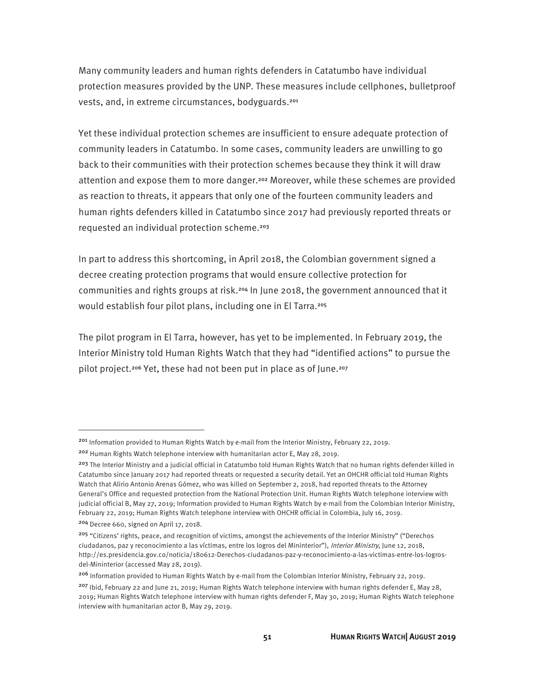Many community leaders and human rights defenders in Catatumbo have individual protection measures provided by the UNP. These measures include cellphones, bulletproof vests, and, in extreme circumstances, bodyguards.<sup>201</sup>

Yet these individual protection schemes are insufficient to ensure adequate protection of community leaders in Catatumbo. In some cases, community leaders are unwilling to go back to their communities with their protection schemes because they think it will draw attention and expose them to more danger.202 Moreover, while these schemes are provided as reaction to threats, it appears that only one of the fourteen community leaders and human rights defenders killed in Catatumbo since 2017 had previously reported threats or requested an individual protection scheme.<sup>203</sup>

In part to address this shortcoming, in April 2018, the Colombian government signed a decree creating protection programs that would ensure collective protection for communities and rights groups at risk.204 In June 2018, the government announced that it would establish four pilot plans, including one in El Tarra.<sup>205</sup>

The pilot program in El Tarra, however, has yet to be implemented. In February 2019, the Interior Ministry told Human Rights Watch that they had "identified actions" to pursue the pilot project.<sup>206</sup> Yet, these had not been put in place as of June.<sup>207</sup>

<sup>201</sup> Information provided to Human Rights Watch by e-mail from the Interior Ministry, February 22, 2019.

<sup>202</sup> Human Rights Watch telephone interview with humanitarian actor E, May 28, 2019.

<sup>&</sup>lt;sup>203</sup> The Interior Ministry and a judicial official in Catatumbo told Human Rights Watch that no human rights defender killed in Catatumbo since January 2017 had reported threats or requested a security detail. Yet an OHCHR official told Human Rights Watch that Alirio Antonio Arenas Gómez, who was killed on September 2, 2018, had reported threats to the Attorney General's Office and requested protection from the National Protection Unit. Human Rights Watch telephone interview with judicial official B, May 27, 2019; Information provided to Human Rights Watch by e-mail from the Colombian Interior Ministry, February 22, 2019; Human Rights Watch telephone interview with OHCHR official in Colombia, July 16, 2019.

<sup>204</sup> Decree 660, signed on April 17, 2018.

<sup>205 &</sup>quot;Citizens' rights, peace, and recognition of victims, amongst the achievements of the Interior Ministry" ("Derechos ciudadanos, paz y reconocimiento a las víctimas, entre los logros del Mininterior"), *Interior Ministry*, June 12, 2018, http://es.presidencia.gov.co/noticia/180612-Derechos-ciudadanos-paz-y-reconocimiento-a-las-victimas-entre-los-logrosdel-Mininterior (accessed May 28, 2019).

<sup>206</sup> Information provided to Human Rights Watch by e-mail from the Colombian Interior Ministry, February 22, 2019. <sup>207</sup> Ibid, February 22 and June 21, 2019; Human Rights Watch telephone interview with human rights defender E, May 28, 2019; Human Rights Watch telephone interview with human rights defender F, May 30, 2019; Human Rights Watch telephone interview with humanitarian actor B, May 29, 2019.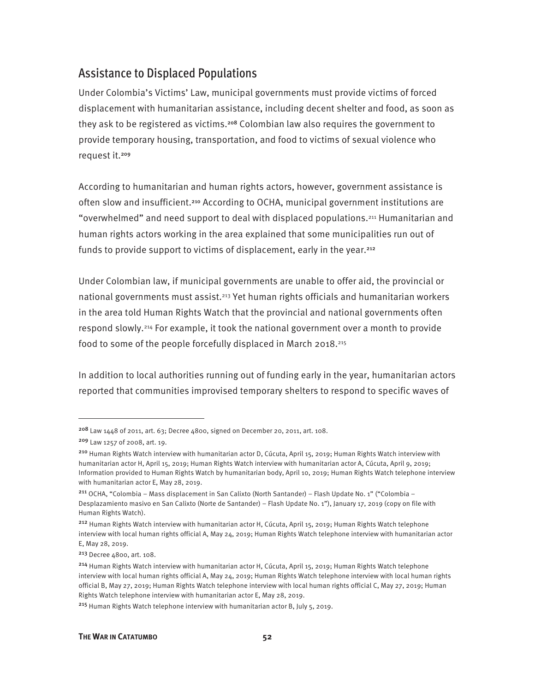### Assistance to Displaced Populations

Under Colombia's Victims' Law, municipal governments must provide victims of forced displacement with humanitarian assistance, including decent shelter and food, as soon as they ask to be registered as victims.<sup>208</sup> Colombian law also requires the government to provide temporary housing, transportation, and food to victims of sexual violence who request it.<sup>209</sup>

According to humanitarian and human rights actors, however, government assistance is often slow and insufficient.210 According to OCHA, municipal government institutions are "overwhelmed" and need support to deal with displaced populations.211 Humanitarian and human rights actors working in the area explained that some municipalities run out of funds to provide support to victims of displacement, early in the year.<sup>212</sup>

Under Colombian law, if municipal governments are unable to offer aid, the provincial or national governments must assist.<sup>213</sup> Yet human rights officials and humanitarian workers in the area told Human Rights Watch that the provincial and national governments often respond slowly.214 For example, it took the national government over a month to provide food to some of the people forcefully displaced in March 2018.215

In addition to local authorities running out of funding early in the year, humanitarian actors reported that communities improvised temporary shelters to respond to specific waves of

<sup>208</sup> Law 1448 of 2011, art. 63; Decree 4800, signed on December 20, 2011, art. 108.

<sup>209</sup> Law 1257 of 2008, art. 19.

<sup>210</sup> Human Rights Watch interview with humanitarian actor D, Cúcuta, April 15, 2019; Human Rights Watch interview with humanitarian actor H, April 15, 2019; Human Rights Watch interview with humanitarian actor A, Cúcuta, April 9, 2019; Information provided to Human Rights Watch by humanitarian body, April 10, 2019; Human Rights Watch telephone interview with humanitarian actor E, May 28, 2019.

<sup>211</sup> OCHA, "Colombia – Mass displacement in San Calixto (North Santander) – Flash Update No. 1" ("Colombia – Desplazamiento masivo en San Calixto (Norte de Santander) – Flash Update No. 1"), January 17, 2019 (copy on file with Human Rights Watch).

<sup>212</sup> Human Rights Watch interview with humanitarian actor H, Cúcuta, April 15, 2019; Human Rights Watch telephone interview with local human rights official A, May 24, 2019; Human Rights Watch telephone interview with humanitarian actor E, May 28, 2019.

<sup>213</sup> Decree 4800, art. 108.

<sup>214</sup> Human Rights Watch interview with humanitarian actor H, Cúcuta, April 15, 2019; Human Rights Watch telephone interview with local human rights official A, May 24, 2019; Human Rights Watch telephone interview with local human rights official B, May 27, 2019; Human Rights Watch telephone interview with local human rights official C, May 27, 2019; Human Rights Watch telephone interview with humanitarian actor E, May 28, 2019.

<sup>215</sup> Human Rights Watch telephone interview with humanitarian actor B, July 5, 2019.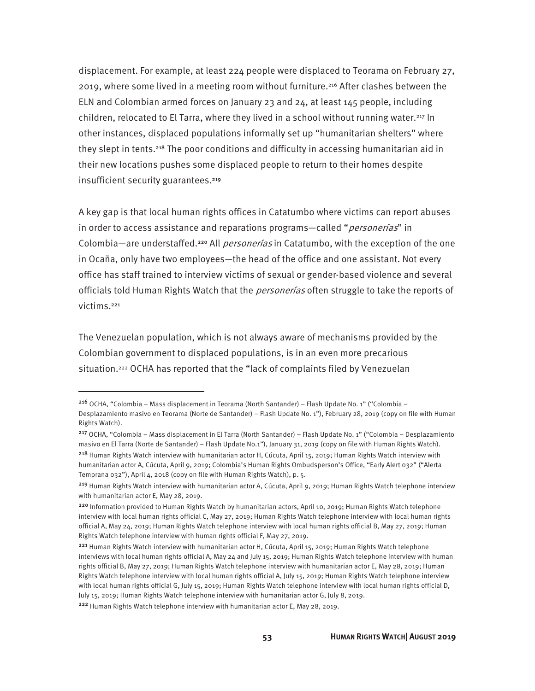displacement. For example, at least 224 people were displaced to Teorama on February 27, 2019, where some lived in a meeting room without furniture.<sup>216</sup> After clashes between the ELN and Colombian armed forces on January 23 and 24, at least 145 people, including children, relocated to El Tarra, where they lived in a school without running water.<sup>217</sup> In other instances, displaced populations informally set up "humanitarian shelters" where they slept in tents.<sup>218</sup> The poor conditions and difficulty in accessing humanitarian aid in their new locations pushes some displaced people to return to their homes despite insufficient security guarantees.<sup>219</sup>

A key gap is that local human rights offices in Catatumbo where victims can report abuses in order to access assistance and reparations programs—called "*personerías*" in Colombia—are understaffed.<sup>220</sup> All *personerías* in Catatumbo, with the exception of the one in Ocaña, only have two employees—the head of the office and one assistant. Not every office has staff trained to interview victims of sexual or gender-based violence and several officials told Human Rights Watch that the *personerías* often struggle to take the reports of victims.<sup>221</sup>

The Venezuelan population, which is not always aware of mechanisms provided by the Colombian government to displaced populations, is in an even more precarious situation.<sup>222</sup> OCHA has reported that the "lack of complaints filed by Venezuelan

<sup>216</sup> OCHA, "Colombia – Mass displacement in Teorama (North Santander) – Flash Update No. 1" ("Colombia – Desplazamiento masivo en Teorama (Norte de Santander) – Flash Update No. 1"), February 28, 2019 (copy on file with Human Rights Watch).

<sup>217</sup> OCHA, "Colombia – Mass displacement in El Tarra (North Santander) – Flash Update No. 1" ("Colombia – Desplazamiento masivo en El Tarra (Norte de Santander) – Flash Update No.1"), January 31, 2019 (copy on file with Human Rights Watch).

<sup>218</sup> Human Rights Watch interview with humanitarian actor H, Cúcuta, April 15, 2019; Human Rights Watch interview with humanitarian actor A, Cúcuta, April 9, 2019; Colombia's Human Rights Ombudsperson's Office, "Early Alert 032" ("Alerta Temprana 032"), April 4, 2018 (copy on file with Human Rights Watch), p. 5.

<sup>&</sup>lt;sup>219</sup> Human Rights Watch interview with humanitarian actor A, Cúcuta, April 9, 2019; Human Rights Watch telephone interview with humanitarian actor E, May 28, 2019.

<sup>220</sup> Information provided to Human Rights Watch by humanitarian actors, April 10, 2019; Human Rights Watch telephone interview with local human rights official C, May 27, 2019; Human Rights Watch telephone interview with local human rights official A, May 24, 2019; Human Rights Watch telephone interview with local human rights official B, May 27, 2019; Human Rights Watch telephone interview with human rights official F, May 27, 2019.

<sup>&</sup>lt;sup>221</sup> Human Rights Watch interview with humanitarian actor H, Cúcuta, April 15, 2019; Human Rights Watch telephone interviews with local human rights official A, May 24 and July 15, 2019; Human Rights Watch telephone interview with human rights official B, May 27, 2019; Human Rights Watch telephone interview with humanitarian actor E, May 28, 2019; Human Rights Watch telephone interview with local human rights official A, July 15, 2019; Human Rights Watch telephone interview with local human rights official G, July 15, 2019; Human Rights Watch telephone interview with local human rights official D, July 15, 2019; Human Rights Watch telephone interview with humanitarian actor G, July 8, 2019.

<sup>222</sup> Human Rights Watch telephone interview with humanitarian actor E, May 28, 2019.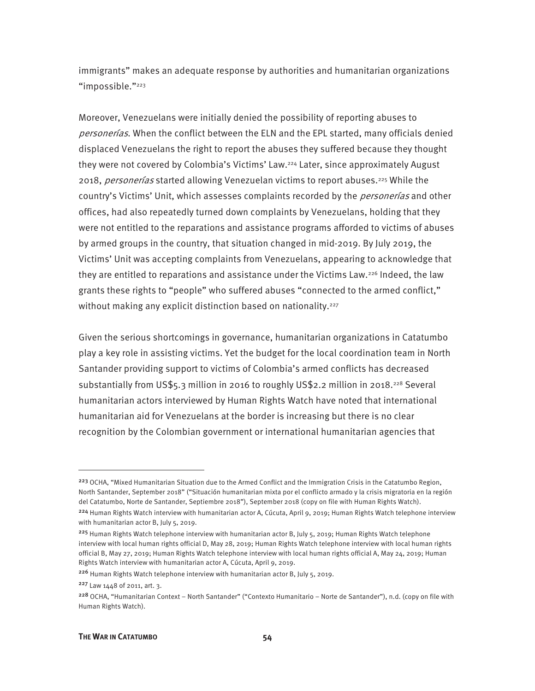immigrants" makes an adequate response by authorities and humanitarian organizations "impossible."<sup>223</sup>

Moreover, Venezuelans were initially denied the possibility of reporting abuses to personerías. When the conflict between the ELN and the EPL started, many officials denied displaced Venezuelans the right to report the abuses they suffered because they thought they were not covered by Colombia's Victims' Law.224 Later, since approximately August 2018, *personerías* started allowing Venezuelan victims to report abuses.<sup>225</sup> While the country's Victims' Unit, which assesses complaints recorded by the *personerías* and other offices, had also repeatedly turned down complaints by Venezuelans, holding that they were not entitled to the reparations and assistance programs afforded to victims of abuses by armed groups in the country, that situation changed in mid-2019. By July 2019, the Victims' Unit was accepting complaints from Venezuelans, appearing to acknowledge that they are entitled to reparations and assistance under the Victims Law.226 Indeed, the law grants these rights to "people" who suffered abuses "connected to the armed conflict," without making any explicit distinction based on nationality.<sup>227</sup>

Given the serious shortcomings in governance, humanitarian organizations in Catatumbo play a key role in assisting victims. Yet the budget for the local coordination team in North Santander providing support to victims of Colombia's armed conflicts has decreased substantially from US\$5.3 million in 2016 to roughly US\$2.2 million in 2018.228 Several humanitarian actors interviewed by Human Rights Watch have noted that international humanitarian aid for Venezuelans at the border is increasing but there is no clear recognition by the Colombian government or international humanitarian agencies that

<sup>&</sup>lt;sup>223</sup> OCHA, "Mixed Humanitarian Situation due to the Armed Conflict and the Immigration Crisis in the Catatumbo Region, North Santander, September 2018" ("Situación humanitarian mixta por el conflicto armado y la crisis migratoria en la región del Catatumbo, Norte de Santander, Septiembre 2018"), September 2018 (copy on file with Human Rights Watch).

<sup>224</sup> Human Rights Watch interview with humanitarian actor A, Cúcuta, April 9, 2019; Human Rights Watch telephone interview with humanitarian actor B, July 5, 2019.

<sup>&</sup>lt;sup>225</sup> Human Rights Watch telephone interview with humanitarian actor B, July 5, 2019; Human Rights Watch telephone interview with local human rights official D, May 28, 2019; Human Rights Watch telephone interview with local human rights official B, May 27, 2019; Human Rights Watch telephone interview with local human rights official A, May 24, 2019; Human Rights Watch interview with humanitarian actor A, Cúcuta, April 9, 2019.

<sup>226</sup> Human Rights Watch telephone interview with humanitarian actor B, July 5, 2019.

<sup>227</sup> Law 1448 of 2011, art. 3.

<sup>228</sup> OCHA, "Humanitarian Context – North Santander" ("Contexto Humanitario – Norte de Santander"), n.d. (copy on file with Human Rights Watch).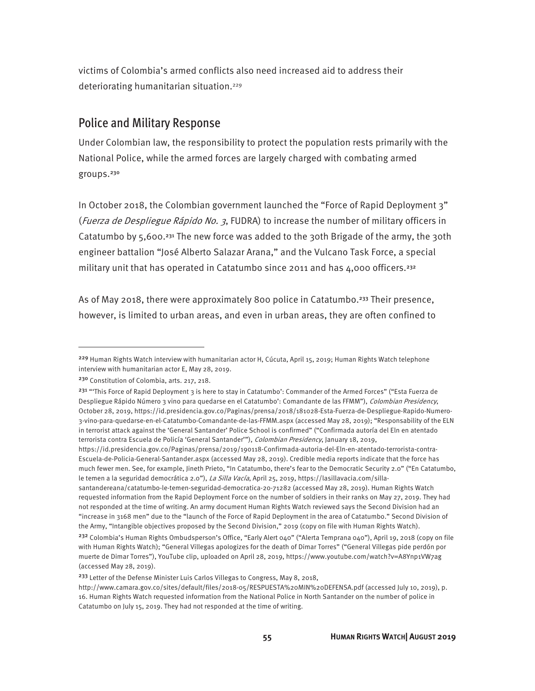victims of Colombia's armed conflicts also need increased aid to address their deteriorating humanitarian situation.<sup>229</sup>

#### Police and Military Response

Under Colombian law, the responsibility to protect the population rests primarily with the National Police, while the armed forces are largely charged with combating armed groups.<sup>230</sup>

In October 2018, the Colombian government launched the "Force of Rapid Deployment 3" (Fuerza de Despliegue Rápido No. 3, FUDRA) to increase the number of military officers in Catatumbo by  $5,600.^{231}$  The new force was added to the 30th Brigade of the army, the 30th engineer battalion "José Alberto Salazar Arana," and the Vulcano Task Force, a special military unit that has operated in Catatumbo since 2011 and has 4,000 officers.<sup>232</sup>

As of May 2018, there were approximately 800 police in Catatumbo.<sup>233</sup> Their presence, however, is limited to urban areas, and even in urban areas, they are often confined to

<sup>&</sup>lt;sup>229</sup> Human Rights Watch interview with humanitarian actor H, Cúcuta, April 15, 2019; Human Rights Watch telephone interview with humanitarian actor E, May 28, 2019.

<sup>230</sup> Constitution of Colombia, arts. 217, 218.

<sup>&</sup>lt;sup>231</sup> "This Force of Rapid Deployment 3 is here to stay in Catatumbo': Commander of the Armed Forces" ("Esta Fuerza de Despliegue Rápido Número 3 vino para quedarse en el Catatumbo': Comandante de las FFMM"), Colombian Presidency, October 28, 2019, https://id.presidencia.gov.co/Paginas/prensa/2018/181028-Esta-Fuerza-de-Despliegue-Rapido-Numero-3-vino-para-quedarse-en-el-Catatumbo-Comandante-de-las-FFMM.aspx (accessed May 28, 2019); "Responsability of the ELN in terrorist attack against the 'General Santander' Police School is confirmed" ("Confirmada autoría del Eln en atentado terrorista contra Escuela de Policía 'General Santander'"), Colombian Presidency, January 18, 2019,

https://id.presidencia.gov.co/Paginas/prensa/2019/190118-Confirmada-autoria-del-Eln-en-atentado-terrorista-contra-Escuela-de-Policia-General-Santander.aspx (accessed May 28, 2019). Credible media reports indicate that the force has much fewer men. See, for example, Jineth Prieto, "In Catatumbo, there's fear to the Democratic Security 2.0" ("En Catatumbo, le temen a la seguridad democrática 2.0"), La Silla Vacía, April 25, 2019, https://lasillavacia.com/silla-

santandereana/catatumbo-le-temen-seguridad-democratica-20-71282 (accessed May 28, 2019). Human Rights Watch requested information from the Rapid Deployment Force on the number of soldiers in their ranks on May 27, 2019. They had not responded at the time of writing. An army document Human Rights Watch reviewed says the Second Division had an "increase in 3168 men" due to the "launch of the Force of Rapid Deployment in the area of Catatumbo." Second Division of the Army, "Intangible objectives proposed by the Second Division," 2019 (copy on file with Human Rights Watch).

<sup>&</sup>lt;sup>232</sup> Colombia's Human Rights Ombudsperson's Office, "Early Alert 040" ("Alerta Temprana 040"), April 19, 2018 (copy on file with Human Rights Watch); "General Villegas apologizes for the death of Dimar Torres" ("General Villegas pide perdón por muerte de Dimar Torres"), YouTube clip, uploaded on April 28, 2019, https://www.youtube.com/watch?v=A8Ynp1VW7ag (accessed May 28, 2019).

<sup>&</sup>lt;sup>233</sup> Letter of the Defense Minister Luis Carlos Villegas to Congress, May 8, 2018,

http://www.camara.gov.co/sites/default/files/2018-05/RESPUESTA%20MIN%20DEFENSA.pdf (accessed July 10, 2019), p. 16. Human Rights Watch requested information from the National Police in North Santander on the number of police in Catatumbo on July 15, 2019. They had not responded at the time of writing.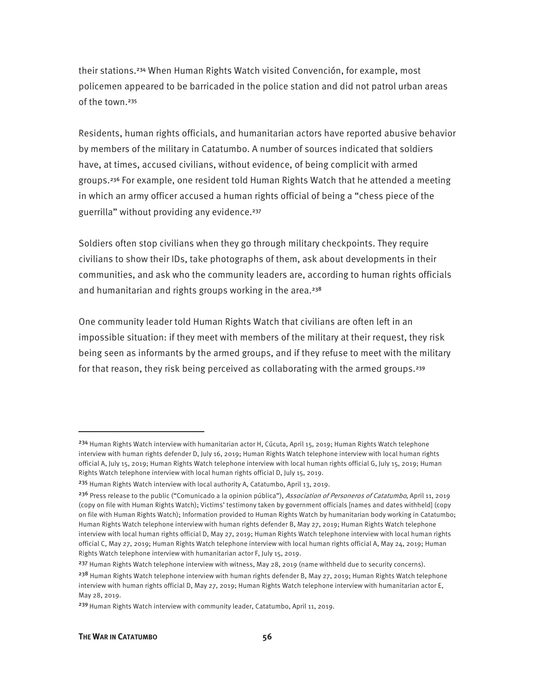their stations.234 When Human Rights Watch visited Convención, for example, most policemen appeared to be barricaded in the police station and did not patrol urban areas of the town.<sup>235</sup>

Residents, human rights officials, and humanitarian actors have reported abusive behavior by members of the military in Catatumbo. A number of sources indicated that soldiers have, at times, accused civilians, without evidence, of being complicit with armed groups.236 For example, one resident told Human Rights Watch that he attended a meeting in which an army officer accused a human rights official of being a "chess piece of the guerrilla" without providing any evidence.<sup>237</sup>

Soldiers often stop civilians when they go through military checkpoints. They require civilians to show their IDs, take photographs of them, ask about developments in their communities, and ask who the community leaders are, according to human rights officials and humanitarian and rights groups working in the area.<sup>238</sup>

One community leader told Human Rights Watch that civilians are often left in an impossible situation: if they meet with members of the military at their request, they risk being seen as informants by the armed groups, and if they refuse to meet with the military for that reason, they risk being perceived as collaborating with the armed groups.<sup>239</sup>

<sup>&</sup>lt;sup>234</sup> Human Rights Watch interview with humanitarian actor H, Cúcuta, April 15, 2019; Human Rights Watch telephone interview with human rights defender D, July 16, 2019; Human Rights Watch telephone interview with local human rights official A, July 15, 2019; Human Rights Watch telephone interview with local human rights official G, July 15, 2019; Human Rights Watch telephone interview with local human rights official D, July 15, 2019.

<sup>&</sup>lt;sup>235</sup> Human Rights Watch interview with local authority A, Catatumbo, April 13, 2019.

<sup>&</sup>lt;sup>236</sup> Press release to the public ("Comunicado a la opinion pública"), Association of Personeros of Catatumbo, April 11, 2019 (copy on file with Human Rights Watch); Victims' testimony taken by government officials [names and dates withheld] (copy on file with Human Rights Watch); Information provided to Human Rights Watch by humanitarian body working in Catatumbo; Human Rights Watch telephone interview with human rights defender B, May 27, 2019; Human Rights Watch telephone interview with local human rights official D, May 27, 2019; Human Rights Watch telephone interview with local human rights official C, May 27, 2019; Human Rights Watch telephone interview with local human rights official A, May 24, 2019; Human Rights Watch telephone interview with humanitarian actor F, July 15, 2019.

<sup>&</sup>lt;sup>237</sup> Human Rights Watch telephone interview with witness, May 28, 2019 (name withheld due to security concerns).

<sup>&</sup>lt;sup>238</sup> Human Rights Watch telephone interview with human rights defender B, May 27, 2019; Human Rights Watch telephone interview with human rights official D, May 27, 2019; Human Rights Watch telephone interview with humanitarian actor E, May 28, 2019.

<sup>&</sup>lt;sup>239</sup> Human Rights Watch interview with community leader, Catatumbo, April 11, 2019.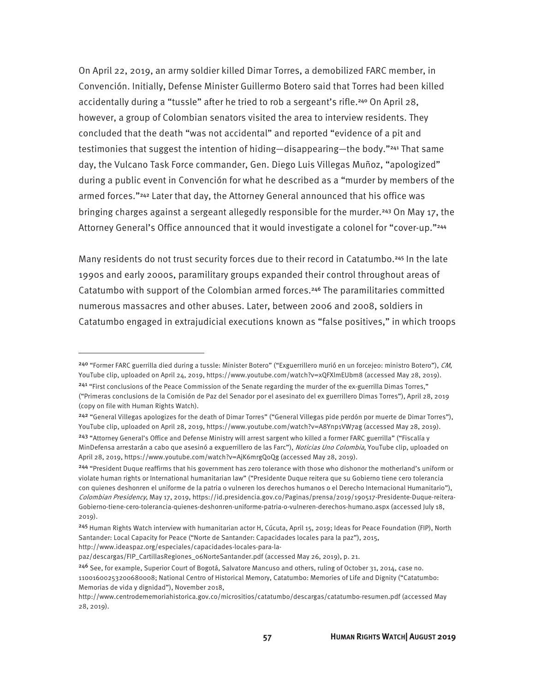On April 22, 2019, an army soldier killed Dimar Torres, a demobilized FARC member, in Convención. Initially, Defense Minister Guillermo Botero said that Torres had been killed accidentally during a "tussle" after he tried to rob a sergeant's rifle.240 On April 28, however, a group of Colombian senators visited the area to interview residents. They concluded that the death "was not accidental" and reported "evidence of a pit and testimonies that suggest the intention of hiding—disappearing—the body."241 That same day, the Vulcano Task Force commander, Gen. Diego Luis Villegas Muñoz, "apologized" during a public event in Convención for what he described as a "murder by members of the armed forces."<sup>242</sup> Later that day, the Attorney General announced that his office was bringing charges against a sergeant allegedly responsible for the murder.243 On May 17, the Attorney General's Office announced that it would investigate a colonel for "cover-up."<sup>244</sup>

Many residents do not trust security forces due to their record in Catatumbo.<sup>245</sup> In the late 1990s and early 2000s, paramilitary groups expanded their control throughout areas of Catatumbo with support of the Colombian armed forces.246 The paramilitaries committed numerous massacres and other abuses. Later, between 2006 and 2008, soldiers in Catatumbo engaged in extrajudicial executions known as "false positives," in which troops

http://www.ideaspaz.org/especiales/capacidades-locales-para-la-

**.** 

<sup>240</sup> "Former FARC guerrilla died during a tussle: Minister Botero" ("Exguerrillero murió en un forcejeo: ministro Botero"), CM, YouTube clip, uploaded on April 24, 2019, https://www.youtube.com/watch?v=xQFXlmEUbm8 (accessed May 28, 2019). <sup>241</sup> "First conclusions of the Peace Commission of the Senate regarding the murder of the ex-guerrilla Dimas Torres," ("Primeras conclusions de la Comisión de Paz del Senador por el asesinato del ex guerrillero Dimas Torres"), April 28, 2019 (copy on file with Human Rights Watch).

<sup>&</sup>lt;sup>242</sup> "General Villegas apologizes for the death of Dimar Torres" ("General Villegas pide perdón por muerte de Dimar Torres"), YouTube clip, uploaded on April 28, 2019, https://www.youtube.com/watch?v=A8Ynp1VW7ag (accessed May 28, 2019). <sup>243</sup> "Attorney General's Office and Defense Ministry will arrest sargent who killed a former FARC guerrilla" ("Fiscalía y MinDefensa arrestarán a cabo que asesinó a exguerrillero de las Farc"), Noticias Uno Colombia, YouTube clip, uploaded on April 28, 2019, https://www.youtube.com/watch?v=AjK6mrgQoQg (accessed May 28, 2019).

<sup>244</sup> "President Duque reaffirms that his government has zero tolerance with those who dishonor the motherland's uniform or violate human rights or International humanitarian law" ("Presidente Duque reitera que su Gobierno tiene cero tolerancia con quienes deshonren el uniforme de la patria o vulneren los derechos humanos o el Derecho Internacional Humanitario"), Colombian Presidency, May 17, 2019, https://id.presidencia.gov.co/Paginas/prensa/2019/190517-Presidente-Duque-reitera-Gobierno-tiene-cero-tolerancia-quienes-deshonren-uniforme-patria-o-vulneren-derechos-humano.aspx (accessed July 18, 2019).

<sup>245</sup> Human Rights Watch interview with humanitarian actor H, Cúcuta, April 15, 2019; Ideas for Peace Foundation (FIP), North Santander: Local Capacity for Peace ("Norte de Santander: Capacidades locales para la paz"), 2015,

paz/descargas/FIP\_CartillasRegiones\_06NorteSantander.pdf (accessed May 26, 2019), p. 21.

<sup>246</sup> See, for example, Superior Court of Bogotá, Salvatore Mancuso and others, ruling of October 31, 2014, case no. 11001600253200680008; National Centro of Historical Memory, Catatumbo: Memories of Life and Dignity ("Catatumbo: Memorias de vida y dignidad"), November 2018,

http://www.centrodememoriahistorica.gov.co/micrositios/catatumbo/descargas/catatumbo-resumen.pdf (accessed May 28, 2019).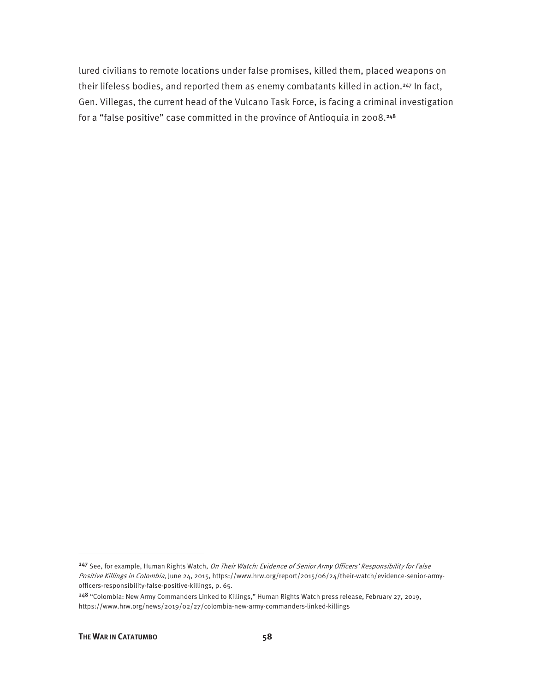lured civilians to remote locations under false promises, killed them, placed weapons on their lifeless bodies, and reported them as enemy combatants killed in action.<sup>247</sup> In fact, Gen. Villegas, the current head of the Vulcano Task Force, is facing a criminal investigation for a "false positive" case committed in the province of Antioquia in 2008.<sup>248</sup>

<sup>&</sup>lt;sup>247</sup> See, for example, Human Rights Watch, On Their Watch: Evidence of Senior Army Officers' Responsibility for False Positive Killings in Colombia, June 24, 2015, https://www.hrw.org/report/2015/06/24/their-watch/evidence-senior-armyofficers-responsibility-false-positive-killings, p. 65.

<sup>248</sup> "Colombia: New Army Commanders Linked to Killings," Human Rights Watch press release, February 27, 2019, https://www.hrw.org/news/2019/02/27/colombia-new-army-commanders-linked-killings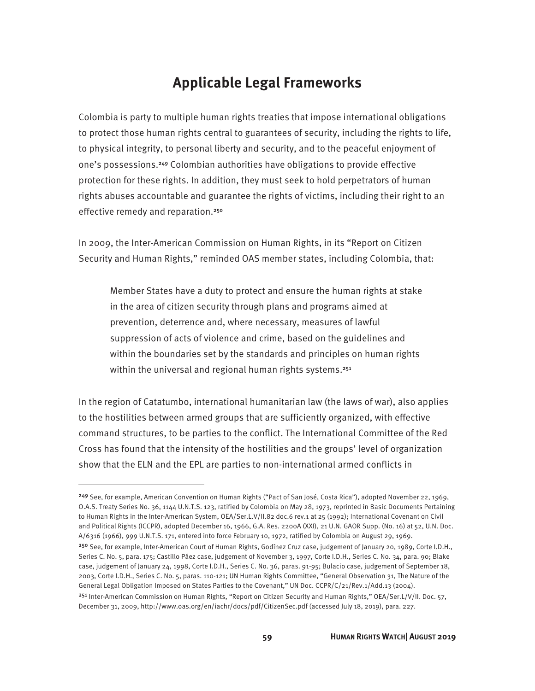### **Applicable Legal Frameworks**

Colombia is party to multiple human rights treaties that impose international obligations to protect those human rights central to guarantees of security, including the rights to life, to physical integrity, to personal liberty and security, and to the peaceful enjoyment of one's possessions.249 Colombian authorities have obligations to provide effective protection for these rights. In addition, they must seek to hold perpetrators of human rights abuses accountable and guarantee the rights of victims, including their right to an effective remedy and reparation.<sup>250</sup>

In 2009, the Inter-American Commission on Human Rights, in its "Report on Citizen Security and Human Rights," reminded OAS member states, including Colombia, that:

Member States have a duty to protect and ensure the human rights at stake in the area of citizen security through plans and programs aimed at prevention, deterrence and, where necessary, measures of lawful suppression of acts of violence and crime, based on the guidelines and within the boundaries set by the standards and principles on human rights within the universal and regional human rights systems.<sup>251</sup>

In the region of Catatumbo, international humanitarian law (the laws of war), also applies to the hostilities between armed groups that are sufficiently organized, with effective command structures, to be parties to the conflict. The International Committee of the Red Cross has found that the intensity of the hostilities and the groups' level of organization show that the ELN and the EPL are parties to non-international armed conflicts in

<sup>249</sup> See, for example, American Convention on Human Rights ("Pact of San José, Costa Rica"), adopted November 22, 1969, O.A.S. Treaty Series No. 36, 1144 U.N.T.S. 123, ratified by Colombia on May 28, 1973, reprinted in Basic Documents Pertaining to Human Rights in the Inter-American System, OEA/Ser.L.V/II.82 doc.6 rev.1 at 25 (1992); International Covenant on Civil and Political Rights (ICCPR), adopted December 16, 1966, G.A. Res. 2200A (XXI), 21 U.N. GAOR Supp. (No. 16) at 52, U.N. Doc. A/6316 (1966), 999 U.N.T.S. 171, entered into force February 10, 1972, ratified by Colombia on August 29, 1969.

<sup>&</sup>lt;sup>250</sup> See, for example, Inter-American Court of Human Rights, Godínez Cruz case, judgement of January 20, 1989, Corte I.D.H., Series C. No. 5, para. 175; Castillo Páez case, judgement of November 3, 1997, Corte I.D.H., Series C. No. 34, para. 90; Blake case, judgement of January 24, 1998, Corte I.D.H., Series C. No. 36, paras. 91-95; Bulacio case, judgement of September 18, 2003, Corte I.D.H., Series C. No. 5, paras. 110-121; UN Human Rights Committee, "General Observation 31, The Nature of the General Legal Obligation Imposed on States Parties to the Covenant," UN Doc. CCPR/C/21/Rev.1/Add.13 (2004).

<sup>251</sup> Inter-American Commission on Human Rights, "Report on Citizen Security and Human Rights," OEA/Ser.L/V/II. Doc. 57, December 31, 2009, http://www.oas.org/en/iachr/docs/pdf/CitizenSec.pdf (accessed July 18, 2019), para. 227.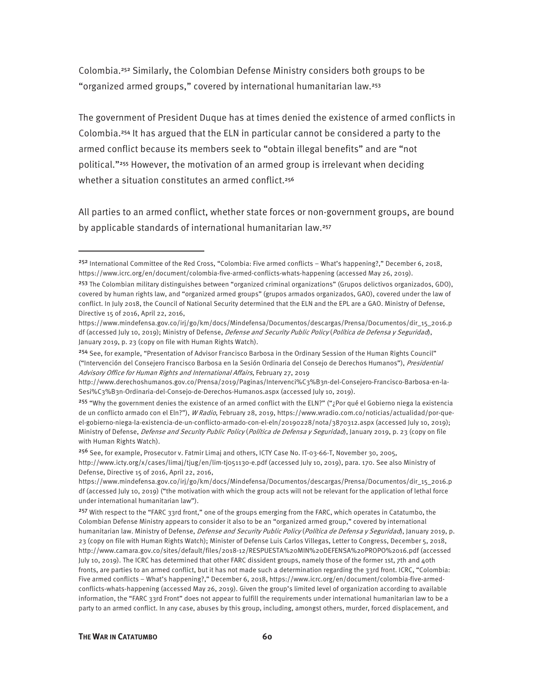Colombia.252 Similarly, the Colombian Defense Ministry considers both groups to be "organized armed groups," covered by international humanitarian law.<sup>253</sup>

The government of President Duque has at times denied the existence of armed conflicts in Colombia.254 It has argued that the ELN in particular cannot be considered a party to the armed conflict because its members seek to "obtain illegal benefits" and are "not political."255 However, the motivation of an armed group is irrelevant when deciding whether a situation constitutes an armed conflict.<sup>256</sup>

All parties to an armed conflict, whether state forces or non-government groups, are bound by applicable standards of international humanitarian law.<sup>257</sup>

<sup>252</sup> International Committee of the Red Cross, "Colombia: Five armed conflicts – What's happening?," December 6, 2018, https://www.icrc.org/en/document/colombia-five-armed-conflicts-whats-happening (accessed May 26, 2019).

<sup>253</sup> The Colombian military distinguishes between "organized criminal organizations" (Grupos delictivos organizados, GDO), covered by human rights law, and "organized armed groups" (grupos armados organizados, GAO), covered under the law of conflict. In July 2018, the Council of National Security determined that the ELN and the EPL are a GAO. Ministry of Defense, Directive 15 of 2016, April 22, 2016,

https://www.mindefensa.gov.co/irj/go/km/docs/Mindefensa/Documentos/descargas/Prensa/Documentos/dir\_15\_2016.p df (accessed July 10, 2019); Ministry of Defense, *Defense and Security Public Policy (Política de Defensa y Seguridad*), January 2019, p. 23 (copy on file with Human Rights Watch).

<sup>254</sup> See, for example, "Presentation of Advisor Francisco Barbosa in the Ordinary Session of the Human Rights Council" ("Intervención del Consejero Francisco Barbosa en la Sesión Ordinaria del Consejo de Derechos Humanos"), Presidential Advisory Office for Human Rights and International Affairs, February 27, 2019

http://www.derechoshumanos.gov.co/Prensa/2019/Paginas/Intervenci%C3%B3n-del-Consejero-Francisco-Barbosa-en-la-Sesi%C3%B3n-Ordinaria-del-Consejo-de-Derechos-Humanos.aspx (accessed July 10, 2019).

<sup>&</sup>lt;sup>255</sup> "Why the government denies the existence of an armed conflict with the ELN?" ("; Por qué el Gobierno niega la existencia de un conflicto armado con el Eln?"), W Radio, February 28, 2019, https://www.wradio.com.co/noticias/actualidad/por-queel-gobierno-niega-la-existencia-de-un-conflicto-armado-con-el-eln/20190228/nota/3870312.aspx (accessed July 10, 2019); Ministry of Defense, Defense and Security Public Policy (Política de Defensa y Seguridad), January 2019, p. 23 (copy on file with Human Rights Watch).

<sup>256</sup> See, for example, Prosecutor v. Fatmir Limaj and others, ICTY Case No. IT-03-66-T, November 30, 2005, http://www.icty.org/x/cases/limaj/tjug/en/lim-tj051130-e.pdf (accessed July 10, 2019), para. 170. See also Ministry of Defense, Directive 15 of 2016, April 22, 2016,

https://www.mindefensa.gov.co/irj/go/km/docs/Mindefensa/Documentos/descargas/Prensa/Documentos/dir\_15\_2016.p df (accessed July 10, 2019) ("the motivation with which the group acts will not be relevant for the application of lethal force under international humanitarian law").

 $257$  With respect to the "FARC 33rd front," one of the groups emerging from the FARC, which operates in Catatumbo, the Colombian Defense Ministry appears to consider it also to be an "organized armed group," covered by international humanitarian law. Ministry of Defense, *Defense and Security Public Policy (Política de Defensa y Seguridad*), January 2019, p. 23 (copy on file with Human Rights Watch); Minister of Defense Luis Carlos Villegas, Letter to Congress, December 5, 2018, http://www.camara.gov.co/sites/default/files/2018-12/RESPUESTA%20MIN%20DEFENSA%20PROPO%2016.pdf (accessed July 10, 2019). The ICRC has determined that other FARC dissident groups, namely those of the former 1st, 7th and 40th fronts, are parties to an armed conflict, but it has not made such a determination regarding the 33rd front. ICRC, "Colombia: Five armed conflicts – What's happening?," December 6, 2018, https://www.icrc.org/en/document/colombia-five-armedconflicts-whats-happening (accessed May 26, 2019). Given the group's limited level of organization according to available information, the "FARC 33rd Front" does not appear to fulfill the requirements under international humanitarian law to be a party to an armed conflict. In any case, abuses by this group, including, amongst others, murder, forced displacement, and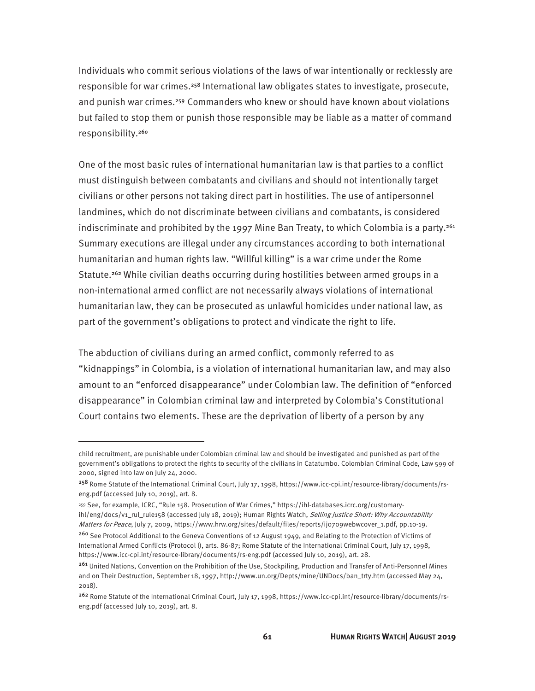Individuals who commit serious violations of the laws of war intentionally or recklessly are responsible for war crimes.<sup>258</sup> International law obligates states to investigate, prosecute, and punish war crimes.<sup>259</sup> Commanders who knew or should have known about violations but failed to stop them or punish those responsible may be liable as a matter of command responsibility.<sup>260</sup>

One of the most basic rules of international humanitarian law is that parties to a conflict must distinguish between combatants and civilians and should not intentionally target civilians or other persons not taking direct part in hostilities. The use of antipersonnel landmines, which do not discriminate between civilians and combatants, is considered indiscriminate and prohibited by the 1997 Mine Ban Treaty, to which Colombia is a party.<sup>261</sup> Summary executions are illegal under any circumstances according to both international humanitarian and human rights law. "Willful killing" is a war crime under the Rome Statute.<sup>262</sup> While civilian deaths occurring during hostilities between armed groups in a non-international armed conflict are not necessarily always violations of international humanitarian law, they can be prosecuted as unlawful homicides under national law, as part of the government's obligations to protect and vindicate the right to life.

The abduction of civilians during an armed conflict, commonly referred to as "kidnappings" in Colombia, is a violation of international humanitarian law, and may also amount to an "enforced disappearance" under Colombian law. The definition of "enforced disappearance" in Colombian criminal law and interpreted by Colombia's Constitutional Court contains two elements. These are the deprivation of liberty of a person by any

child recruitment, are punishable under Colombian criminal law and should be investigated and punished as part of the government's obligations to protect the rights to security of the civilians in Catatumbo. Colombian Criminal Code, Law 599 of 2000, signed into law on July 24, 2000.

<sup>258</sup> Rome Statute of the International Criminal Court, July 17, 1998, https://www.icc-cpi.int/resource-library/documents/rseng.pdf (accessed July 10, 2019), art. 8.

<sup>259</sup> See, for example, ICRC, "Rule 158. Prosecution of War Crimes," https://ihl-databases.icrc.org/customaryihl/eng/docs/v1\_rul\_rule158 (accessed July 18, 2019); Human Rights Watch, Selling Justice Short: Why Accountability Matters for Peace, July 7, 2009, https://www.hrw.org/sites/default/files/reports/ij0709webwcover\_1.pdf, pp.10-19.

<sup>&</sup>lt;sup>260</sup> See Protocol Additional to the Geneva Conventions of 12 August 1949, and Relating to the Protection of Victims of International Armed Conflicts (Protocol I), arts. 86-87; Rome Statute of the International Criminal Court, July 17, 1998, https://www.icc-cpi.int/resource-library/documents/rs-eng.pdf (accessed July 10, 2019), art. 28.

<sup>261</sup> United Nations, Convention on the Prohibition of the Use, Stockpiling, Production and Transfer of Anti-Personnel Mines and on Their Destruction, September 18, 1997, http://www.un.org/Depts/mine/UNDocs/ban\_trty.htm (accessed May 24, 2018).

<sup>262</sup> Rome Statute of the International Criminal Court, July 17, 1998, https://www.icc-cpi.int/resource-library/documents/rseng.pdf (accessed July 10, 2019), art. 8.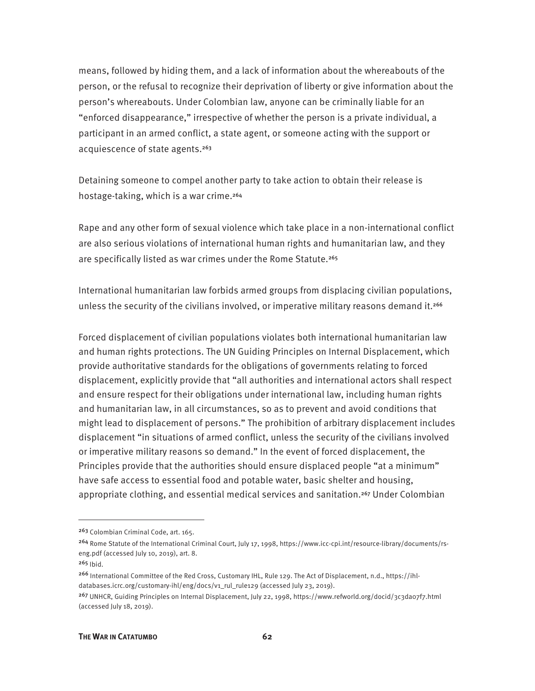means, followed by hiding them, and a lack of information about the whereabouts of the person, or the refusal to recognize their deprivation of liberty or give information about the person's whereabouts. Under Colombian law, anyone can be criminally liable for an "enforced disappearance," irrespective of whether the person is a private individual, a participant in an armed conflict, a state agent, or someone acting with the support or acquiescence of state agents.<sup>263</sup>

Detaining someone to compel another party to take action to obtain their release is hostage-taking, which is a war crime.<sup>264</sup>

Rape and any other form of sexual violence which take place in a non-international conflict are also serious violations of international human rights and humanitarian law, and they are specifically listed as war crimes under the Rome Statute.<sup>265</sup>

International humanitarian law forbids armed groups from displacing civilian populations, unless the security of the civilians involved, or imperative military reasons demand it.<sup>266</sup>

Forced displacement of civilian populations violates both international humanitarian law and human rights protections. The UN Guiding Principles on Internal Displacement, which provide authoritative standards for the obligations of governments relating to forced displacement, explicitly provide that "all authorities and international actors shall respect and ensure respect for their obligations under international law, including human rights and humanitarian law, in all circumstances, so as to prevent and avoid conditions that might lead to displacement of persons." The prohibition of arbitrary displacement includes displacement "in situations of armed conflict, unless the security of the civilians involved or imperative military reasons so demand." In the event of forced displacement, the Principles provide that the authorities should ensure displaced people "at a minimum" have safe access to essential food and potable water, basic shelter and housing, appropriate clothing, and essential medical services and sanitation.<sup>267</sup> Under Colombian

<sup>263</sup> Colombian Criminal Code, art. 165.

<sup>264</sup> Rome Statute of the International Criminal Court, July 17, 1998, https://www.icc-cpi.int/resource-library/documents/rseng.pdf (accessed July 10, 2019), art. 8.

<sup>265</sup> Ibid.

<sup>266</sup> International Committee of the Red Cross, Customary IHL, Rule 129. The Act of Displacement, n.d., https://ihldatabases.icrc.org/customary-ihl/eng/docs/v1\_rul\_rule129 (accessed July 23, 2019).

<sup>267</sup> UNHCR, Guiding Principles on Internal Displacement, July 22, 1998, https://www.refworld.org/docid/3c3da07f7.html (accessed July 18, 2019).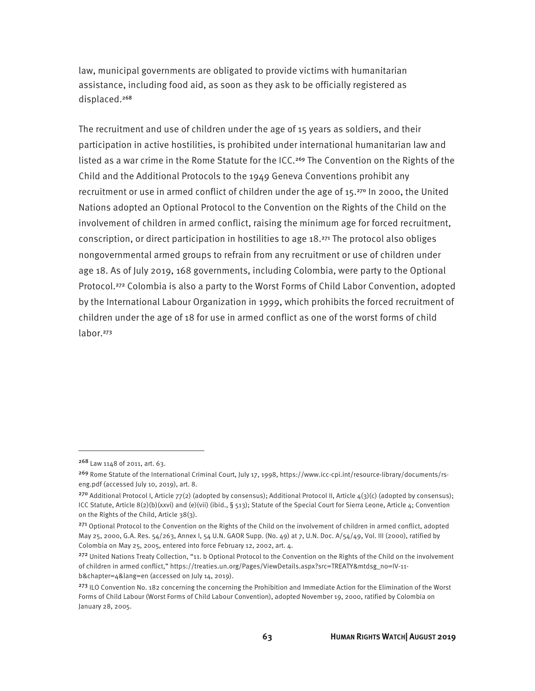law, municipal governments are obligated to provide victims with humanitarian assistance, including food aid, as soon as they ask to be officially registered as displaced.<sup>268</sup>

The recruitment and use of children under the age of 15 years as soldiers, and their participation in active hostilities, is prohibited under international humanitarian law and listed as a war crime in the Rome Statute for the ICC.<sup>269</sup> The Convention on the Rights of the Child and the Additional Protocols to the 1949 Geneva Conventions prohibit any recruitment or use in armed conflict of children under the age of 15.<sup>270</sup> In 2000, the United Nations adopted an Optional Protocol to the Convention on the Rights of the Child on the involvement of children in armed conflict, raising the minimum age for forced recruitment, conscription, or direct participation in hostilities to age 18.271 The protocol also obliges nongovernmental armed groups to refrain from any recruitment or use of children under age 18. As of July 2019, 168 governments, including Colombia, were party to the Optional Protocol.<sup>272</sup> Colombia is also a party to the Worst Forms of Child Labor Convention, adopted by the International Labour Organization in 1999, which prohibits the forced recruitment of children under the age of 18 for use in armed conflict as one of the worst forms of child labor.<sup>273</sup>

<sup>268</sup> Law 1148 of 2011, art. 63.

<sup>269</sup> Rome Statute of the International Criminal Court, July 17, 1998, https://www.icc-cpi.int/resource-library/documents/rseng.pdf (accessed July 10, 2019), art. 8.

<sup>&</sup>lt;sup>270</sup> Additional Protocol I, Article 77(2) (adopted by consensus); Additional Protocol II, Article  $4(3)(c)$  (adopted by consensus); ICC Statute, Article 8(2)(b)(xxvi) and (e)(vii) (ibid., § 513); Statute of the Special Court for Sierra Leone, Article 4; Convention on the Rights of the Child, Article 38(3).

<sup>&</sup>lt;sup>271</sup> Optional Protocol to the Convention on the Rights of the Child on the involvement of children in armed conflict, adopted May 25, 2000, G.A. Res. 54/263, Annex I, 54 U.N. GAOR Supp. (No. 49) at 7, U.N. Doc. A/54/49, Vol. III (2000), ratified by Colombia on May 25, 2005, entered into force February 12, 2002, art. 4.

<sup>&</sup>lt;sup>272</sup> United Nations Treaty Collection, "11. b Optional Protocol to the Convention on the Rights of the Child on the involvement of children in armed conflict," https://treaties.un.org/Pages/ViewDetails.aspx?src=TREATY&mtdsg\_no=IV-11 b&chapter=4&lang=en (accessed on July 14, 2019).

<sup>&</sup>lt;sup>273</sup> ILO Convention No. 182 concerning the concerning the Prohibition and Immediate Action for the Elimination of the Worst Forms of Child Labour (Worst Forms of Child Labour Convention), adopted November 19, 2000, ratified by Colombia on January 28, 2005.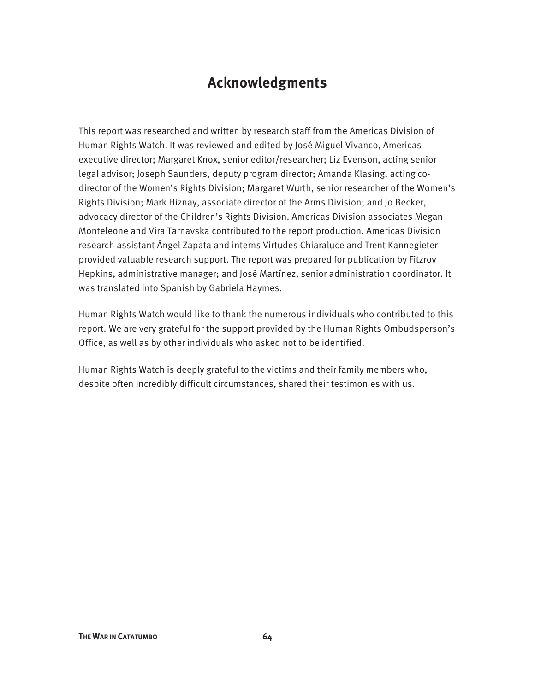### **Acknowledgments**

This report was researched and written by research staff from the Americas Division of Human Rights Watch. It was reviewed and edited by José Miguel Vivanco, Americas executive director; Margaret Knox, senior editor/researcher; Liz Evenson, acting senior legal advisor; Joseph Saunders, deputy program director; Amanda Klasing, acting codirector of the Women's Rights Division; Margaret Wurth, senior researcher of the Women's Rights Division; Mark Hiznay, associate director of the Arms Division; and Jo Becker, advocacy director of the Children's Rights Division. Americas Division associates Megan Monteleone and Vira Tarnavska contributed to the report production. Americas Division research assistant Ángel Zapata and interns Virtudes Chiaraluce and Trent Kannegieter provided valuable research support. The report was prepared for publication by Fitzroy Hepkins, administrative manager; and José Martínez, senior administration coordinator. It was translated into Spanish by Gabriela Haymes.

Human Rights Watch would like to thank the numerous individuals who contributed to this report. We are very grateful for the support provided by the Human Rights Ombudsperson's Office, as well as by other individuals who asked not to be identified.

Human Rights Watch is deeply grateful to the victims and their family members who, despite often incredibly difficult circumstances, shared their testimonies with us.